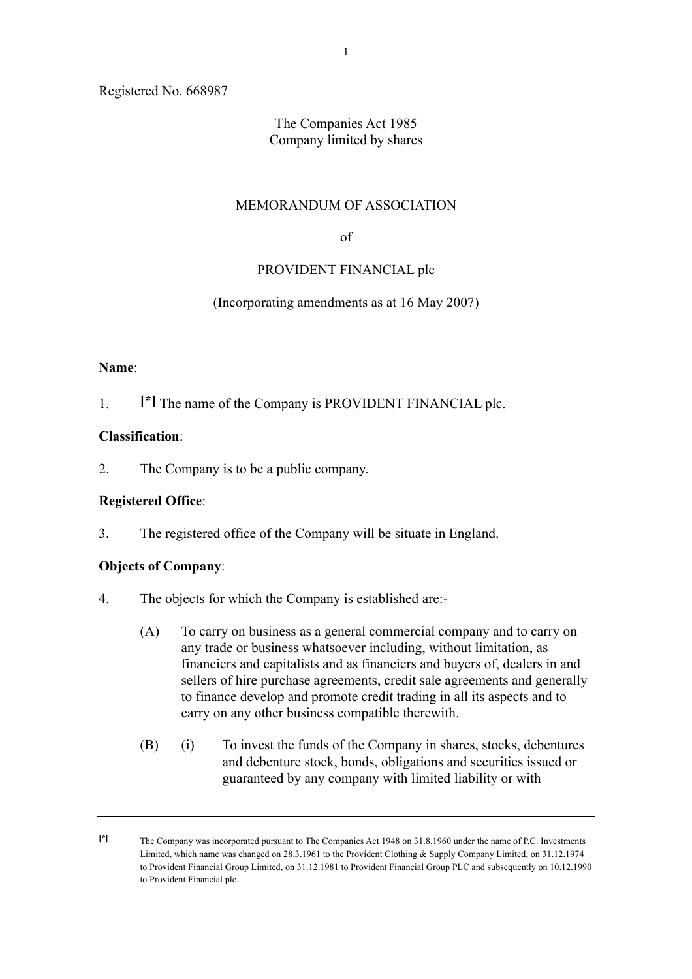Registered No. 668987

## The Companies Act 1985 Company limited by shares

#### MEMORANDUM OF ASSOCIATION

of

## PROVIDENT FINANCIAL plc

#### (Incorporating amendments as at 16 May 2007)

#### **Name**:

1. **[\*]** The name of the Company is PROVIDENT FINANCIAL plc.

#### **Classification**:

2. The Company is to be a public company.

#### **Registered Office**:

3. The registered office of the Company will be situate in England.

#### **Objects of Company**:

- 4. The objects for which the Company is established are:-
	- (A) To carry on business as a general commercial company and to carry on any trade or business whatsoever including, without limitation, as financiers and capitalists and as financiers and buyers of, dealers in and sellers of hire purchase agreements, credit sale agreements and generally to finance develop and promote credit trading in all its aspects and to carry on any other business compatible therewith.
	- (B) (i) To invest the funds of the Company in shares, stocks, debentures and debenture stock, bonds, obligations and securities issued or guaranteed by any company with limited liability or with

**<sup>[\*]</sup>** The Company was incorporated pursuant to The Companies Act 1948 on 31.8.1960 under the name of P.C. Investments Limited, which name was changed on 28.3.1961 to the Provident Clothing & Supply Company Limited, on 31.12.1974 to Provident Financial Group Limited, on 31.12.1981 to Provident Financial Group PLC and subsequently on 10.12.1990 to Provident Financial plc.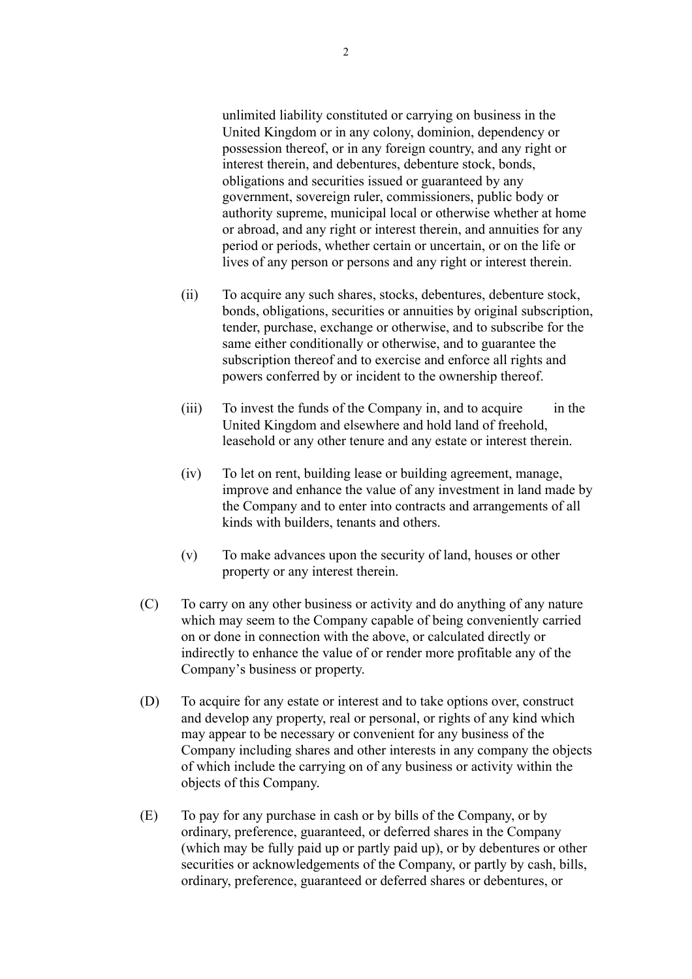unlimited liability constituted or carrying on business in the United Kingdom or in any colony, dominion, dependency or possession thereof, or in any foreign country, and any right or interest therein, and debentures, debenture stock, bonds, obligations and securities issued or guaranteed by any government, sovereign ruler, commissioners, public body or authority supreme, municipal local or otherwise whether at home or abroad, and any right or interest therein, and annuities for any period or periods, whether certain or uncertain, or on the life or lives of any person or persons and any right or interest therein.

- (ii) To acquire any such shares, stocks, debentures, debenture stock, bonds, obligations, securities or annuities by original subscription, tender, purchase, exchange or otherwise, and to subscribe for the same either conditionally or otherwise, and to guarantee the subscription thereof and to exercise and enforce all rights and powers conferred by or incident to the ownership thereof.
- (iii) To invest the funds of the Company in, and to acquire in the United Kingdom and elsewhere and hold land of freehold, leasehold or any other tenure and any estate or interest therein.
- (iv) To let on rent, building lease or building agreement, manage, improve and enhance the value of any investment in land made by the Company and to enter into contracts and arrangements of all kinds with builders, tenants and others.
- (v) To make advances upon the security of land, houses or other property or any interest therein.
- (C) To carry on any other business or activity and do anything of any nature which may seem to the Company capable of being conveniently carried on or done in connection with the above, or calculated directly or indirectly to enhance the value of or render more profitable any of the Company's business or property.
- (D) To acquire for any estate or interest and to take options over, construct and develop any property, real or personal, or rights of any kind which may appear to be necessary or convenient for any business of the Company including shares and other interests in any company the objects of which include the carrying on of any business or activity within the objects of this Company.
- (E) To pay for any purchase in cash or by bills of the Company, or by ordinary, preference, guaranteed, or deferred shares in the Company (which may be fully paid up or partly paid up), or by debentures or other securities or acknowledgements of the Company, or partly by cash, bills, ordinary, preference, guaranteed or deferred shares or debentures, or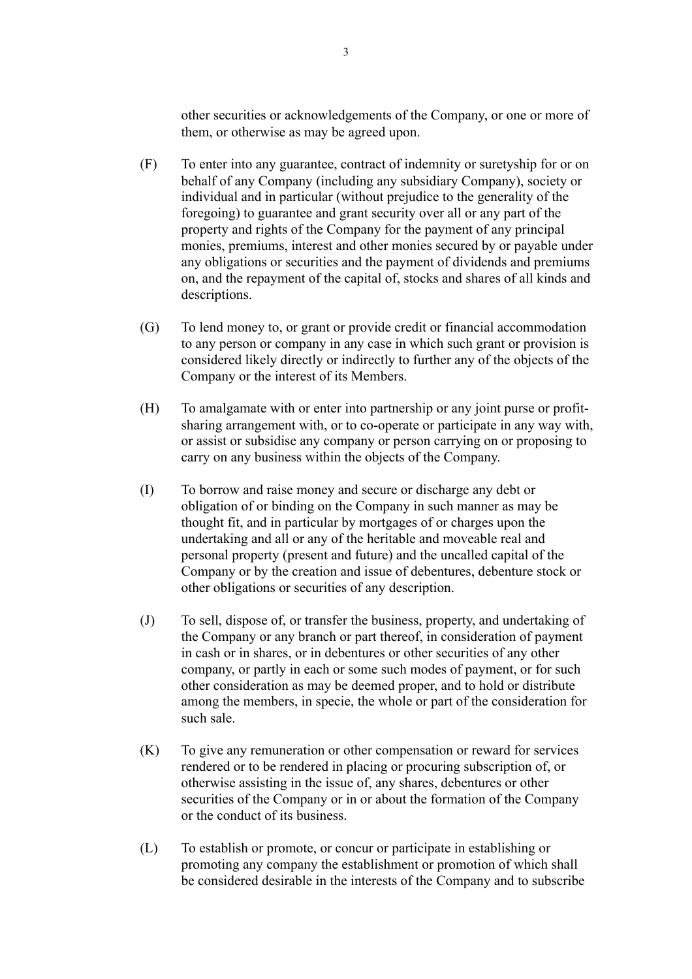other securities or acknowledgements of the Company, or one or more of them, or otherwise as may be agreed upon.

- (F) To enter into any guarantee, contract of indemnity or suretyship for or on behalf of any Company (including any subsidiary Company), society or individual and in particular (without prejudice to the generality of the foregoing) to guarantee and grant security over all or any part of the property and rights of the Company for the payment of any principal monies, premiums, interest and other monies secured by or payable under any obligations or securities and the payment of dividends and premiums on, and the repayment of the capital of, stocks and shares of all kinds and descriptions.
- (G) To lend money to, or grant or provide credit or financial accommodation to any person or company in any case in which such grant or provision is considered likely directly or indirectly to further any of the objects of the Company or the interest of its Members.
- (H) To amalgamate with or enter into partnership or any joint purse or profitsharing arrangement with, or to co-operate or participate in any way with, or assist or subsidise any company or person carrying on or proposing to carry on any business within the objects of the Company.
- (I) To borrow and raise money and secure or discharge any debt or obligation of or binding on the Company in such manner as may be thought fit, and in particular by mortgages of or charges upon the undertaking and all or any of the heritable and moveable real and personal property (present and future) and the uncalled capital of the Company or by the creation and issue of debentures, debenture stock or other obligations or securities of any description.
- (J) To sell, dispose of, or transfer the business, property, and undertaking of the Company or any branch or part thereof, in consideration of payment in cash or in shares, or in debentures or other securities of any other company, or partly in each or some such modes of payment, or for such other consideration as may be deemed proper, and to hold or distribute among the members, in specie, the whole or part of the consideration for such sale.
- (K) To give any remuneration or other compensation or reward for services rendered or to be rendered in placing or procuring subscription of, or otherwise assisting in the issue of, any shares, debentures or other securities of the Company or in or about the formation of the Company or the conduct of its business.
- (L) To establish or promote, or concur or participate in establishing or promoting any company the establishment or promotion of which shall be considered desirable in the interests of the Company and to subscribe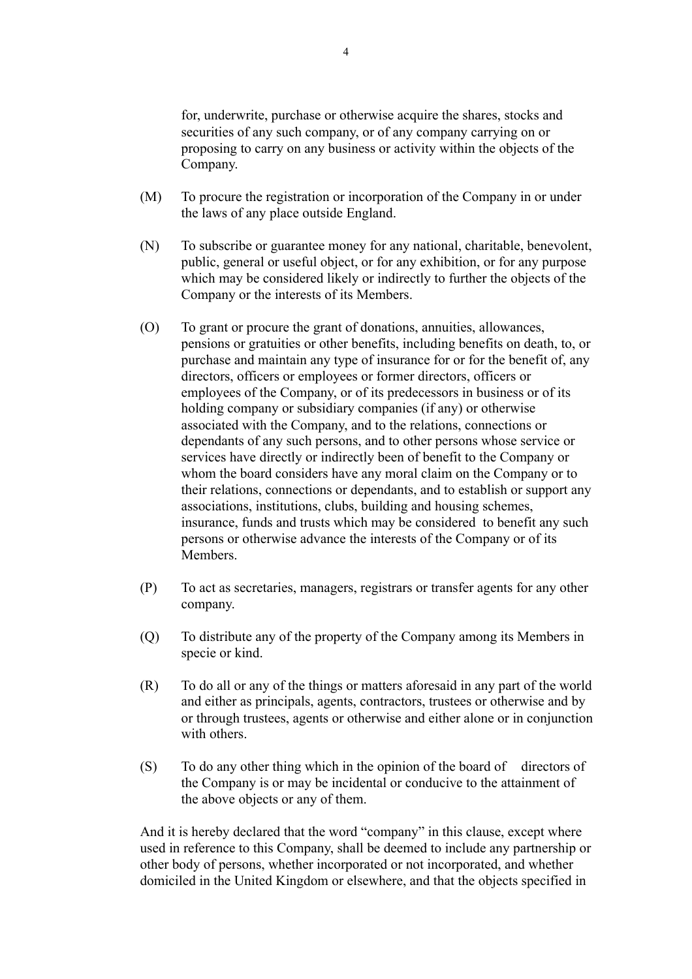for, underwrite, purchase or otherwise acquire the shares, stocks and securities of any such company, or of any company carrying on or proposing to carry on any business or activity within the objects of the Company.

- (M) To procure the registration or incorporation of the Company in or under the laws of any place outside England.
- (N) To subscribe or guarantee money for any national, charitable, benevolent, public, general or useful object, or for any exhibition, or for any purpose which may be considered likely or indirectly to further the objects of the Company or the interests of its Members.
- (O) To grant or procure the grant of donations, annuities, allowances, pensions or gratuities or other benefits, including benefits on death, to, or purchase and maintain any type of insurance for or for the benefit of, any directors, officers or employees or former directors, officers or employees of the Company, or of its predecessors in business or of its holding company or subsidiary companies (if any) or otherwise associated with the Company, and to the relations, connections or dependants of any such persons, and to other persons whose service or services have directly or indirectly been of benefit to the Company or whom the board considers have any moral claim on the Company or to their relations, connections or dependants, and to establish or support any associations, institutions, clubs, building and housing schemes, insurance, funds and trusts which may be considered to benefit any such persons or otherwise advance the interests of the Company or of its **Members**
- (P) To act as secretaries, managers, registrars or transfer agents for any other company.
- (Q) To distribute any of the property of the Company among its Members in specie or kind.
- (R) To do all or any of the things or matters aforesaid in any part of the world and either as principals, agents, contractors, trustees or otherwise and by or through trustees, agents or otherwise and either alone or in conjunction with others.
- (S) To do any other thing which in the opinion of the board of directors of the Company is or may be incidental or conducive to the attainment of the above objects or any of them.

And it is hereby declared that the word "company" in this clause, except where used in reference to this Company, shall be deemed to include any partnership or other body of persons, whether incorporated or not incorporated, and whether domiciled in the United Kingdom or elsewhere, and that the objects specified in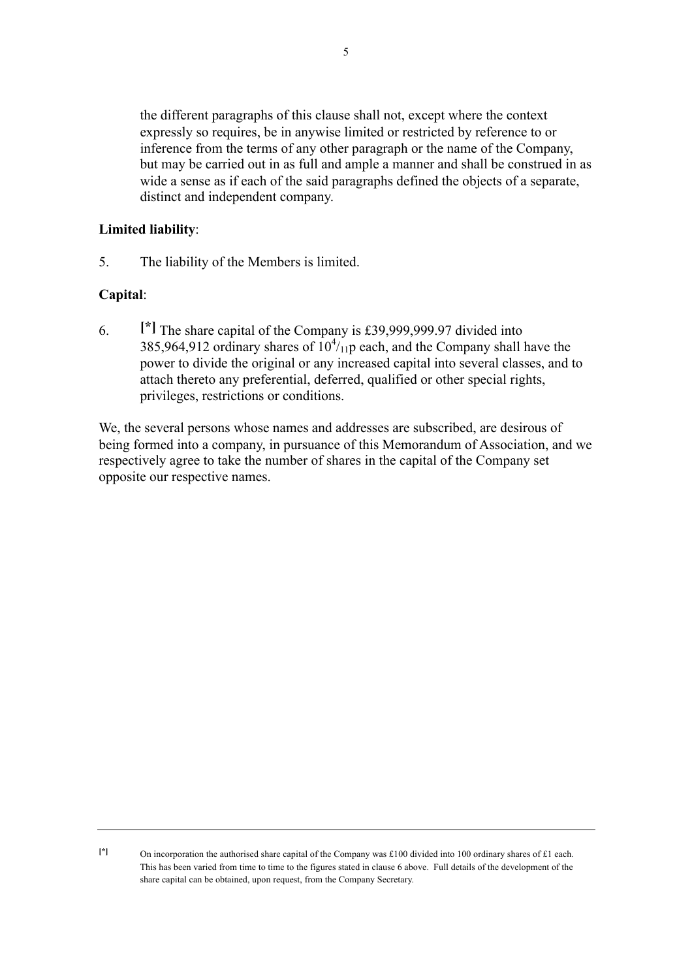the different paragraphs of this clause shall not, except where the context expressly so requires, be in anywise limited or restricted by reference to or inference from the terms of any other paragraph or the name of the Company, but may be carried out in as full and ample a manner and shall be construed in as wide a sense as if each of the said paragraphs defined the objects of a separate, distinct and independent company.

## **Limited liability**:

5. The liability of the Members is limited.

## **Capital**:

6. **[\*]** The share capital of the Company is £39,999,999.97 divided into 385,964,912 ordinary shares of  $10^{4}/_{11}$  each, and the Company shall have the power to divide the original or any increased capital into several classes, and to attach thereto any preferential, deferred, qualified or other special rights, privileges, restrictions or conditions.

We, the several persons whose names and addresses are subscribed, are desirous of being formed into a company, in pursuance of this Memorandum of Association, and we respectively agree to take the number of shares in the capital of the Company set opposite our respective names.

**<sup>[\*]</sup>** On incorporation the authorised share capital of the Company was £100 divided into 100 ordinary shares of £1 each. This has been varied from time to time to the figures stated in clause 6 above. Full details of the development of the share capital can be obtained, upon request, from the Company Secretary.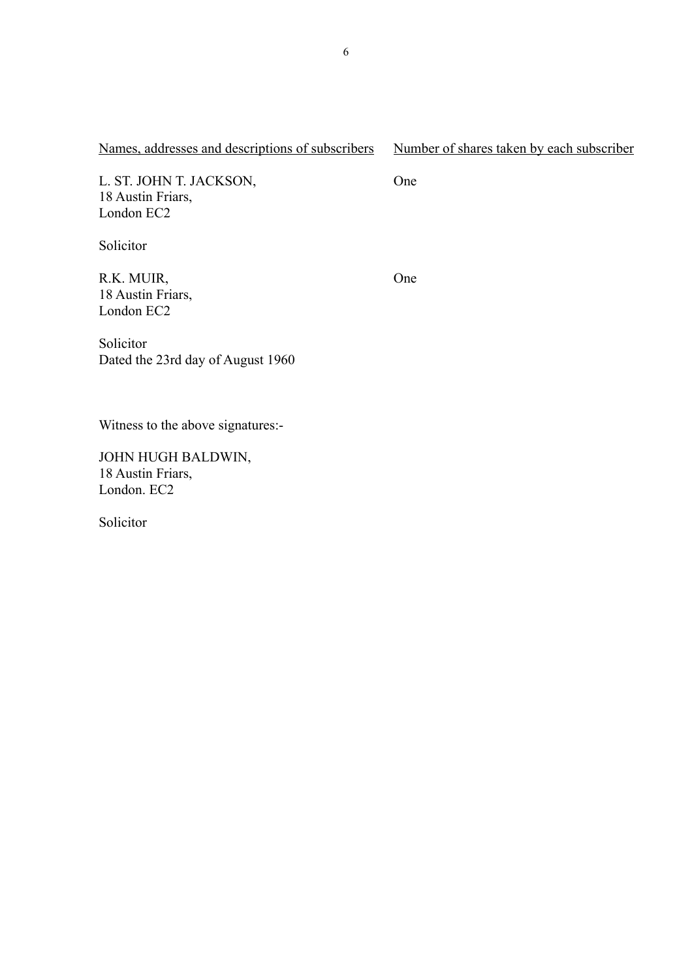## Names, addresses and descriptions of subscribers Number of shares taken by each subscriber

L. ST. JOHN T. JACKSON, 18 Austin Friars, London EC2

Solicitor

R.K. MUIR, 18 Austin Friars, London EC2

One

One

Solicitor Dated the 23rd day of August 1960

Witness to the above signatures:-

JOHN HUGH BALDWIN, 18 Austin Friars, London. EC2

Solicitor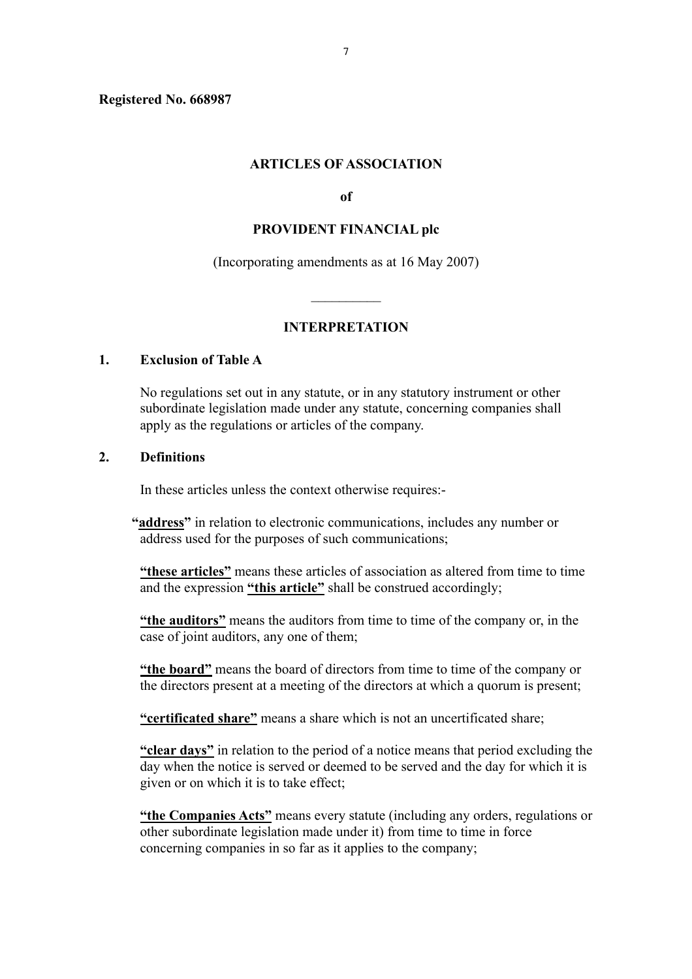**Registered No. 668987**

#### **ARTICLES OF ASSOCIATION**

**of**

#### **PROVIDENT FINANCIAL plc**

(Incorporating amendments as at 16 May 2007)

 $\frac{1}{2}$ 

#### **INTERPRETATION**

#### **1. Exclusion of Table A**

No regulations set out in any statute, or in any statutory instrument or other subordinate legislation made under any statute, concerning companies shall apply as the regulations or articles of the company.

#### **2. Definitions**

In these articles unless the context otherwise requires:-

- **"address"** in relation to electronic communications, includes any number or address used for the purposes of such communications;
	- **"these articles"** means these articles of association as altered from time to time and the expression **"this article"** shall be construed accordingly;
	- **"the auditors"** means the auditors from time to time of the company or, in the case of joint auditors, any one of them;

**"the board"** means the board of directors from time to time of the company or the directors present at a meeting of the directors at which a quorum is present;

**"certificated share"** means a share which is not an uncertificated share;

**"clear days"** in relation to the period of a notice means that period excluding the day when the notice is served or deemed to be served and the day for which it is given or on which it is to take effect;

**"the Companies Acts"** means every statute (including any orders, regulations or other subordinate legislation made under it) from time to time in force concerning companies in so far as it applies to the company;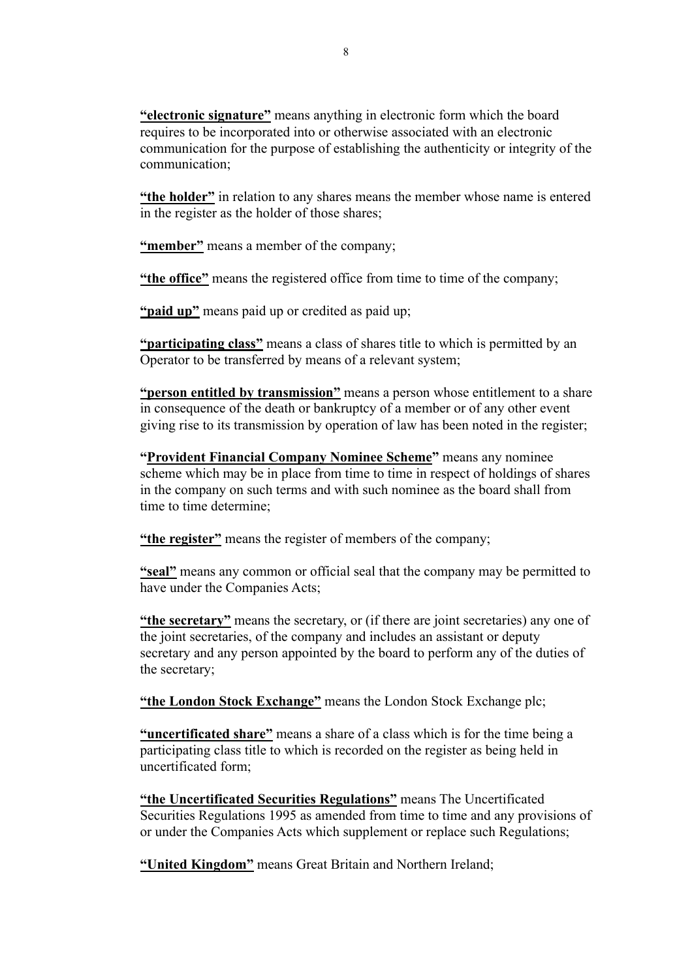**"electronic signature"** means anything in electronic form which the board requires to be incorporated into or otherwise associated with an electronic communication for the purpose of establishing the authenticity or integrity of the communication;

**"the holder"** in relation to any shares means the member whose name is entered in the register as the holder of those shares;

**"member"** means a member of the company;

**"the office"** means the registered office from time to time of the company;

**"paid up"** means paid up or credited as paid up;

**"participating class"** means a class of shares title to which is permitted by an Operator to be transferred by means of a relevant system;

**"person entitled by transmission"** means a person whose entitlement to a share in consequence of the death or bankruptcy of a member or of any other event giving rise to its transmission by operation of law has been noted in the register;

**"Provident Financial Company Nominee Scheme"** means any nominee scheme which may be in place from time to time in respect of holdings of shares in the company on such terms and with such nominee as the board shall from time to time determine;

**"the register"** means the register of members of the company;

**"seal"** means any common or official seal that the company may be permitted to have under the Companies Acts;

**"the secretary"** means the secretary, or (if there are joint secretaries) any one of the joint secretaries, of the company and includes an assistant or deputy secretary and any person appointed by the board to perform any of the duties of the secretary;

**"the London Stock Exchange"** means the London Stock Exchange plc;

**"uncertificated share"** means a share of a class which is for the time being a participating class title to which is recorded on the register as being held in uncertificated form;

**"the Uncertificated Securities Regulations"** means The Uncertificated Securities Regulations 1995 as amended from time to time and any provisions of or under the Companies Acts which supplement or replace such Regulations;

**"United Kingdom"** means Great Britain and Northern Ireland;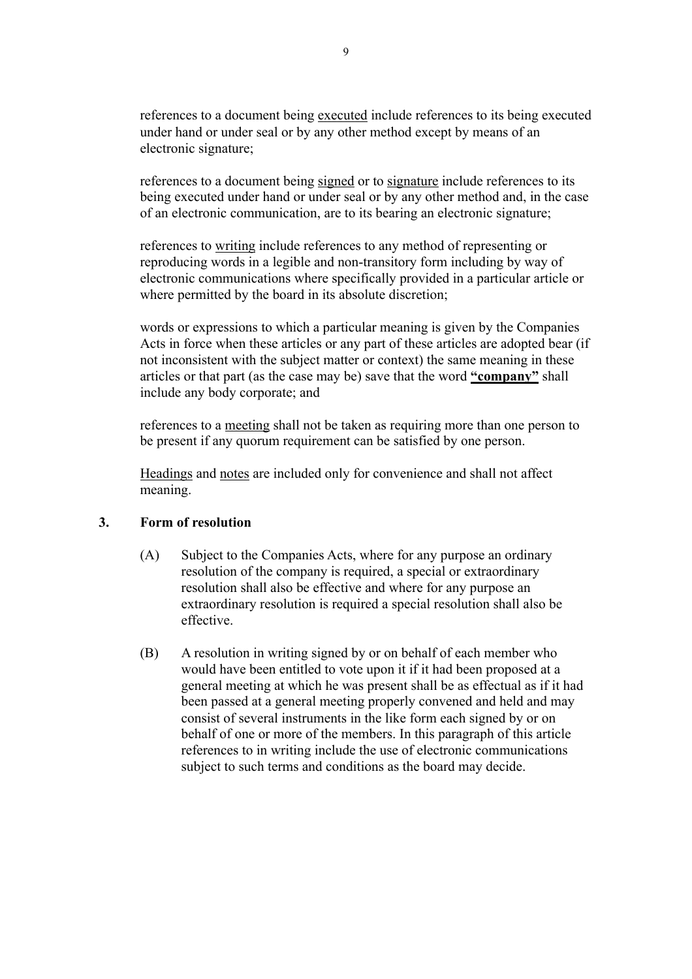references to a document being executed include references to its being executed under hand or under seal or by any other method except by means of an electronic signature;

references to a document being signed or to signature include references to its being executed under hand or under seal or by any other method and, in the case of an electronic communication, are to its bearing an electronic signature;

references to writing include references to any method of representing or reproducing words in a legible and non-transitory form including by way of electronic communications where specifically provided in a particular article or where permitted by the board in its absolute discretion;

words or expressions to which a particular meaning is given by the Companies Acts in force when these articles or any part of these articles are adopted bear (if not inconsistent with the subject matter or context) the same meaning in these articles or that part (as the case may be) save that the word **"company"** shall include any body corporate; and

references to a meeting shall not be taken as requiring more than one person to be present if any quorum requirement can be satisfied by one person.

Headings and notes are included only for convenience and shall not affect meaning.

#### **3. Form of resolution**

- (A) Subject to the Companies Acts, where for any purpose an ordinary resolution of the company is required, a special or extraordinary resolution shall also be effective and where for any purpose an extraordinary resolution is required a special resolution shall also be effective.
- (B) A resolution in writing signed by or on behalf of each member who would have been entitled to vote upon it if it had been proposed at a general meeting at which he was present shall be as effectual as if it had been passed at a general meeting properly convened and held and may consist of several instruments in the like form each signed by or on behalf of one or more of the members. In this paragraph of this article references to in writing include the use of electronic communications subject to such terms and conditions as the board may decide.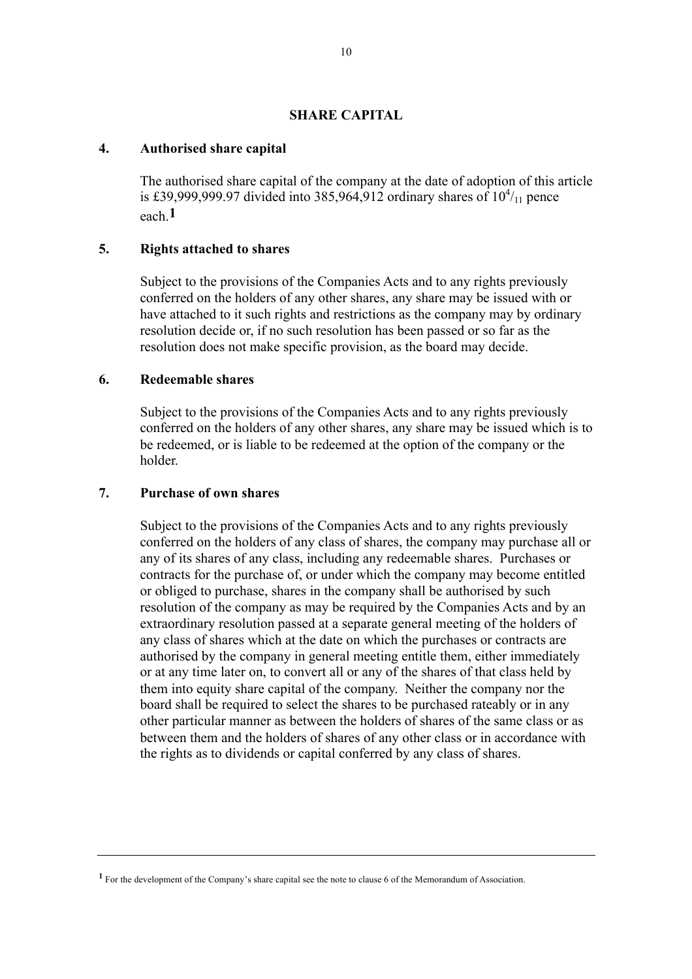#### **SHARE CAPITAL**

#### **4. Authorised share capital**

The authorised share capital of the company at the date of adoption of this article is £39,999,999.97 divided into 385,964,912 ordinary shares of  $10^{4}/_{11}$  pence each.**1**

#### **5. Rights attached to shares**

Subject to the provisions of the Companies Acts and to any rights previously conferred on the holders of any other shares, any share may be issued with or have attached to it such rights and restrictions as the company may by ordinary resolution decide or, if no such resolution has been passed or so far as the resolution does not make specific provision, as the board may decide.

## **6. Redeemable shares**

Subject to the provisions of the Companies Acts and to any rights previously conferred on the holders of any other shares, any share may be issued which is to be redeemed, or is liable to be redeemed at the option of the company or the holder.

#### **7. Purchase of own shares**

Subject to the provisions of the Companies Acts and to any rights previously conferred on the holders of any class of shares, the company may purchase all or any of its shares of any class, including any redeemable shares. Purchases or contracts for the purchase of, or under which the company may become entitled or obliged to purchase, shares in the company shall be authorised by such resolution of the company as may be required by the Companies Acts and by an extraordinary resolution passed at a separate general meeting of the holders of any class of shares which at the date on which the purchases or contracts are authorised by the company in general meeting entitle them, either immediately or at any time later on, to convert all or any of the shares of that class held by them into equity share capital of the company. Neither the company nor the board shall be required to select the shares to be purchased rateably or in any other particular manner as between the holders of shares of the same class or as between them and the holders of shares of any other class or in accordance with the rights as to dividends or capital conferred by any class of shares.

**<sup>1</sup>** For the development of the Company's share capital see the note to clause 6 of the Memorandum of Association.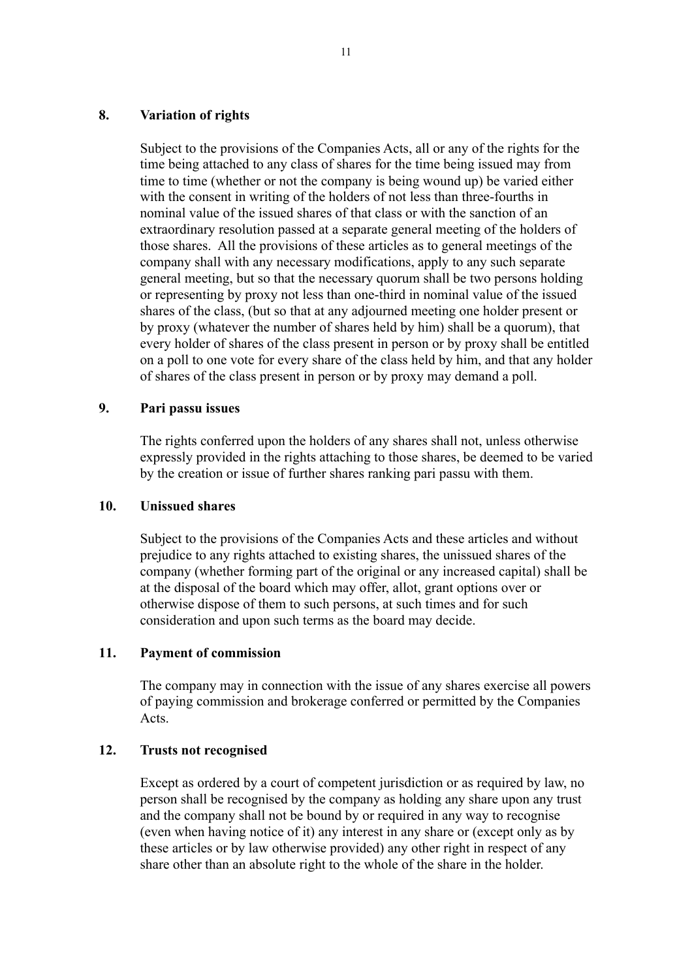#### **8. Variation of rights**

Subject to the provisions of the Companies Acts, all or any of the rights for the time being attached to any class of shares for the time being issued may from time to time (whether or not the company is being wound up) be varied either with the consent in writing of the holders of not less than three-fourths in nominal value of the issued shares of that class or with the sanction of an extraordinary resolution passed at a separate general meeting of the holders of those shares. All the provisions of these articles as to general meetings of the company shall with any necessary modifications, apply to any such separate general meeting, but so that the necessary quorum shall be two persons holding or representing by proxy not less than one-third in nominal value of the issued shares of the class, (but so that at any adjourned meeting one holder present or by proxy (whatever the number of shares held by him) shall be a quorum), that every holder of shares of the class present in person or by proxy shall be entitled on a poll to one vote for every share of the class held by him, and that any holder of shares of the class present in person or by proxy may demand a poll.

### **9. Pari passu issues**

The rights conferred upon the holders of any shares shall not, unless otherwise expressly provided in the rights attaching to those shares, be deemed to be varied by the creation or issue of further shares ranking pari passu with them.

#### **10. Unissued shares**

Subject to the provisions of the Companies Acts and these articles and without prejudice to any rights attached to existing shares, the unissued shares of the company (whether forming part of the original or any increased capital) shall be at the disposal of the board which may offer, allot, grant options over or otherwise dispose of them to such persons, at such times and for such consideration and upon such terms as the board may decide.

## **11. Payment of commission**

The company may in connection with the issue of any shares exercise all powers of paying commission and brokerage conferred or permitted by the Companies Acts.

## **12. Trusts not recognised**

Except as ordered by a court of competent jurisdiction or as required by law, no person shall be recognised by the company as holding any share upon any trust and the company shall not be bound by or required in any way to recognise (even when having notice of it) any interest in any share or (except only as by these articles or by law otherwise provided) any other right in respect of any share other than an absolute right to the whole of the share in the holder.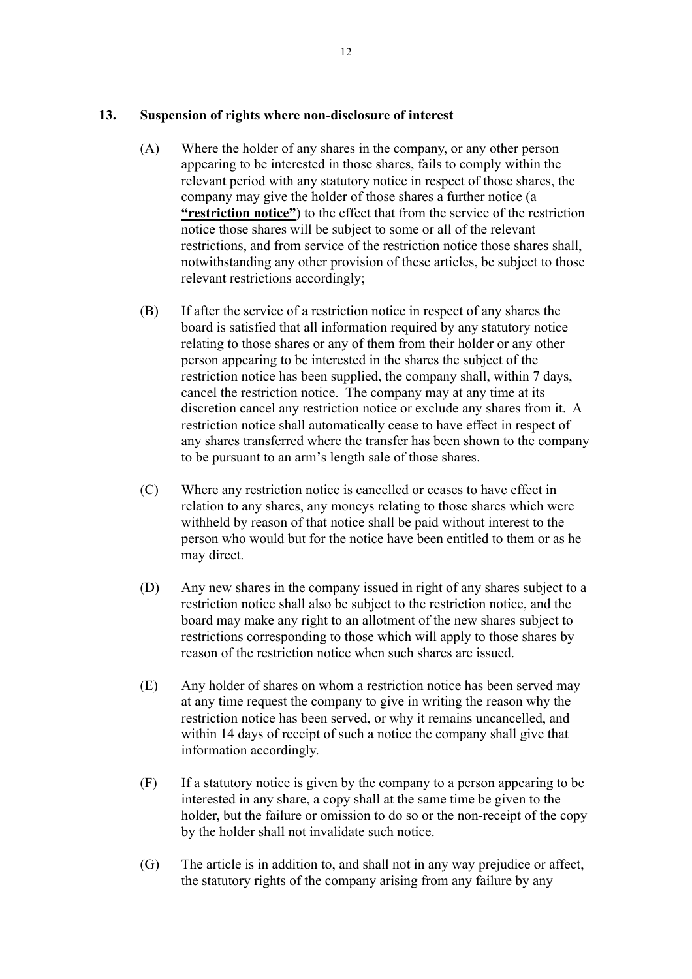## **13. Suspension of rights where non-disclosure of interest**

- (A) Where the holder of any shares in the company, or any other person appearing to be interested in those shares, fails to comply within the relevant period with any statutory notice in respect of those shares, the company may give the holder of those shares a further notice (a **"restriction notice"**) to the effect that from the service of the restriction notice those shares will be subject to some or all of the relevant restrictions, and from service of the restriction notice those shares shall, notwithstanding any other provision of these articles, be subject to those relevant restrictions accordingly;
- (B) If after the service of a restriction notice in respect of any shares the board is satisfied that all information required by any statutory notice relating to those shares or any of them from their holder or any other person appearing to be interested in the shares the subject of the restriction notice has been supplied, the company shall, within 7 days, cancel the restriction notice. The company may at any time at its discretion cancel any restriction notice or exclude any shares from it. A restriction notice shall automatically cease to have effect in respect of any shares transferred where the transfer has been shown to the company to be pursuant to an arm's length sale of those shares.
- (C) Where any restriction notice is cancelled or ceases to have effect in relation to any shares, any moneys relating to those shares which were withheld by reason of that notice shall be paid without interest to the person who would but for the notice have been entitled to them or as he may direct.
- (D) Any new shares in the company issued in right of any shares subject to a restriction notice shall also be subject to the restriction notice, and the board may make any right to an allotment of the new shares subject to restrictions corresponding to those which will apply to those shares by reason of the restriction notice when such shares are issued.
- (E) Any holder of shares on whom a restriction notice has been served may at any time request the company to give in writing the reason why the restriction notice has been served, or why it remains uncancelled, and within 14 days of receipt of such a notice the company shall give that information accordingly.
- (F) If a statutory notice is given by the company to a person appearing to be interested in any share, a copy shall at the same time be given to the holder, but the failure or omission to do so or the non-receipt of the copy by the holder shall not invalidate such notice.
- (G) The article is in addition to, and shall not in any way prejudice or affect, the statutory rights of the company arising from any failure by any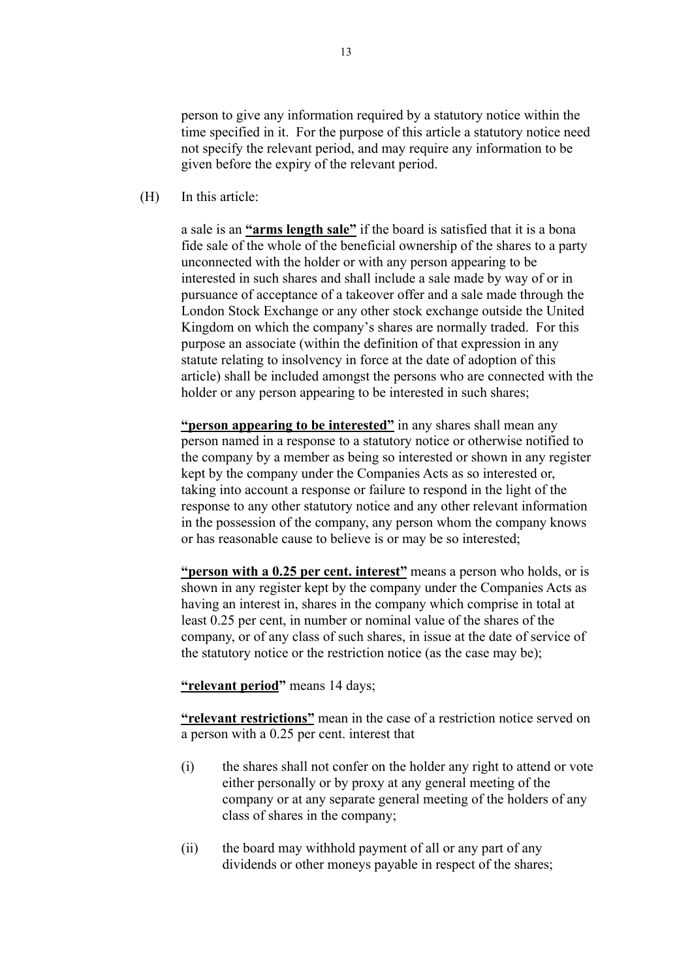person to give any information required by a statutory notice within the time specified in it. For the purpose of this article a statutory notice need not specify the relevant period, and may require any information to be given before the expiry of the relevant period.

(H) In this article:

a sale is an **"arms length sale"** if the board is satisfied that it is a bona fide sale of the whole of the beneficial ownership of the shares to a party unconnected with the holder or with any person appearing to be interested in such shares and shall include a sale made by way of or in pursuance of acceptance of a takeover offer and a sale made through the London Stock Exchange or any other stock exchange outside the United Kingdom on which the company's shares are normally traded. For this purpose an associate (within the definition of that expression in any statute relating to insolvency in force at the date of adoption of this article) shall be included amongst the persons who are connected with the holder or any person appearing to be interested in such shares;

**"person appearing to be interested"** in any shares shall mean any person named in a response to a statutory notice or otherwise notified to the company by a member as being so interested or shown in any register kept by the company under the Companies Acts as so interested or, taking into account a response or failure to respond in the light of the response to any other statutory notice and any other relevant information in the possession of the company, any person whom the company knows or has reasonable cause to believe is or may be so interested;

**"person with a 0.25 per cent. interest"** means a person who holds, or is shown in any register kept by the company under the Companies Acts as having an interest in, shares in the company which comprise in total at least 0.25 per cent, in number or nominal value of the shares of the company, or of any class of such shares, in issue at the date of service of the statutory notice or the restriction notice (as the case may be);

**"relevant period"** means 14 days;

**"relevant restrictions"** mean in the case of a restriction notice served on a person with a 0.25 per cent. interest that

- (i) the shares shall not confer on the holder any right to attend or vote either personally or by proxy at any general meeting of the company or at any separate general meeting of the holders of any class of shares in the company;
- (ii) the board may withhold payment of all or any part of any dividends or other moneys payable in respect of the shares;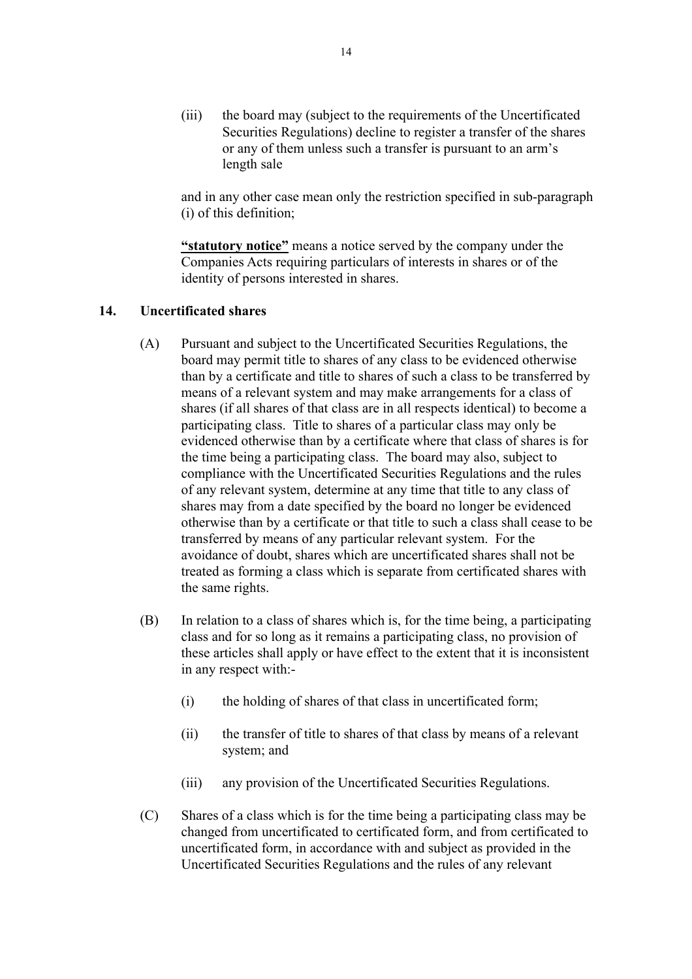(iii) the board may (subject to the requirements of the Uncertificated Securities Regulations) decline to register a transfer of the shares or any of them unless such a transfer is pursuant to an arm's length sale

and in any other case mean only the restriction specified in sub-paragraph (i) of this definition;

**"statutory notice"** means a notice served by the company under the Companies Acts requiring particulars of interests in shares or of the identity of persons interested in shares.

## **14. Uncertificated shares**

- (A) Pursuant and subject to the Uncertificated Securities Regulations, the board may permit title to shares of any class to be evidenced otherwise than by a certificate and title to shares of such a class to be transferred by means of a relevant system and may make arrangements for a class of shares (if all shares of that class are in all respects identical) to become a participating class. Title to shares of a particular class may only be evidenced otherwise than by a certificate where that class of shares is for the time being a participating class. The board may also, subject to compliance with the Uncertificated Securities Regulations and the rules of any relevant system, determine at any time that title to any class of shares may from a date specified by the board no longer be evidenced otherwise than by a certificate or that title to such a class shall cease to be transferred by means of any particular relevant system. For the avoidance of doubt, shares which are uncertificated shares shall not be treated as forming a class which is separate from certificated shares with the same rights.
- (B) In relation to a class of shares which is, for the time being, a participating class and for so long as it remains a participating class, no provision of these articles shall apply or have effect to the extent that it is inconsistent in any respect with:-
	- (i) the holding of shares of that class in uncertificated form;
	- (ii) the transfer of title to shares of that class by means of a relevant system; and
	- (iii) any provision of the Uncertificated Securities Regulations.
- (C) Shares of a class which is for the time being a participating class may be changed from uncertificated to certificated form, and from certificated to uncertificated form, in accordance with and subject as provided in the Uncertificated Securities Regulations and the rules of any relevant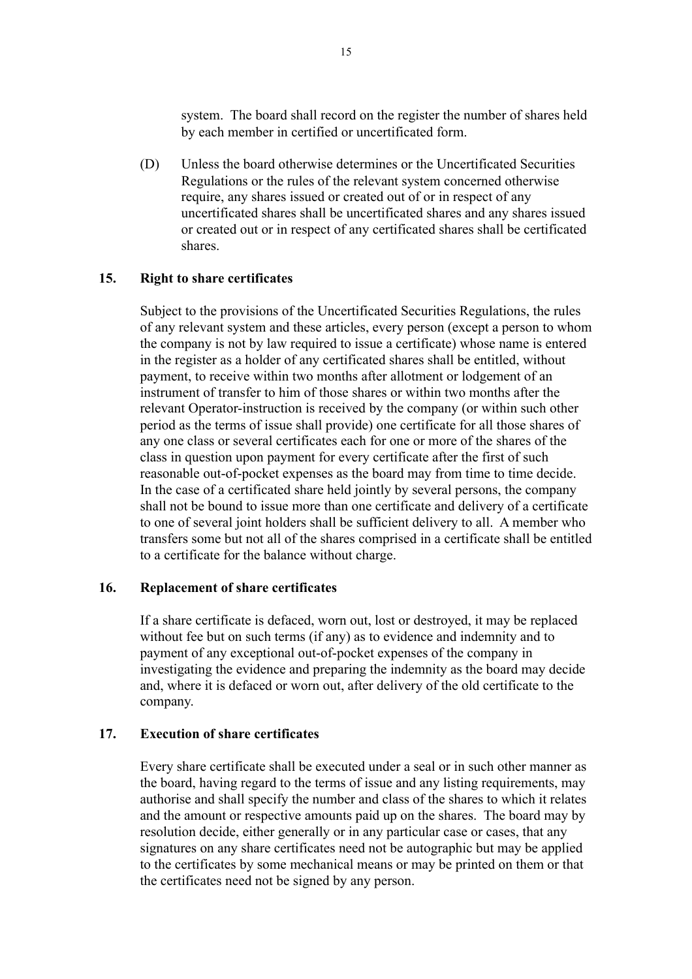system. The board shall record on the register the number of shares held by each member in certified or uncertificated form.

(D) Unless the board otherwise determines or the Uncertificated Securities Regulations or the rules of the relevant system concerned otherwise require, any shares issued or created out of or in respect of any uncertificated shares shall be uncertificated shares and any shares issued or created out or in respect of any certificated shares shall be certificated shares.

#### **15. Right to share certificates**

Subject to the provisions of the Uncertificated Securities Regulations, the rules of any relevant system and these articles, every person (except a person to whom the company is not by law required to issue a certificate) whose name is entered in the register as a holder of any certificated shares shall be entitled, without payment, to receive within two months after allotment or lodgement of an instrument of transfer to him of those shares or within two months after the relevant Operator-instruction is received by the company (or within such other period as the terms of issue shall provide) one certificate for all those shares of any one class or several certificates each for one or more of the shares of the class in question upon payment for every certificate after the first of such reasonable out-of-pocket expenses as the board may from time to time decide. In the case of a certificated share held jointly by several persons, the company shall not be bound to issue more than one certificate and delivery of a certificate to one of several joint holders shall be sufficient delivery to all. A member who transfers some but not all of the shares comprised in a certificate shall be entitled to a certificate for the balance without charge.

#### **16. Replacement of share certificates**

If a share certificate is defaced, worn out, lost or destroyed, it may be replaced without fee but on such terms (if any) as to evidence and indemnity and to payment of any exceptional out-of-pocket expenses of the company in investigating the evidence and preparing the indemnity as the board may decide and, where it is defaced or worn out, after delivery of the old certificate to the company.

#### **17. Execution of share certificates**

Every share certificate shall be executed under a seal or in such other manner as the board, having regard to the terms of issue and any listing requirements, may authorise and shall specify the number and class of the shares to which it relates and the amount or respective amounts paid up on the shares. The board may by resolution decide, either generally or in any particular case or cases, that any signatures on any share certificates need not be autographic but may be applied to the certificates by some mechanical means or may be printed on them or that the certificates need not be signed by any person.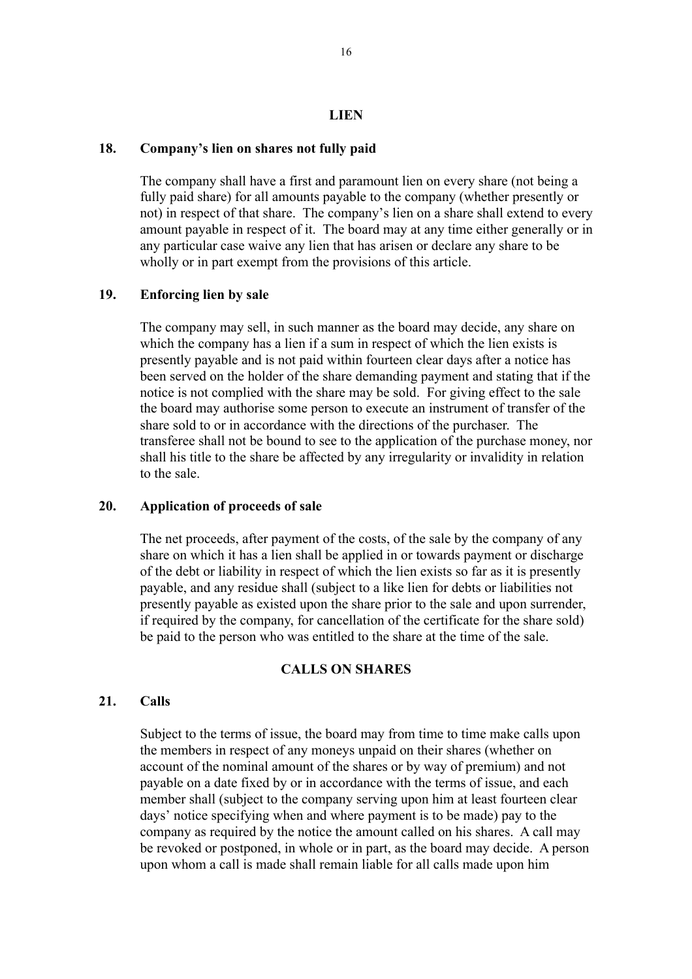#### **LIEN**

#### **18. Company's lien on shares not fully paid**

The company shall have a first and paramount lien on every share (not being a fully paid share) for all amounts payable to the company (whether presently or not) in respect of that share. The company's lien on a share shall extend to every amount payable in respect of it. The board may at any time either generally or in any particular case waive any lien that has arisen or declare any share to be wholly or in part exempt from the provisions of this article.

## **19. Enforcing lien by sale**

The company may sell, in such manner as the board may decide, any share on which the company has a lien if a sum in respect of which the lien exists is presently payable and is not paid within fourteen clear days after a notice has been served on the holder of the share demanding payment and stating that if the notice is not complied with the share may be sold. For giving effect to the sale the board may authorise some person to execute an instrument of transfer of the share sold to or in accordance with the directions of the purchaser. The transferee shall not be bound to see to the application of the purchase money, nor shall his title to the share be affected by any irregularity or invalidity in relation to the sale.

## **20. Application of proceeds of sale**

The net proceeds, after payment of the costs, of the sale by the company of any share on which it has a lien shall be applied in or towards payment or discharge of the debt or liability in respect of which the lien exists so far as it is presently payable, and any residue shall (subject to a like lien for debts or liabilities not presently payable as existed upon the share prior to the sale and upon surrender, if required by the company, for cancellation of the certificate for the share sold) be paid to the person who was entitled to the share at the time of the sale.

## **CALLS ON SHARES**

#### **21. Calls**

Subject to the terms of issue, the board may from time to time make calls upon the members in respect of any moneys unpaid on their shares (whether on account of the nominal amount of the shares or by way of premium) and not payable on a date fixed by or in accordance with the terms of issue, and each member shall (subject to the company serving upon him at least fourteen clear days' notice specifying when and where payment is to be made) pay to the company as required by the notice the amount called on his shares. A call may be revoked or postponed, in whole or in part, as the board may decide. A person upon whom a call is made shall remain liable for all calls made upon him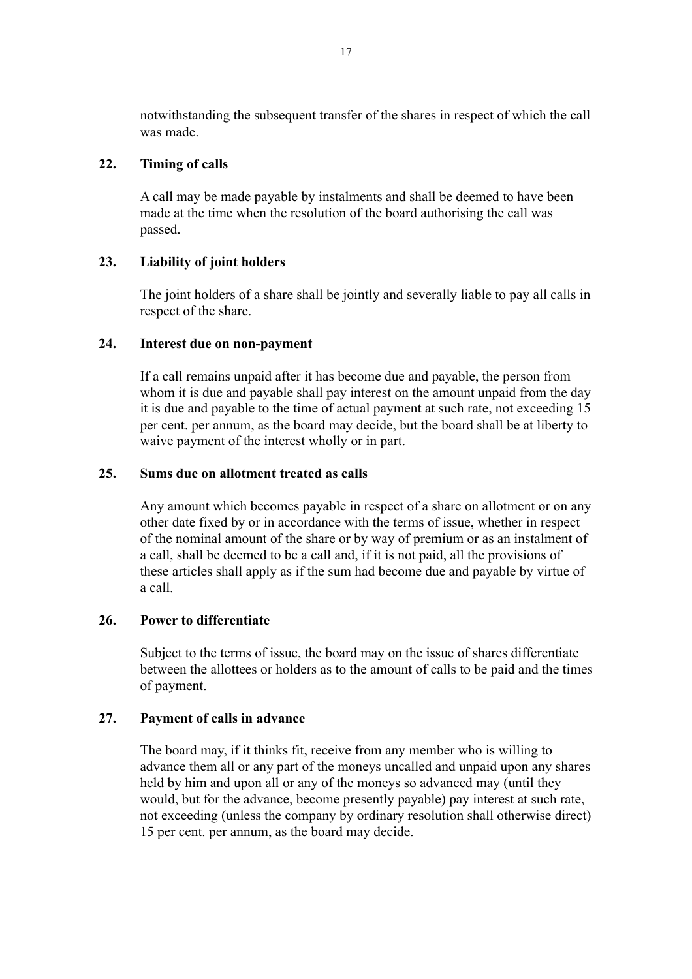notwithstanding the subsequent transfer of the shares in respect of which the call was made.

## **22. Timing of calls**

A call may be made payable by instalments and shall be deemed to have been made at the time when the resolution of the board authorising the call was passed.

## **23. Liability of joint holders**

The joint holders of a share shall be jointly and severally liable to pay all calls in respect of the share.

## **24. Interest due on non-payment**

If a call remains unpaid after it has become due and payable, the person from whom it is due and payable shall pay interest on the amount unpaid from the day it is due and payable to the time of actual payment at such rate, not exceeding 15 per cent. per annum, as the board may decide, but the board shall be at liberty to waive payment of the interest wholly or in part.

## **25. Sums due on allotment treated as calls**

Any amount which becomes payable in respect of a share on allotment or on any other date fixed by or in accordance with the terms of issue, whether in respect of the nominal amount of the share or by way of premium or as an instalment of a call, shall be deemed to be a call and, if it is not paid, all the provisions of these articles shall apply as if the sum had become due and payable by virtue of a call.

## **26. Power to differentiate**

Subject to the terms of issue, the board may on the issue of shares differentiate between the allottees or holders as to the amount of calls to be paid and the times of payment.

## **27. Payment of calls in advance**

The board may, if it thinks fit, receive from any member who is willing to advance them all or any part of the moneys uncalled and unpaid upon any shares held by him and upon all or any of the moneys so advanced may (until they would, but for the advance, become presently payable) pay interest at such rate, not exceeding (unless the company by ordinary resolution shall otherwise direct) 15 per cent. per annum, as the board may decide.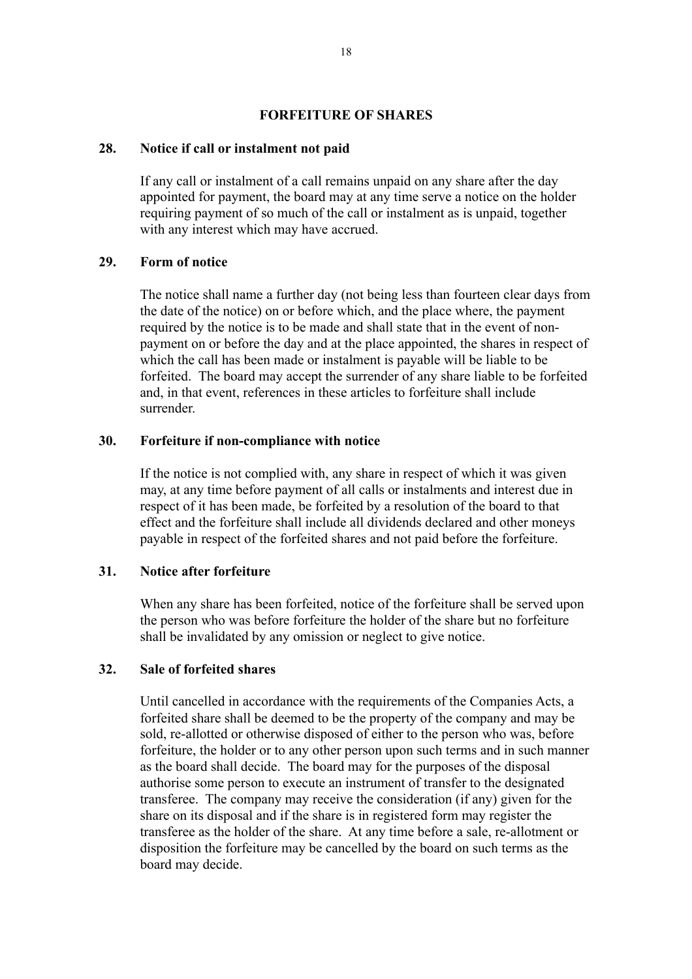#### **FORFEITURE OF SHARES**

#### **28. Notice if call or instalment not paid**

If any call or instalment of a call remains unpaid on any share after the day appointed for payment, the board may at any time serve a notice on the holder requiring payment of so much of the call or instalment as is unpaid, together with any interest which may have accrued.

#### **29. Form of notice**

The notice shall name a further day (not being less than fourteen clear days from the date of the notice) on or before which, and the place where, the payment required by the notice is to be made and shall state that in the event of nonpayment on or before the day and at the place appointed, the shares in respect of which the call has been made or instalment is payable will be liable to be forfeited. The board may accept the surrender of any share liable to be forfeited and, in that event, references in these articles to forfeiture shall include surrender.

### **30. Forfeiture if non-compliance with notice**

If the notice is not complied with, any share in respect of which it was given may, at any time before payment of all calls or instalments and interest due in respect of it has been made, be forfeited by a resolution of the board to that effect and the forfeiture shall include all dividends declared and other moneys payable in respect of the forfeited shares and not paid before the forfeiture.

#### **31. Notice after forfeiture**

When any share has been forfeited, notice of the forfeiture shall be served upon the person who was before forfeiture the holder of the share but no forfeiture shall be invalidated by any omission or neglect to give notice.

#### **32. Sale of forfeited shares**

Until cancelled in accordance with the requirements of the Companies Acts, a forfeited share shall be deemed to be the property of the company and may be sold, re-allotted or otherwise disposed of either to the person who was, before forfeiture, the holder or to any other person upon such terms and in such manner as the board shall decide. The board may for the purposes of the disposal authorise some person to execute an instrument of transfer to the designated transferee. The company may receive the consideration (if any) given for the share on its disposal and if the share is in registered form may register the transferee as the holder of the share. At any time before a sale, re-allotment or disposition the forfeiture may be cancelled by the board on such terms as the board may decide.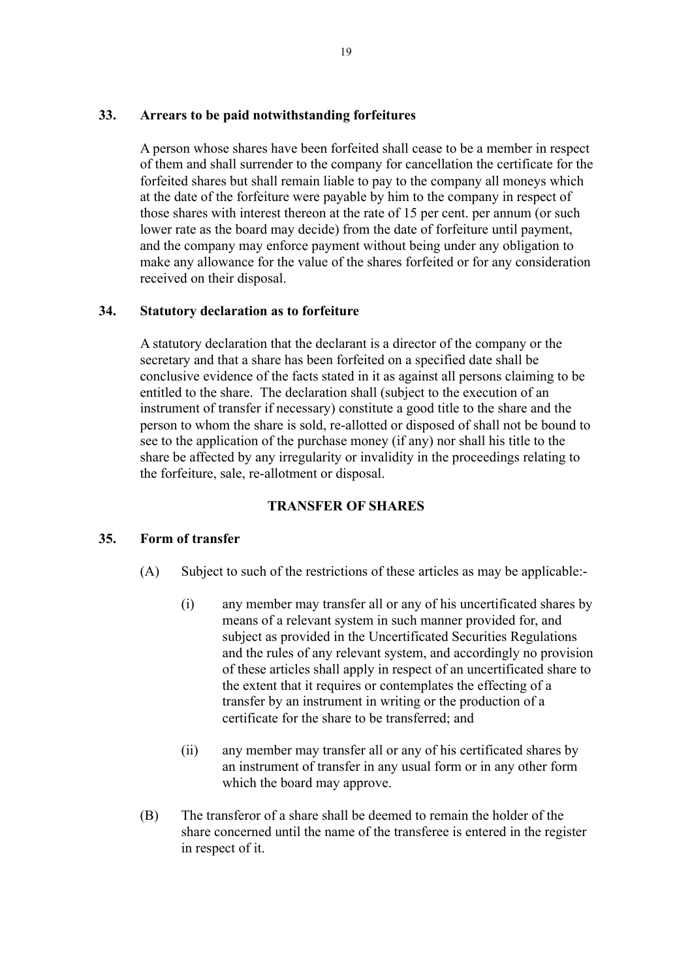## **33. Arrears to be paid notwithstanding forfeitures**

A person whose shares have been forfeited shall cease to be a member in respect of them and shall surrender to the company for cancellation the certificate for the forfeited shares but shall remain liable to pay to the company all moneys which at the date of the forfeiture were payable by him to the company in respect of those shares with interest thereon at the rate of 15 per cent. per annum (or such lower rate as the board may decide) from the date of forfeiture until payment, and the company may enforce payment without being under any obligation to make any allowance for the value of the shares forfeited or for any consideration received on their disposal.

## **34. Statutory declaration as to forfeiture**

A statutory declaration that the declarant is a director of the company or the secretary and that a share has been forfeited on a specified date shall be conclusive evidence of the facts stated in it as against all persons claiming to be entitled to the share. The declaration shall (subject to the execution of an instrument of transfer if necessary) constitute a good title to the share and the person to whom the share is sold, re-allotted or disposed of shall not be bound to see to the application of the purchase money (if any) nor shall his title to the share be affected by any irregularity or invalidity in the proceedings relating to the forfeiture, sale, re-allotment or disposal.

## **TRANSFER OF SHARES**

#### **35. Form of transfer**

- (A) Subject to such of the restrictions of these articles as may be applicable:-
	- (i) any member may transfer all or any of his uncertificated shares by means of a relevant system in such manner provided for, and subject as provided in the Uncertificated Securities Regulations and the rules of any relevant system, and accordingly no provision of these articles shall apply in respect of an uncertificated share to the extent that it requires or contemplates the effecting of a transfer by an instrument in writing or the production of a certificate for the share to be transferred; and
	- (ii) any member may transfer all or any of his certificated shares by an instrument of transfer in any usual form or in any other form which the board may approve.
- (B) The transferor of a share shall be deemed to remain the holder of the share concerned until the name of the transferee is entered in the register in respect of it.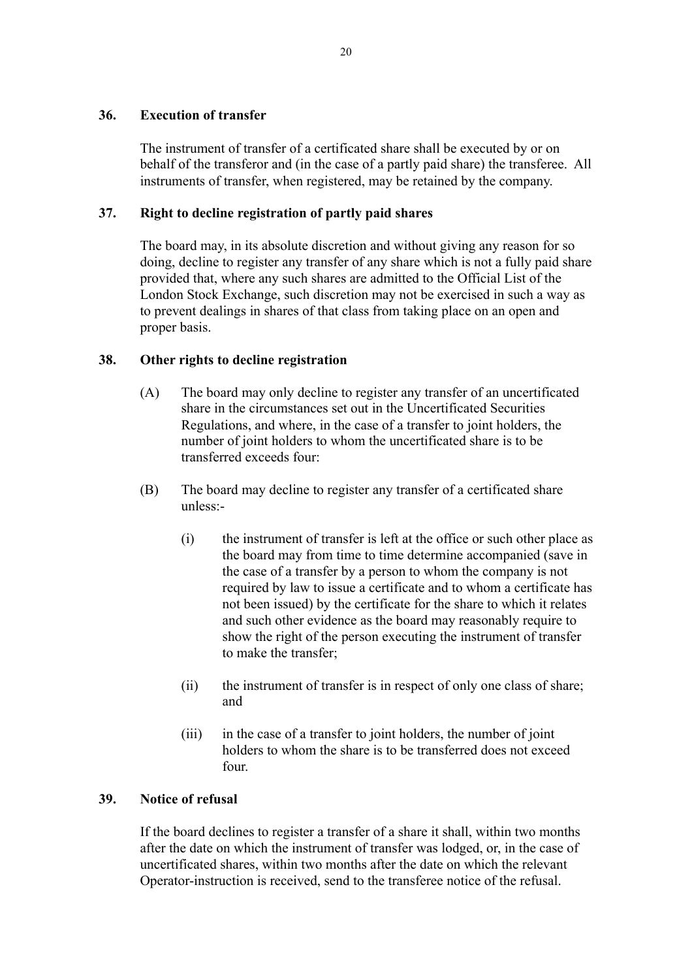## **36. Execution of transfer**

The instrument of transfer of a certificated share shall be executed by or on behalf of the transferor and (in the case of a partly paid share) the transferee. All instruments of transfer, when registered, may be retained by the company.

## **37. Right to decline registration of partly paid shares**

The board may, in its absolute discretion and without giving any reason for so doing, decline to register any transfer of any share which is not a fully paid share provided that, where any such shares are admitted to the Official List of the London Stock Exchange, such discretion may not be exercised in such a way as to prevent dealings in shares of that class from taking place on an open and proper basis.

## **38. Other rights to decline registration**

- (A) The board may only decline to register any transfer of an uncertificated share in the circumstances set out in the Uncertificated Securities Regulations, and where, in the case of a transfer to joint holders, the number of joint holders to whom the uncertificated share is to be transferred exceeds four:
- (B) The board may decline to register any transfer of a certificated share unless:-
	- (i) the instrument of transfer is left at the office or such other place as the board may from time to time determine accompanied (save in the case of a transfer by a person to whom the company is not required by law to issue a certificate and to whom a certificate has not been issued) by the certificate for the share to which it relates and such other evidence as the board may reasonably require to show the right of the person executing the instrument of transfer to make the transfer;
	- (ii) the instrument of transfer is in respect of only one class of share; and
	- (iii) in the case of a transfer to joint holders, the number of joint holders to whom the share is to be transferred does not exceed four.

## **39. Notice of refusal**

If the board declines to register a transfer of a share it shall, within two months after the date on which the instrument of transfer was lodged, or, in the case of uncertificated shares, within two months after the date on which the relevant Operator-instruction is received, send to the transferee notice of the refusal.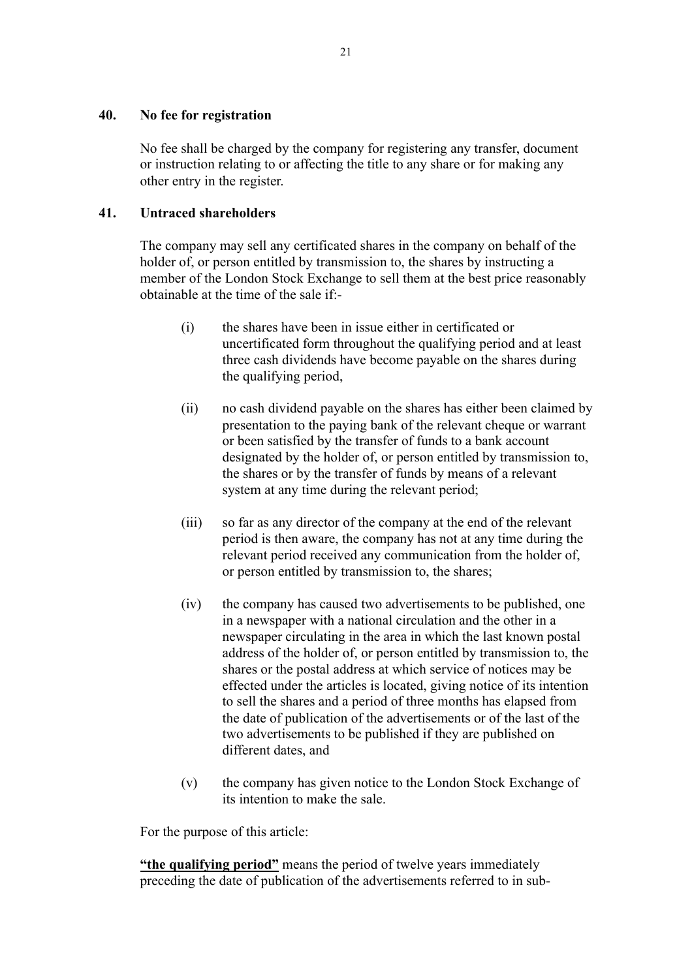### **40. No fee for registration**

No fee shall be charged by the company for registering any transfer, document or instruction relating to or affecting the title to any share or for making any other entry in the register.

## **41. Untraced shareholders**

The company may sell any certificated shares in the company on behalf of the holder of, or person entitled by transmission to, the shares by instructing a member of the London Stock Exchange to sell them at the best price reasonably obtainable at the time of the sale if:-

- (i) the shares have been in issue either in certificated or uncertificated form throughout the qualifying period and at least three cash dividends have become payable on the shares during the qualifying period,
- (ii) no cash dividend payable on the shares has either been claimed by presentation to the paying bank of the relevant cheque or warrant or been satisfied by the transfer of funds to a bank account designated by the holder of, or person entitled by transmission to, the shares or by the transfer of funds by means of a relevant system at any time during the relevant period;
- (iii) so far as any director of the company at the end of the relevant period is then aware, the company has not at any time during the relevant period received any communication from the holder of, or person entitled by transmission to, the shares;
- (iv) the company has caused two advertisements to be published, one in a newspaper with a national circulation and the other in a newspaper circulating in the area in which the last known postal address of the holder of, or person entitled by transmission to, the shares or the postal address at which service of notices may be effected under the articles is located, giving notice of its intention to sell the shares and a period of three months has elapsed from the date of publication of the advertisements or of the last of the two advertisements to be published if they are published on different dates, and
- (v) the company has given notice to the London Stock Exchange of its intention to make the sale.

For the purpose of this article:

**"the qualifying period"** means the period of twelve years immediately preceding the date of publication of the advertisements referred to in sub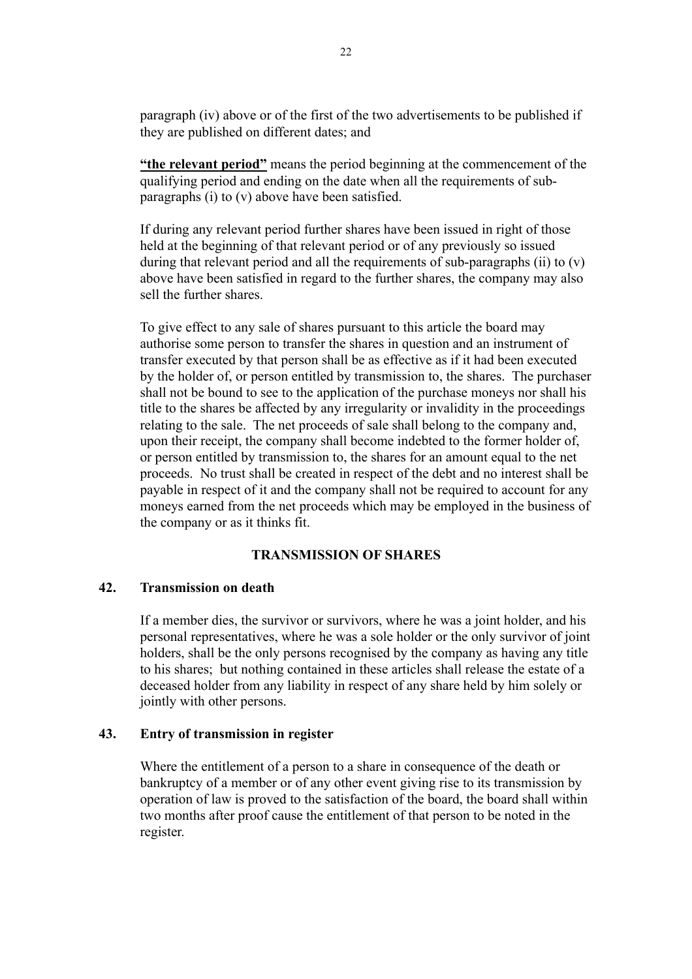paragraph (iv) above or of the first of the two advertisements to be published if they are published on different dates; and

**"the relevant period"** means the period beginning at the commencement of the qualifying period and ending on the date when all the requirements of subparagraphs (i) to (v) above have been satisfied.

If during any relevant period further shares have been issued in right of those held at the beginning of that relevant period or of any previously so issued during that relevant period and all the requirements of sub-paragraphs (ii) to  $(v)$ above have been satisfied in regard to the further shares, the company may also sell the further shares.

To give effect to any sale of shares pursuant to this article the board may authorise some person to transfer the shares in question and an instrument of transfer executed by that person shall be as effective as if it had been executed by the holder of, or person entitled by transmission to, the shares. The purchaser shall not be bound to see to the application of the purchase moneys nor shall his title to the shares be affected by any irregularity or invalidity in the proceedings relating to the sale. The net proceeds of sale shall belong to the company and, upon their receipt, the company shall become indebted to the former holder of, or person entitled by transmission to, the shares for an amount equal to the net proceeds. No trust shall be created in respect of the debt and no interest shall be payable in respect of it and the company shall not be required to account for any moneys earned from the net proceeds which may be employed in the business of the company or as it thinks fit.

## **TRANSMISSION OF SHARES**

#### **42. Transmission on death**

If a member dies, the survivor or survivors, where he was a joint holder, and his personal representatives, where he was a sole holder or the only survivor of joint holders, shall be the only persons recognised by the company as having any title to his shares; but nothing contained in these articles shall release the estate of a deceased holder from any liability in respect of any share held by him solely or jointly with other persons.

#### **43. Entry of transmission in register**

Where the entitlement of a person to a share in consequence of the death or bankruptcy of a member or of any other event giving rise to its transmission by operation of law is proved to the satisfaction of the board, the board shall within two months after proof cause the entitlement of that person to be noted in the register.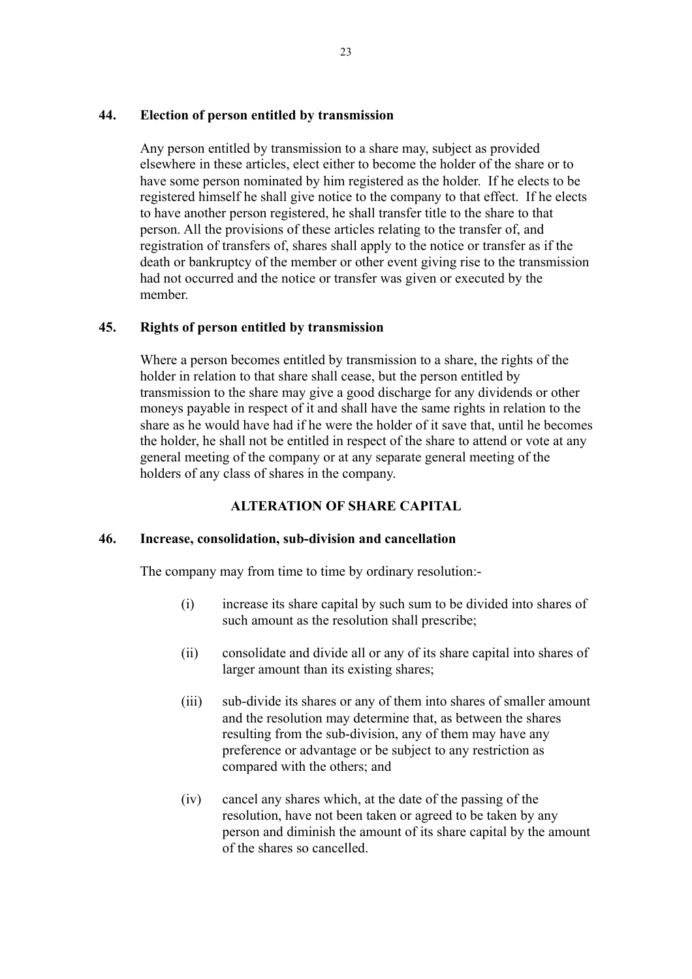#### **44. Election of person entitled by transmission**

Any person entitled by transmission to a share may, subject as provided elsewhere in these articles, elect either to become the holder of the share or to have some person nominated by him registered as the holder. If he elects to be registered himself he shall give notice to the company to that effect. If he elects to have another person registered, he shall transfer title to the share to that person. All the provisions of these articles relating to the transfer of, and registration of transfers of, shares shall apply to the notice or transfer as if the death or bankruptcy of the member or other event giving rise to the transmission had not occurred and the notice or transfer was given or executed by the member.

## **45. Rights of person entitled by transmission**

Where a person becomes entitled by transmission to a share, the rights of the holder in relation to that share shall cease, but the person entitled by transmission to the share may give a good discharge for any dividends or other moneys payable in respect of it and shall have the same rights in relation to the share as he would have had if he were the holder of it save that, until he becomes the holder, he shall not be entitled in respect of the share to attend or vote at any general meeting of the company or at any separate general meeting of the holders of any class of shares in the company.

## **ALTERATION OF SHARE CAPITAL**

#### **46. Increase, consolidation, sub-division and cancellation**

The company may from time to time by ordinary resolution:-

- (i) increase its share capital by such sum to be divided into shares of such amount as the resolution shall prescribe;
- (ii) consolidate and divide all or any of its share capital into shares of larger amount than its existing shares;
- (iii) sub-divide its shares or any of them into shares of smaller amount and the resolution may determine that, as between the shares resulting from the sub-division, any of them may have any preference or advantage or be subject to any restriction as compared with the others; and
- (iv) cancel any shares which, at the date of the passing of the resolution, have not been taken or agreed to be taken by any person and diminish the amount of its share capital by the amount of the shares so cancelled.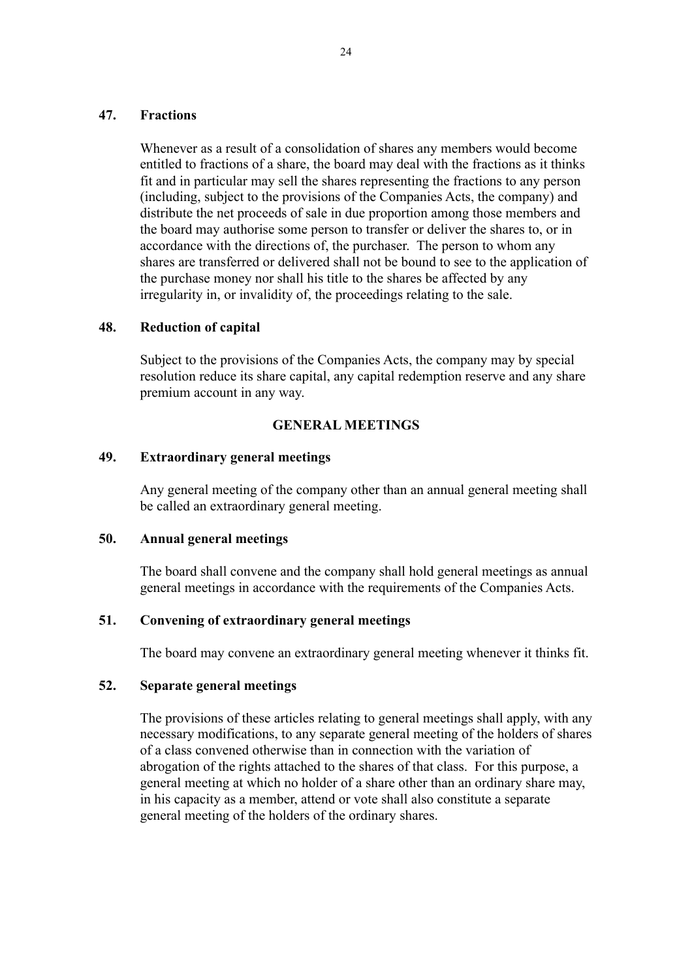#### **47. Fractions**

Whenever as a result of a consolidation of shares any members would become entitled to fractions of a share, the board may deal with the fractions as it thinks fit and in particular may sell the shares representing the fractions to any person (including, subject to the provisions of the Companies Acts, the company) and distribute the net proceeds of sale in due proportion among those members and the board may authorise some person to transfer or deliver the shares to, or in accordance with the directions of, the purchaser. The person to whom any shares are transferred or delivered shall not be bound to see to the application of the purchase money nor shall his title to the shares be affected by any irregularity in, or invalidity of, the proceedings relating to the sale.

#### **48. Reduction of capital**

Subject to the provisions of the Companies Acts, the company may by special resolution reduce its share capital, any capital redemption reserve and any share premium account in any way.

#### **GENERAL MEETINGS**

## **49. Extraordinary general meetings**

Any general meeting of the company other than an annual general meeting shall be called an extraordinary general meeting.

#### **50. Annual general meetings**

The board shall convene and the company shall hold general meetings as annual general meetings in accordance with the requirements of the Companies Acts.

#### **51. Convening of extraordinary general meetings**

The board may convene an extraordinary general meeting whenever it thinks fit.

## **52. Separate general meetings**

The provisions of these articles relating to general meetings shall apply, with any necessary modifications, to any separate general meeting of the holders of shares of a class convened otherwise than in connection with the variation of abrogation of the rights attached to the shares of that class. For this purpose, a general meeting at which no holder of a share other than an ordinary share may, in his capacity as a member, attend or vote shall also constitute a separate general meeting of the holders of the ordinary shares.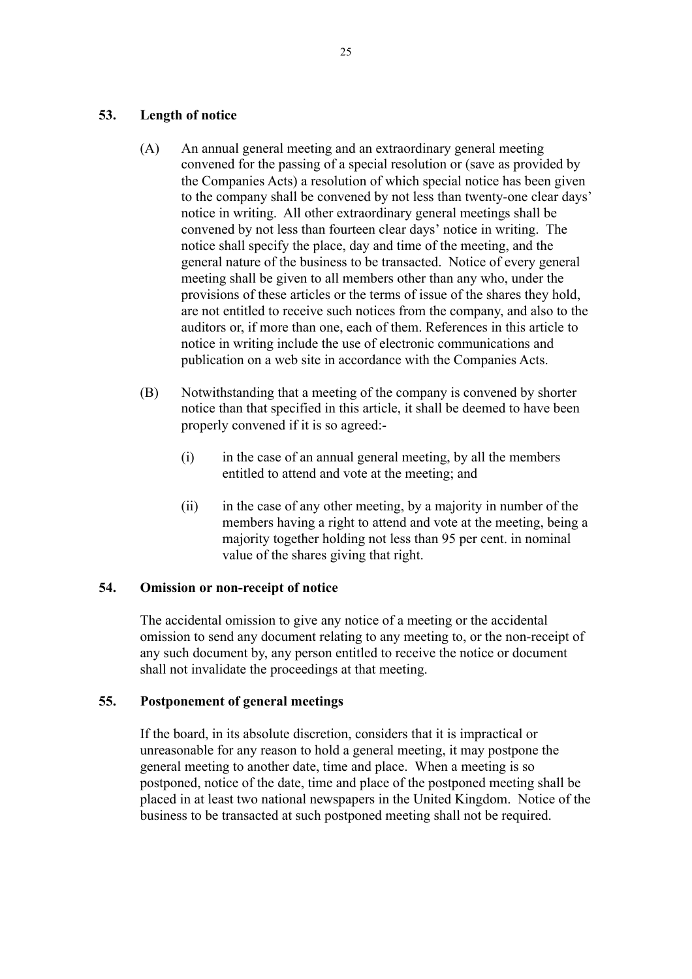### **53. Length of notice**

- (A) An annual general meeting and an extraordinary general meeting convened for the passing of a special resolution or (save as provided by the Companies Acts) a resolution of which special notice has been given to the company shall be convened by not less than twenty-one clear days' notice in writing. All other extraordinary general meetings shall be convened by not less than fourteen clear days' notice in writing. The notice shall specify the place, day and time of the meeting, and the general nature of the business to be transacted. Notice of every general meeting shall be given to all members other than any who, under the provisions of these articles or the terms of issue of the shares they hold, are not entitled to receive such notices from the company, and also to the auditors or, if more than one, each of them. References in this article to notice in writing include the use of electronic communications and publication on a web site in accordance with the Companies Acts.
- (B) Notwithstanding that a meeting of the company is convened by shorter notice than that specified in this article, it shall be deemed to have been properly convened if it is so agreed:-
	- (i) in the case of an annual general meeting, by all the members entitled to attend and vote at the meeting; and
	- (ii) in the case of any other meeting, by a majority in number of the members having a right to attend and vote at the meeting, being a majority together holding not less than 95 per cent. in nominal value of the shares giving that right.

## **54. Omission or non-receipt of notice**

The accidental omission to give any notice of a meeting or the accidental omission to send any document relating to any meeting to, or the non-receipt of any such document by, any person entitled to receive the notice or document shall not invalidate the proceedings at that meeting.

## **55. Postponement of general meetings**

If the board, in its absolute discretion, considers that it is impractical or unreasonable for any reason to hold a general meeting, it may postpone the general meeting to another date, time and place. When a meeting is so postponed, notice of the date, time and place of the postponed meeting shall be placed in at least two national newspapers in the United Kingdom. Notice of the business to be transacted at such postponed meeting shall not be required.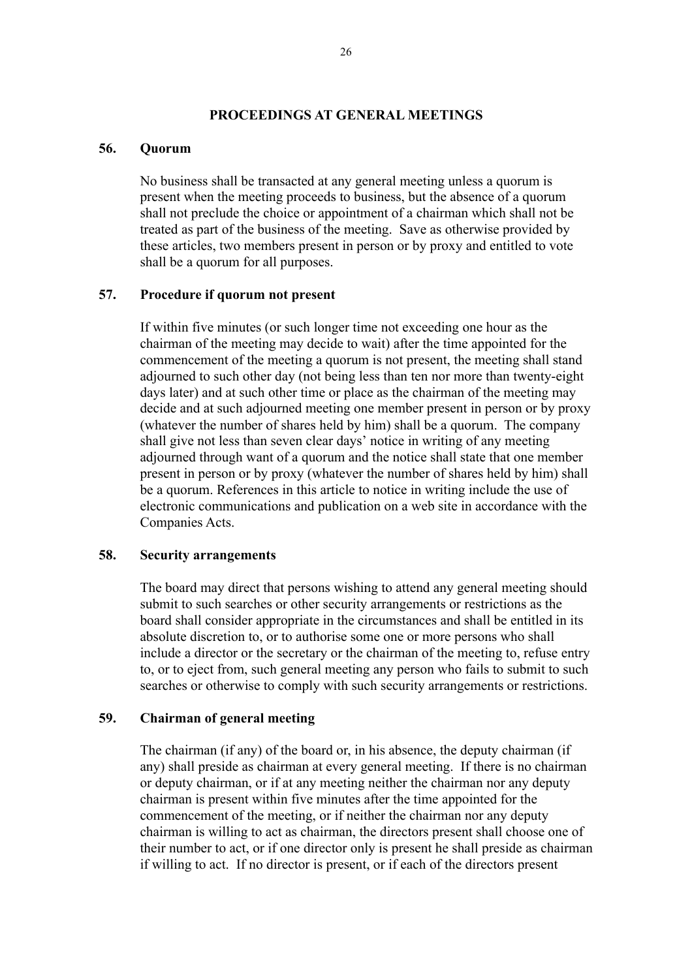#### **PROCEEDINGS AT GENERAL MEETINGS**

#### **56. Quorum**

No business shall be transacted at any general meeting unless a quorum is present when the meeting proceeds to business, but the absence of a quorum shall not preclude the choice or appointment of a chairman which shall not be treated as part of the business of the meeting. Save as otherwise provided by these articles, two members present in person or by proxy and entitled to vote shall be a quorum for all purposes.

#### **57. Procedure if quorum not present**

If within five minutes (or such longer time not exceeding one hour as the chairman of the meeting may decide to wait) after the time appointed for the commencement of the meeting a quorum is not present, the meeting shall stand adjourned to such other day (not being less than ten nor more than twenty-eight days later) and at such other time or place as the chairman of the meeting may decide and at such adjourned meeting one member present in person or by proxy (whatever the number of shares held by him) shall be a quorum. The company shall give not less than seven clear days' notice in writing of any meeting adjourned through want of a quorum and the notice shall state that one member present in person or by proxy (whatever the number of shares held by him) shall be a quorum. References in this article to notice in writing include the use of electronic communications and publication on a web site in accordance with the Companies Acts.

#### **58. Security arrangements**

The board may direct that persons wishing to attend any general meeting should submit to such searches or other security arrangements or restrictions as the board shall consider appropriate in the circumstances and shall be entitled in its absolute discretion to, or to authorise some one or more persons who shall include a director or the secretary or the chairman of the meeting to, refuse entry to, or to eject from, such general meeting any person who fails to submit to such searches or otherwise to comply with such security arrangements or restrictions.

## **59. Chairman of general meeting**

The chairman (if any) of the board or, in his absence, the deputy chairman (if any) shall preside as chairman at every general meeting. If there is no chairman or deputy chairman, or if at any meeting neither the chairman nor any deputy chairman is present within five minutes after the time appointed for the commencement of the meeting, or if neither the chairman nor any deputy chairman is willing to act as chairman, the directors present shall choose one of their number to act, or if one director only is present he shall preside as chairman if willing to act. If no director is present, or if each of the directors present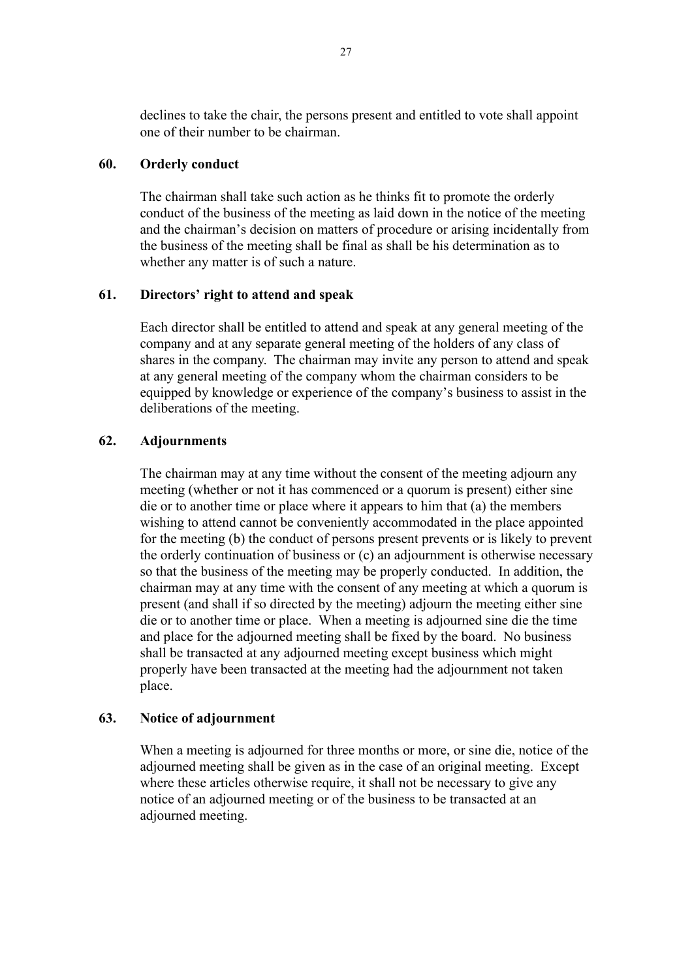declines to take the chair, the persons present and entitled to vote shall appoint one of their number to be chairman.

## **60. Orderly conduct**

The chairman shall take such action as he thinks fit to promote the orderly conduct of the business of the meeting as laid down in the notice of the meeting and the chairman's decision on matters of procedure or arising incidentally from the business of the meeting shall be final as shall be his determination as to whether any matter is of such a nature.

## **61. Directors' right to attend and speak**

Each director shall be entitled to attend and speak at any general meeting of the company and at any separate general meeting of the holders of any class of shares in the company. The chairman may invite any person to attend and speak at any general meeting of the company whom the chairman considers to be equipped by knowledge or experience of the company's business to assist in the deliberations of the meeting.

## **62. Adjournments**

The chairman may at any time without the consent of the meeting adjourn any meeting (whether or not it has commenced or a quorum is present) either sine die or to another time or place where it appears to him that (a) the members wishing to attend cannot be conveniently accommodated in the place appointed for the meeting (b) the conduct of persons present prevents or is likely to prevent the orderly continuation of business or (c) an adjournment is otherwise necessary so that the business of the meeting may be properly conducted. In addition, the chairman may at any time with the consent of any meeting at which a quorum is present (and shall if so directed by the meeting) adjourn the meeting either sine die or to another time or place. When a meeting is adjourned sine die the time and place for the adjourned meeting shall be fixed by the board. No business shall be transacted at any adjourned meeting except business which might properly have been transacted at the meeting had the adjournment not taken place.

#### **63. Notice of adjournment**

When a meeting is adjourned for three months or more, or sine die, notice of the adjourned meeting shall be given as in the case of an original meeting. Except where these articles otherwise require, it shall not be necessary to give any notice of an adjourned meeting or of the business to be transacted at an adjourned meeting.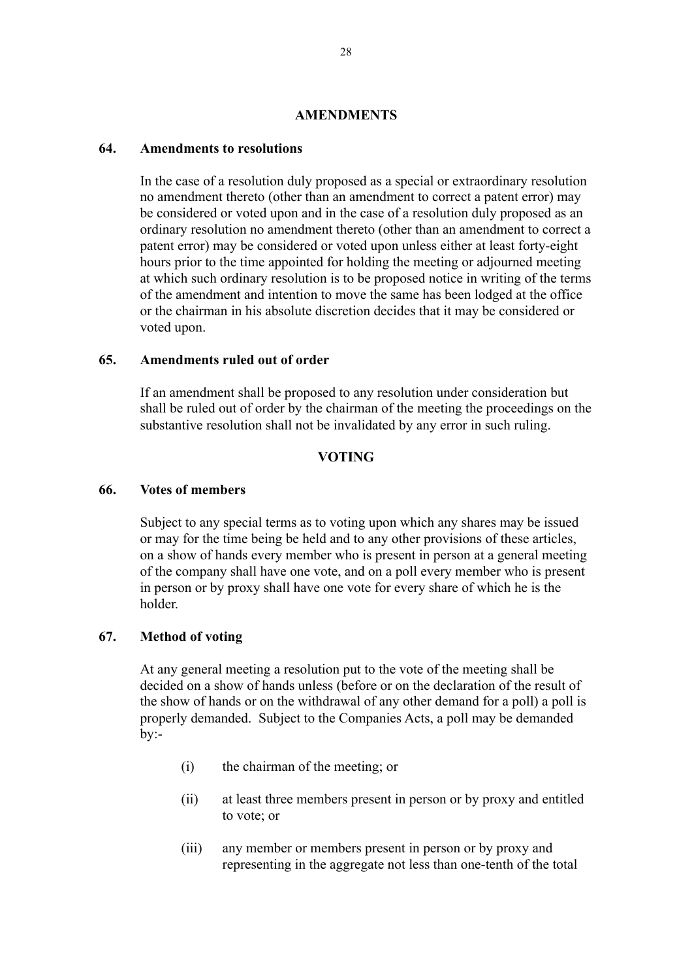#### **AMENDMENTS**

## **64. Amendments to resolutions**

In the case of a resolution duly proposed as a special or extraordinary resolution no amendment thereto (other than an amendment to correct a patent error) may be considered or voted upon and in the case of a resolution duly proposed as an ordinary resolution no amendment thereto (other than an amendment to correct a patent error) may be considered or voted upon unless either at least forty-eight hours prior to the time appointed for holding the meeting or adjourned meeting at which such ordinary resolution is to be proposed notice in writing of the terms of the amendment and intention to move the same has been lodged at the office or the chairman in his absolute discretion decides that it may be considered or voted upon.

#### **65. Amendments ruled out of order**

If an amendment shall be proposed to any resolution under consideration but shall be ruled out of order by the chairman of the meeting the proceedings on the substantive resolution shall not be invalidated by any error in such ruling.

## **VOTING**

#### **66. Votes of members**

Subject to any special terms as to voting upon which any shares may be issued or may for the time being be held and to any other provisions of these articles, on a show of hands every member who is present in person at a general meeting of the company shall have one vote, and on a poll every member who is present in person or by proxy shall have one vote for every share of which he is the holder.

#### **67. Method of voting**

At any general meeting a resolution put to the vote of the meeting shall be decided on a show of hands unless (before or on the declaration of the result of the show of hands or on the withdrawal of any other demand for a poll) a poll is properly demanded. Subject to the Companies Acts, a poll may be demanded  $bv$ :-

- (i) the chairman of the meeting; or
- (ii) at least three members present in person or by proxy and entitled to vote; or
- (iii) any member or members present in person or by proxy and representing in the aggregate not less than one-tenth of the total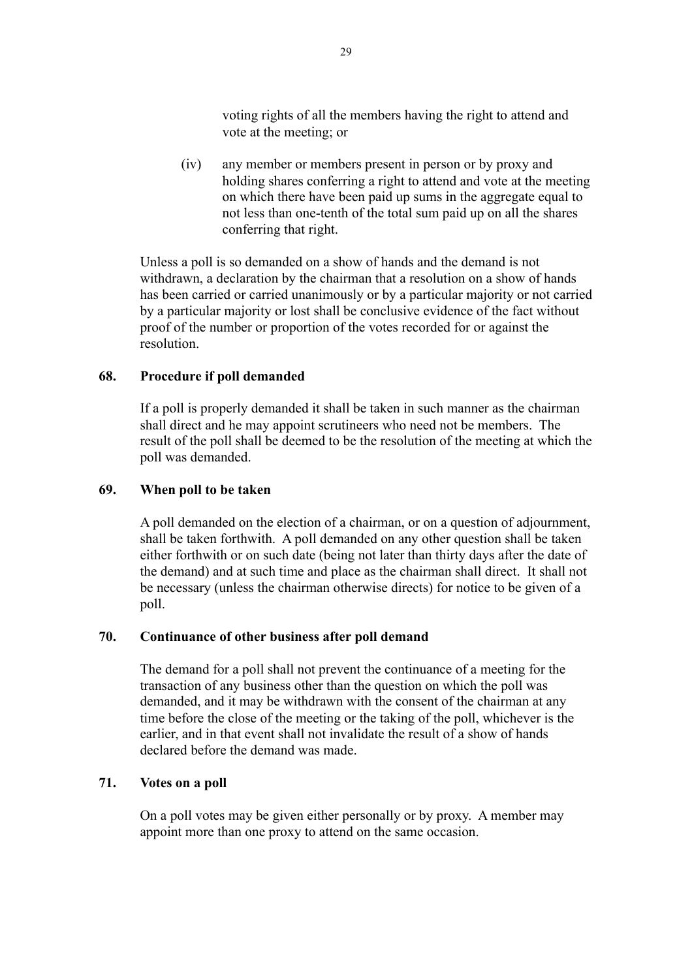voting rights of all the members having the right to attend and vote at the meeting; or

(iv) any member or members present in person or by proxy and holding shares conferring a right to attend and vote at the meeting on which there have been paid up sums in the aggregate equal to not less than one-tenth of the total sum paid up on all the shares conferring that right.

Unless a poll is so demanded on a show of hands and the demand is not withdrawn, a declaration by the chairman that a resolution on a show of hands has been carried or carried unanimously or by a particular majority or not carried by a particular majority or lost shall be conclusive evidence of the fact without proof of the number or proportion of the votes recorded for or against the resolution.

## **68. Procedure if poll demanded**

If a poll is properly demanded it shall be taken in such manner as the chairman shall direct and he may appoint scrutineers who need not be members. The result of the poll shall be deemed to be the resolution of the meeting at which the poll was demanded.

#### **69. When poll to be taken**

A poll demanded on the election of a chairman, or on a question of adjournment, shall be taken forthwith. A poll demanded on any other question shall be taken either forthwith or on such date (being not later than thirty days after the date of the demand) and at such time and place as the chairman shall direct. It shall not be necessary (unless the chairman otherwise directs) for notice to be given of a poll.

### **70. Continuance of other business after poll demand**

The demand for a poll shall not prevent the continuance of a meeting for the transaction of any business other than the question on which the poll was demanded, and it may be withdrawn with the consent of the chairman at any time before the close of the meeting or the taking of the poll, whichever is the earlier, and in that event shall not invalidate the result of a show of hands declared before the demand was made.

## **71. Votes on a poll**

On a poll votes may be given either personally or by proxy. A member may appoint more than one proxy to attend on the same occasion.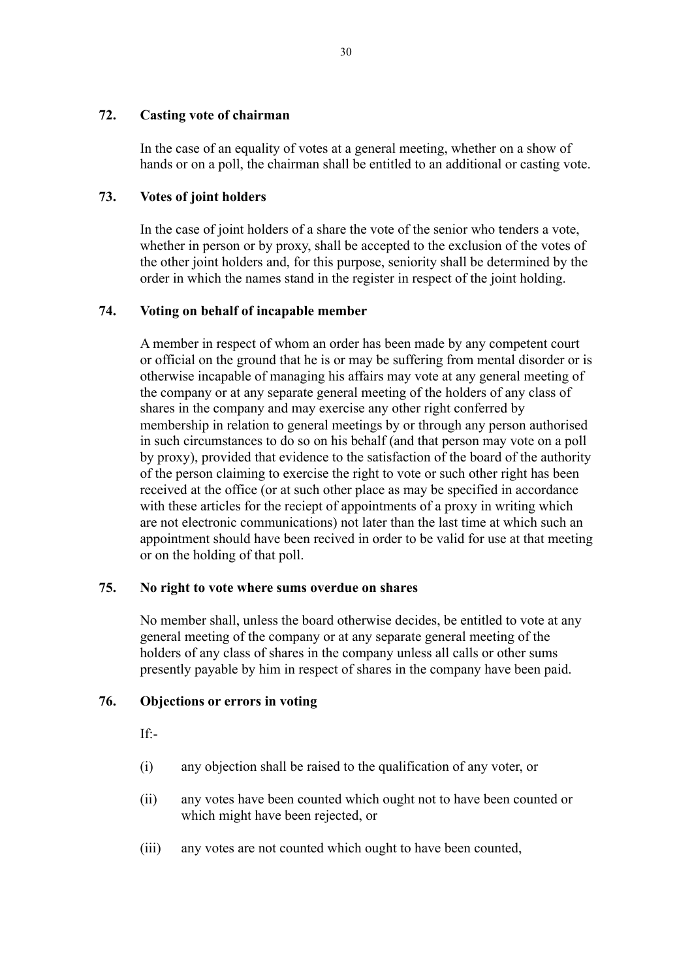## **72. Casting vote of chairman**

In the case of an equality of votes at a general meeting, whether on a show of hands or on a poll, the chairman shall be entitled to an additional or casting vote.

## **73. Votes of joint holders**

In the case of joint holders of a share the vote of the senior who tenders a vote, whether in person or by proxy, shall be accepted to the exclusion of the votes of the other joint holders and, for this purpose, seniority shall be determined by the order in which the names stand in the register in respect of the joint holding.

## **74. Voting on behalf of incapable member**

A member in respect of whom an order has been made by any competent court or official on the ground that he is or may be suffering from mental disorder or is otherwise incapable of managing his affairs may vote at any general meeting of the company or at any separate general meeting of the holders of any class of shares in the company and may exercise any other right conferred by membership in relation to general meetings by or through any person authorised in such circumstances to do so on his behalf (and that person may vote on a poll by proxy), provided that evidence to the satisfaction of the board of the authority of the person claiming to exercise the right to vote or such other right has been received at the office (or at such other place as may be specified in accordance with these articles for the reciept of appointments of a proxy in writing which are not electronic communications) not later than the last time at which such an appointment should have been recived in order to be valid for use at that meeting or on the holding of that poll.

## **75. No right to vote where sums overdue on shares**

No member shall, unless the board otherwise decides, be entitled to vote at any general meeting of the company or at any separate general meeting of the holders of any class of shares in the company unless all calls or other sums presently payable by him in respect of shares in the company have been paid.

## **76. Objections or errors in voting**

If:-

- (i) any objection shall be raised to the qualification of any voter, or
- (ii) any votes have been counted which ought not to have been counted or which might have been rejected, or
- (iii) any votes are not counted which ought to have been counted,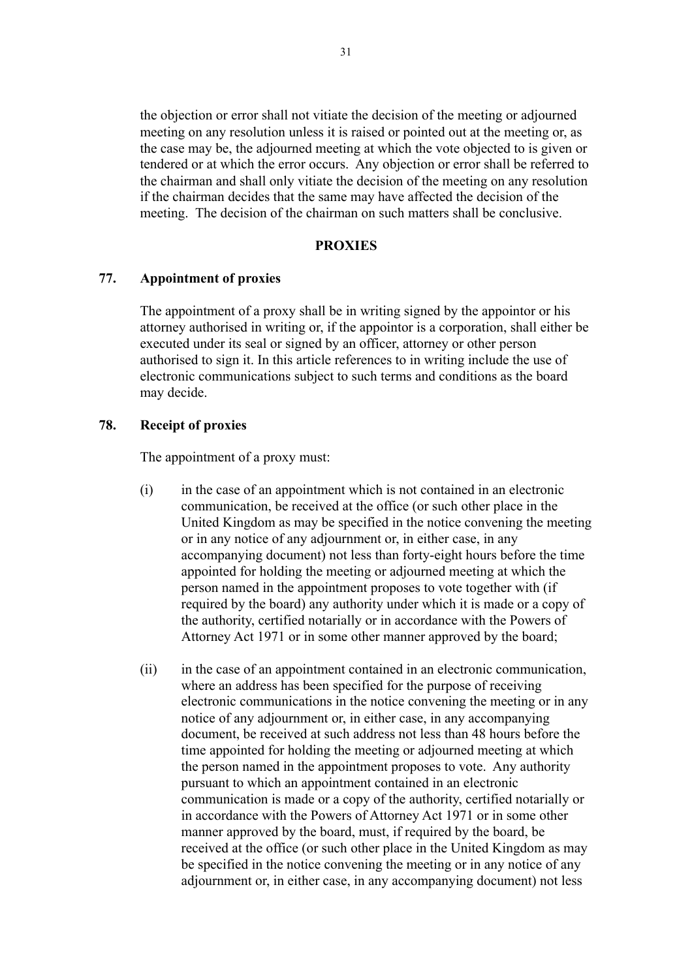the objection or error shall not vitiate the decision of the meeting or adjourned meeting on any resolution unless it is raised or pointed out at the meeting or, as the case may be, the adjourned meeting at which the vote objected to is given or tendered or at which the error occurs. Any objection or error shall be referred to the chairman and shall only vitiate the decision of the meeting on any resolution if the chairman decides that the same may have affected the decision of the meeting. The decision of the chairman on such matters shall be conclusive.

#### **PROXIES**

#### **77. Appointment of proxies**

The appointment of a proxy shall be in writing signed by the appointor or his attorney authorised in writing or, if the appointor is a corporation, shall either be executed under its seal or signed by an officer, attorney or other person authorised to sign it. In this article references to in writing include the use of electronic communications subject to such terms and conditions as the board may decide.

#### **78. Receipt of proxies**

The appointment of a proxy must:

- (i) in the case of an appointment which is not contained in an electronic communication, be received at the office (or such other place in the United Kingdom as may be specified in the notice convening the meeting or in any notice of any adjournment or, in either case, in any accompanying document) not less than forty-eight hours before the time appointed for holding the meeting or adjourned meeting at which the person named in the appointment proposes to vote together with (if required by the board) any authority under which it is made or a copy of the authority, certified notarially or in accordance with the Powers of Attorney Act 1971 or in some other manner approved by the board;
- (ii) in the case of an appointment contained in an electronic communication, where an address has been specified for the purpose of receiving electronic communications in the notice convening the meeting or in any notice of any adjournment or, in either case, in any accompanying document, be received at such address not less than 48 hours before the time appointed for holding the meeting or adjourned meeting at which the person named in the appointment proposes to vote. Any authority pursuant to which an appointment contained in an electronic communication is made or a copy of the authority, certified notarially or in accordance with the Powers of Attorney Act 1971 or in some other manner approved by the board, must, if required by the board, be received at the office (or such other place in the United Kingdom as may be specified in the notice convening the meeting or in any notice of any adjournment or, in either case, in any accompanying document) not less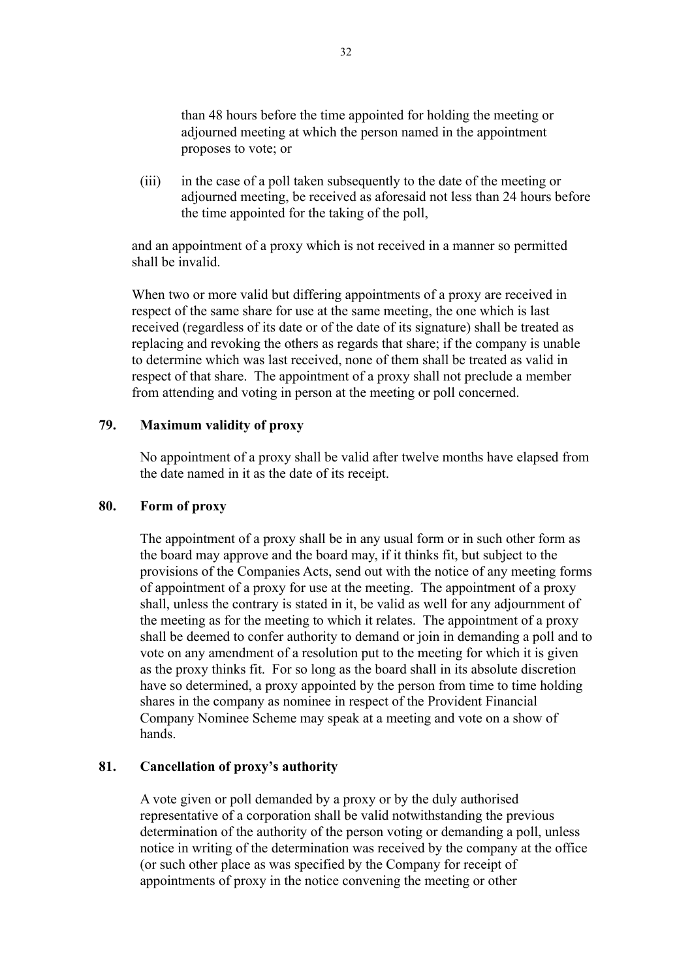than 48 hours before the time appointed for holding the meeting or adjourned meeting at which the person named in the appointment proposes to vote; or

(iii) in the case of a poll taken subsequently to the date of the meeting or adjourned meeting, be received as aforesaid not less than 24 hours before the time appointed for the taking of the poll,

and an appointment of a proxy which is not received in a manner so permitted shall be invalid.

When two or more valid but differing appointments of a proxy are received in respect of the same share for use at the same meeting, the one which is last received (regardless of its date or of the date of its signature) shall be treated as replacing and revoking the others as regards that share; if the company is unable to determine which was last received, none of them shall be treated as valid in respect of that share. The appointment of a proxy shall not preclude a member from attending and voting in person at the meeting or poll concerned.

#### **79. Maximum validity of proxy**

No appointment of a proxy shall be valid after twelve months have elapsed from the date named in it as the date of its receipt.

## **80. Form of proxy**

The appointment of a proxy shall be in any usual form or in such other form as the board may approve and the board may, if it thinks fit, but subject to the provisions of the Companies Acts, send out with the notice of any meeting forms of appointment of a proxy for use at the meeting. The appointment of a proxy shall, unless the contrary is stated in it, be valid as well for any adjournment of the meeting as for the meeting to which it relates. The appointment of a proxy shall be deemed to confer authority to demand or join in demanding a poll and to vote on any amendment of a resolution put to the meeting for which it is given as the proxy thinks fit. For so long as the board shall in its absolute discretion have so determined, a proxy appointed by the person from time to time holding shares in the company as nominee in respect of the Provident Financial Company Nominee Scheme may speak at a meeting and vote on a show of hands.

#### **81. Cancellation of proxy's authority**

A vote given or poll demanded by a proxy or by the duly authorised representative of a corporation shall be valid notwithstanding the previous determination of the authority of the person voting or demanding a poll, unless notice in writing of the determination was received by the company at the office (or such other place as was specified by the Company for receipt of appointments of proxy in the notice convening the meeting or other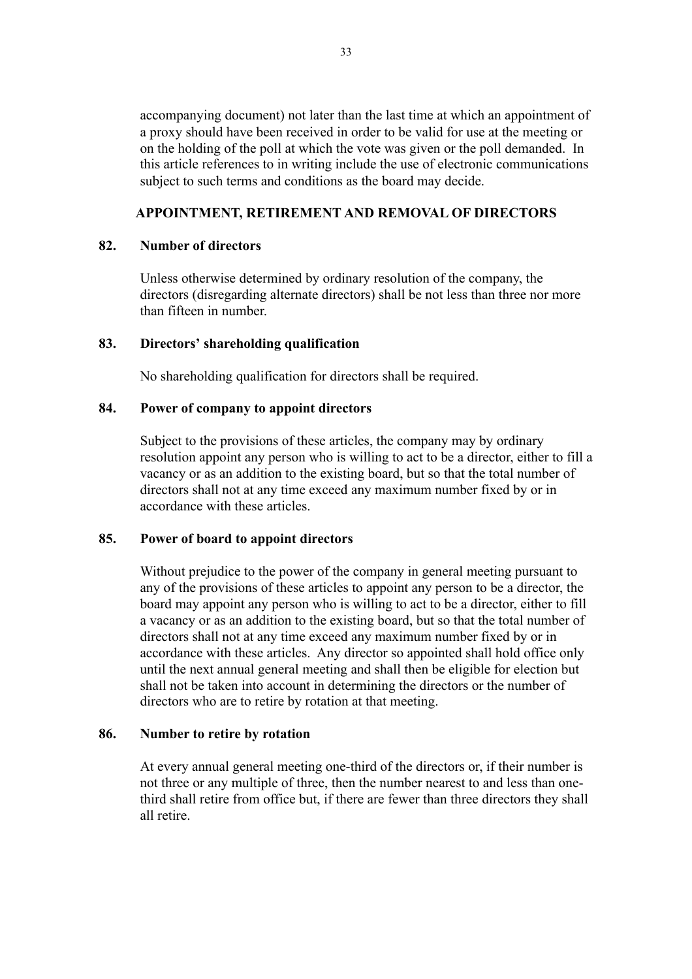accompanying document) not later than the last time at which an appointment of a proxy should have been received in order to be valid for use at the meeting or on the holding of the poll at which the vote was given or the poll demanded. In this article references to in writing include the use of electronic communications subject to such terms and conditions as the board may decide.

## **APPOINTMENT, RETIREMENT AND REMOVAL OF DIRECTORS**

#### **82. Number of directors**

Unless otherwise determined by ordinary resolution of the company, the directors (disregarding alternate directors) shall be not less than three nor more than fifteen in number.

#### **83. Directors' shareholding qualification**

No shareholding qualification for directors shall be required.

#### **84. Power of company to appoint directors**

Subject to the provisions of these articles, the company may by ordinary resolution appoint any person who is willing to act to be a director, either to fill a vacancy or as an addition to the existing board, but so that the total number of directors shall not at any time exceed any maximum number fixed by or in accordance with these articles.

#### **85. Power of board to appoint directors**

Without prejudice to the power of the company in general meeting pursuant to any of the provisions of these articles to appoint any person to be a director, the board may appoint any person who is willing to act to be a director, either to fill a vacancy or as an addition to the existing board, but so that the total number of directors shall not at any time exceed any maximum number fixed by or in accordance with these articles. Any director so appointed shall hold office only until the next annual general meeting and shall then be eligible for election but shall not be taken into account in determining the directors or the number of directors who are to retire by rotation at that meeting.

#### **86. Number to retire by rotation**

At every annual general meeting one-third of the directors or, if their number is not three or any multiple of three, then the number nearest to and less than onethird shall retire from office but, if there are fewer than three directors they shall all retire.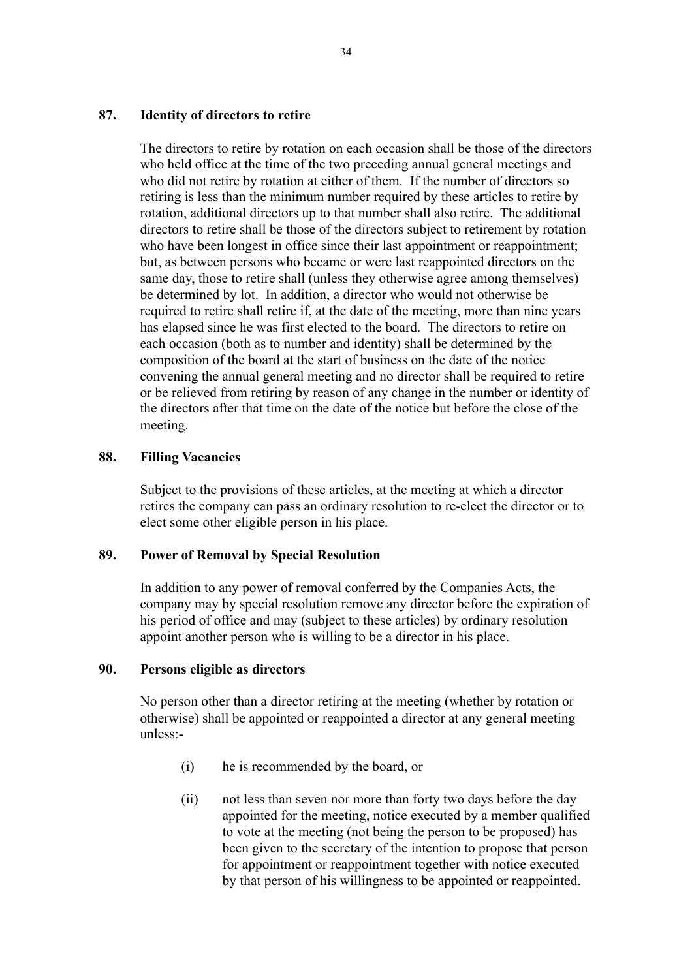## **87. Identity of directors to retire**

The directors to retire by rotation on each occasion shall be those of the directors who held office at the time of the two preceding annual general meetings and who did not retire by rotation at either of them. If the number of directors so retiring is less than the minimum number required by these articles to retire by rotation, additional directors up to that number shall also retire. The additional directors to retire shall be those of the directors subject to retirement by rotation who have been longest in office since their last appointment or reappointment; but, as between persons who became or were last reappointed directors on the same day, those to retire shall (unless they otherwise agree among themselves) be determined by lot. In addition, a director who would not otherwise be required to retire shall retire if, at the date of the meeting, more than nine years has elapsed since he was first elected to the board. The directors to retire on each occasion (both as to number and identity) shall be determined by the composition of the board at the start of business on the date of the notice convening the annual general meeting and no director shall be required to retire or be relieved from retiring by reason of any change in the number or identity of the directors after that time on the date of the notice but before the close of the meeting.

## **88. Filling Vacancies**

Subject to the provisions of these articles, at the meeting at which a director retires the company can pass an ordinary resolution to re-elect the director or to elect some other eligible person in his place.

## **89. Power of Removal by Special Resolution**

In addition to any power of removal conferred by the Companies Acts, the company may by special resolution remove any director before the expiration of his period of office and may (subject to these articles) by ordinary resolution appoint another person who is willing to be a director in his place.

## **90. Persons eligible as directors**

No person other than a director retiring at the meeting (whether by rotation or otherwise) shall be appointed or reappointed a director at any general meeting unless:-

- (i) he is recommended by the board, or
- (ii) not less than seven nor more than forty two days before the day appointed for the meeting, notice executed by a member qualified to vote at the meeting (not being the person to be proposed) has been given to the secretary of the intention to propose that person for appointment or reappointment together with notice executed by that person of his willingness to be appointed or reappointed.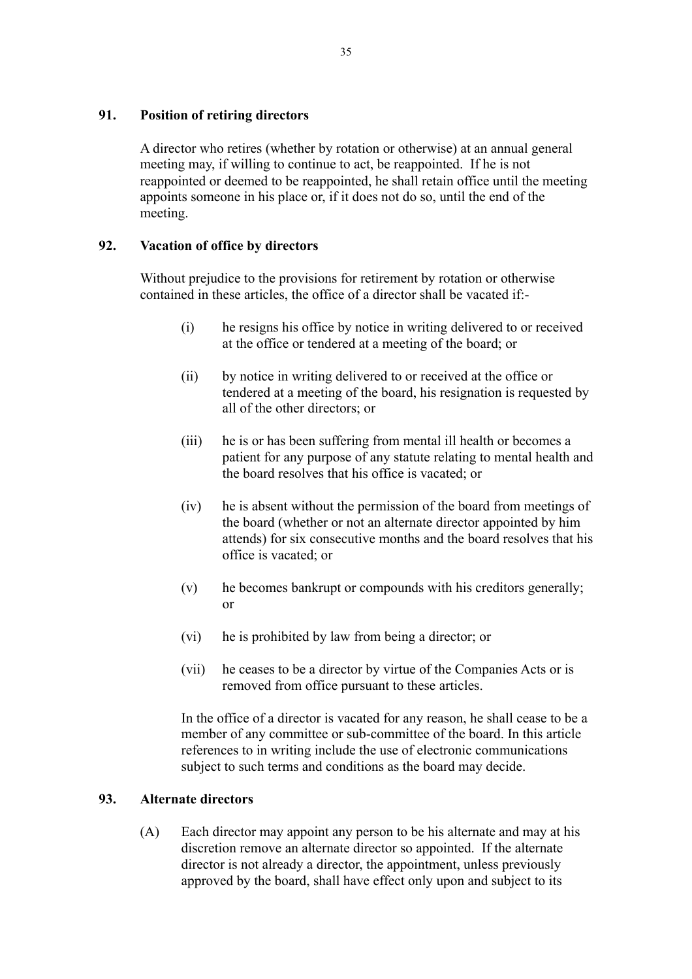## **91. Position of retiring directors**

A director who retires (whether by rotation or otherwise) at an annual general meeting may, if willing to continue to act, be reappointed. If he is not reappointed or deemed to be reappointed, he shall retain office until the meeting appoints someone in his place or, if it does not do so, until the end of the meeting.

## **92. Vacation of office by directors**

Without prejudice to the provisions for retirement by rotation or otherwise contained in these articles, the office of a director shall be vacated if:-

- (i) he resigns his office by notice in writing delivered to or received at the office or tendered at a meeting of the board; or
- (ii) by notice in writing delivered to or received at the office or tendered at a meeting of the board, his resignation is requested by all of the other directors; or
- (iii) he is or has been suffering from mental ill health or becomes a patient for any purpose of any statute relating to mental health and the board resolves that his office is vacated; or
- (iv) he is absent without the permission of the board from meetings of the board (whether or not an alternate director appointed by him attends) for six consecutive months and the board resolves that his office is vacated; or
- (v) he becomes bankrupt or compounds with his creditors generally; or
- (vi) he is prohibited by law from being a director; or
- (vii) he ceases to be a director by virtue of the Companies Acts or is removed from office pursuant to these articles.

In the office of a director is vacated for any reason, he shall cease to be a member of any committee or sub-committee of the board. In this article references to in writing include the use of electronic communications subject to such terms and conditions as the board may decide.

## **93. Alternate directors**

(A) Each director may appoint any person to be his alternate and may at his discretion remove an alternate director so appointed. If the alternate director is not already a director, the appointment, unless previously approved by the board, shall have effect only upon and subject to its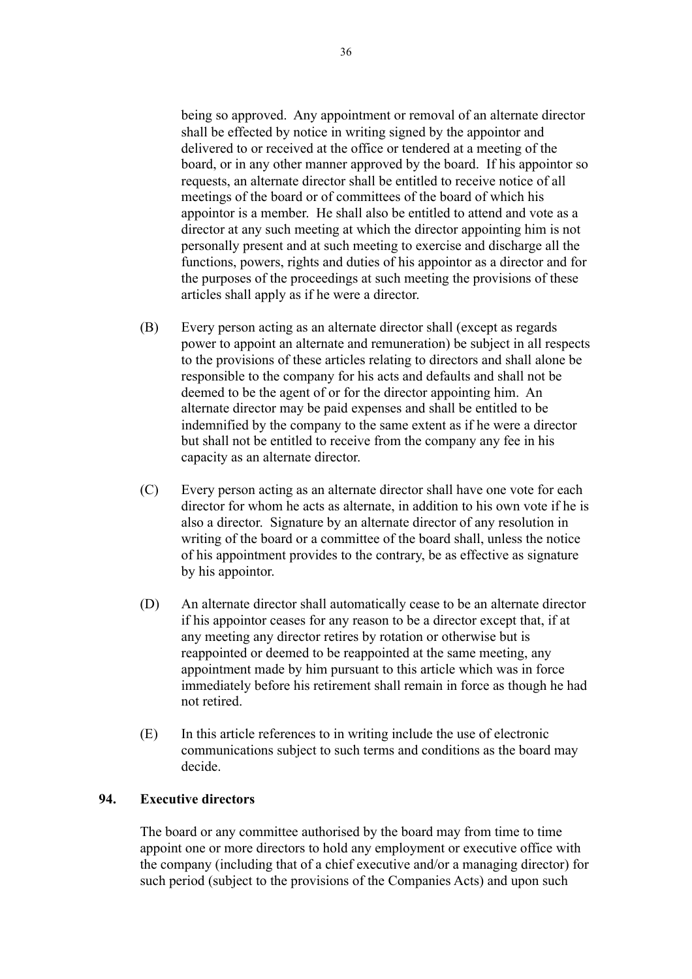being so approved. Any appointment or removal of an alternate director shall be effected by notice in writing signed by the appointor and delivered to or received at the office or tendered at a meeting of the board, or in any other manner approved by the board. If his appointor so requests, an alternate director shall be entitled to receive notice of all meetings of the board or of committees of the board of which his appointor is a member. He shall also be entitled to attend and vote as a director at any such meeting at which the director appointing him is not personally present and at such meeting to exercise and discharge all the functions, powers, rights and duties of his appointor as a director and for the purposes of the proceedings at such meeting the provisions of these articles shall apply as if he were a director.

- (B) Every person acting as an alternate director shall (except as regards power to appoint an alternate and remuneration) be subject in all respects to the provisions of these articles relating to directors and shall alone be responsible to the company for his acts and defaults and shall not be deemed to be the agent of or for the director appointing him. An alternate director may be paid expenses and shall be entitled to be indemnified by the company to the same extent as if he were a director but shall not be entitled to receive from the company any fee in his capacity as an alternate director.
- (C) Every person acting as an alternate director shall have one vote for each director for whom he acts as alternate, in addition to his own vote if he is also a director. Signature by an alternate director of any resolution in writing of the board or a committee of the board shall, unless the notice of his appointment provides to the contrary, be as effective as signature by his appointor.
- (D) An alternate director shall automatically cease to be an alternate director if his appointor ceases for any reason to be a director except that, if at any meeting any director retires by rotation or otherwise but is reappointed or deemed to be reappointed at the same meeting, any appointment made by him pursuant to this article which was in force immediately before his retirement shall remain in force as though he had not retired.
- (E) In this article references to in writing include the use of electronic communications subject to such terms and conditions as the board may decide.

## **94. Executive directors**

The board or any committee authorised by the board may from time to time appoint one or more directors to hold any employment or executive office with the company (including that of a chief executive and/or a managing director) for such period (subject to the provisions of the Companies Acts) and upon such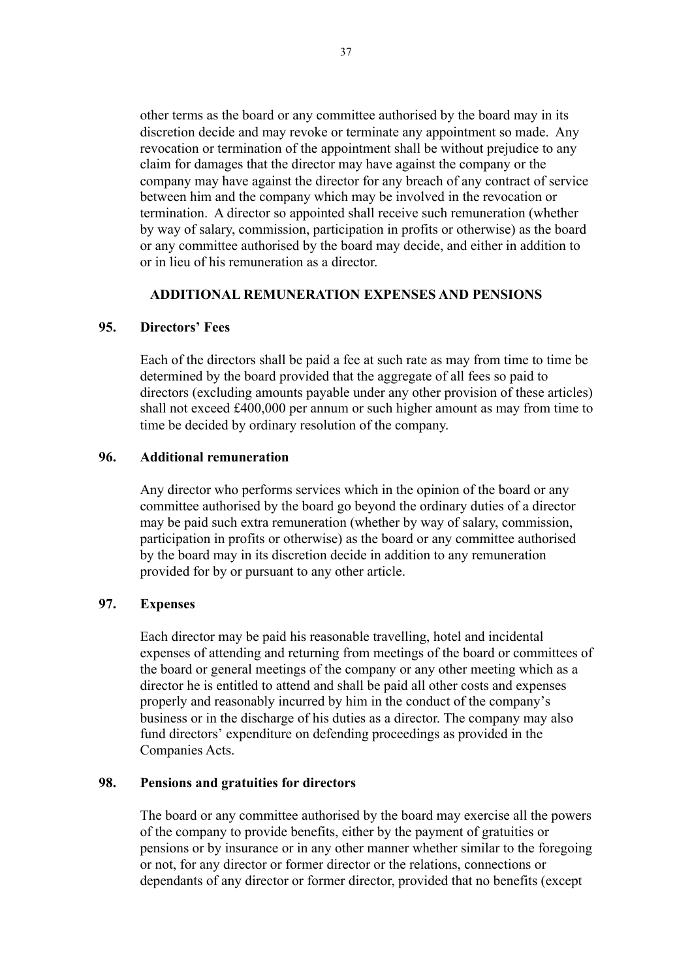other terms as the board or any committee authorised by the board may in its discretion decide and may revoke or terminate any appointment so made. Any revocation or termination of the appointment shall be without prejudice to any claim for damages that the director may have against the company or the company may have against the director for any breach of any contract of service between him and the company which may be involved in the revocation or termination. A director so appointed shall receive such remuneration (whether by way of salary, commission, participation in profits or otherwise) as the board or any committee authorised by the board may decide, and either in addition to or in lieu of his remuneration as a director.

#### **ADDITIONAL REMUNERATION EXPENSES AND PENSIONS**

#### **95. Directors' Fees**

Each of the directors shall be paid a fee at such rate as may from time to time be determined by the board provided that the aggregate of all fees so paid to directors (excluding amounts payable under any other provision of these articles) shall not exceed £400,000 per annum or such higher amount as may from time to time be decided by ordinary resolution of the company.

#### **96. Additional remuneration**

Any director who performs services which in the opinion of the board or any committee authorised by the board go beyond the ordinary duties of a director may be paid such extra remuneration (whether by way of salary, commission, participation in profits or otherwise) as the board or any committee authorised by the board may in its discretion decide in addition to any remuneration provided for by or pursuant to any other article.

#### **97. Expenses**

Each director may be paid his reasonable travelling, hotel and incidental expenses of attending and returning from meetings of the board or committees of the board or general meetings of the company or any other meeting which as a director he is entitled to attend and shall be paid all other costs and expenses properly and reasonably incurred by him in the conduct of the company's business or in the discharge of his duties as a director. The company may also fund directors' expenditure on defending proceedings as provided in the Companies Acts.

#### **98. Pensions and gratuities for directors**

The board or any committee authorised by the board may exercise all the powers of the company to provide benefits, either by the payment of gratuities or pensions or by insurance or in any other manner whether similar to the foregoing or not, for any director or former director or the relations, connections or dependants of any director or former director, provided that no benefits (except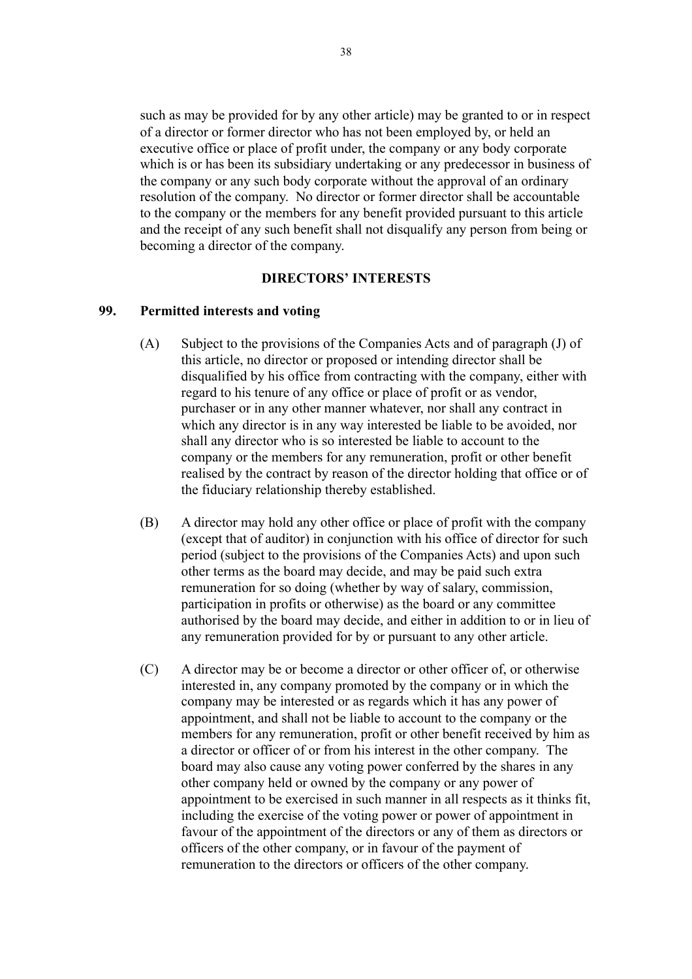such as may be provided for by any other article) may be granted to or in respect of a director or former director who has not been employed by, or held an executive office or place of profit under, the company or any body corporate which is or has been its subsidiary undertaking or any predecessor in business of the company or any such body corporate without the approval of an ordinary resolution of the company. No director or former director shall be accountable to the company or the members for any benefit provided pursuant to this article and the receipt of any such benefit shall not disqualify any person from being or becoming a director of the company.

#### **DIRECTORS' INTERESTS**

#### **99. Permitted interests and voting**

- (A) Subject to the provisions of the Companies Acts and of paragraph (J) of this article, no director or proposed or intending director shall be disqualified by his office from contracting with the company, either with regard to his tenure of any office or place of profit or as vendor, purchaser or in any other manner whatever, nor shall any contract in which any director is in any way interested be liable to be avoided, nor shall any director who is so interested be liable to account to the company or the members for any remuneration, profit or other benefit realised by the contract by reason of the director holding that office or of the fiduciary relationship thereby established.
- (B) A director may hold any other office or place of profit with the company (except that of auditor) in conjunction with his office of director for such period (subject to the provisions of the Companies Acts) and upon such other terms as the board may decide, and may be paid such extra remuneration for so doing (whether by way of salary, commission, participation in profits or otherwise) as the board or any committee authorised by the board may decide, and either in addition to or in lieu of any remuneration provided for by or pursuant to any other article.
- (C) A director may be or become a director or other officer of, or otherwise interested in, any company promoted by the company or in which the company may be interested or as regards which it has any power of appointment, and shall not be liable to account to the company or the members for any remuneration, profit or other benefit received by him as a director or officer of or from his interest in the other company. The board may also cause any voting power conferred by the shares in any other company held or owned by the company or any power of appointment to be exercised in such manner in all respects as it thinks fit, including the exercise of the voting power or power of appointment in favour of the appointment of the directors or any of them as directors or officers of the other company, or in favour of the payment of remuneration to the directors or officers of the other company.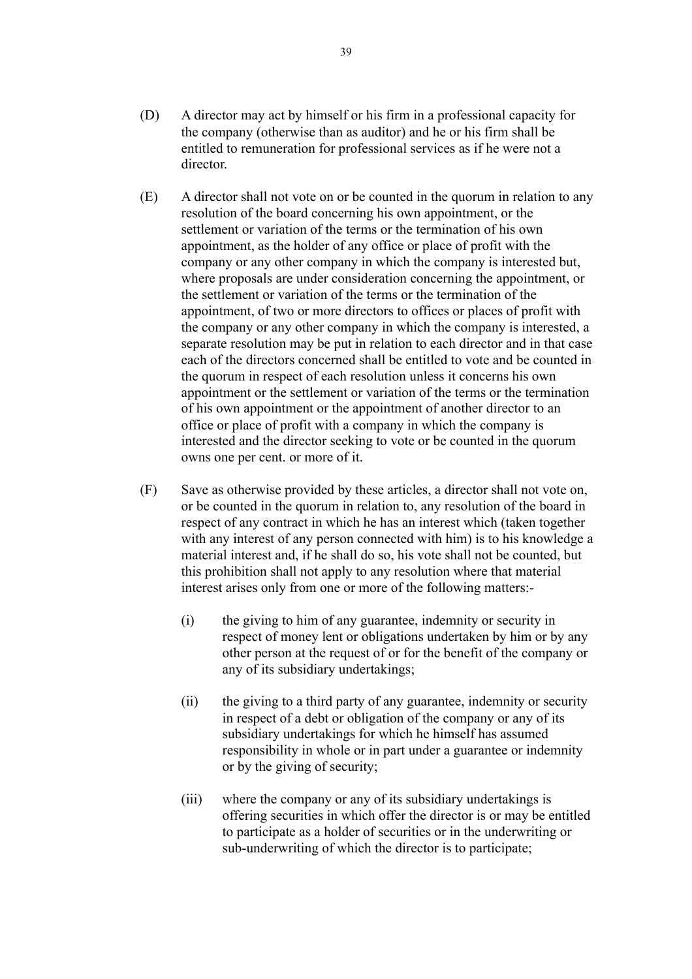- (D) A director may act by himself or his firm in a professional capacity for the company (otherwise than as auditor) and he or his firm shall be entitled to remuneration for professional services as if he were not a director.
- (E) A director shall not vote on or be counted in the quorum in relation to any resolution of the board concerning his own appointment, or the settlement or variation of the terms or the termination of his own appointment, as the holder of any office or place of profit with the company or any other company in which the company is interested but, where proposals are under consideration concerning the appointment, or the settlement or variation of the terms or the termination of the appointment, of two or more directors to offices or places of profit with the company or any other company in which the company is interested, a separate resolution may be put in relation to each director and in that case each of the directors concerned shall be entitled to vote and be counted in the quorum in respect of each resolution unless it concerns his own appointment or the settlement or variation of the terms or the termination of his own appointment or the appointment of another director to an office or place of profit with a company in which the company is interested and the director seeking to vote or be counted in the quorum owns one per cent. or more of it.
- (F) Save as otherwise provided by these articles, a director shall not vote on, or be counted in the quorum in relation to, any resolution of the board in respect of any contract in which he has an interest which (taken together with any interest of any person connected with him) is to his knowledge a material interest and, if he shall do so, his vote shall not be counted, but this prohibition shall not apply to any resolution where that material interest arises only from one or more of the following matters:-
	- (i) the giving to him of any guarantee, indemnity or security in respect of money lent or obligations undertaken by him or by any other person at the request of or for the benefit of the company or any of its subsidiary undertakings;
	- (ii) the giving to a third party of any guarantee, indemnity or security in respect of a debt or obligation of the company or any of its subsidiary undertakings for which he himself has assumed responsibility in whole or in part under a guarantee or indemnity or by the giving of security;
	- (iii) where the company or any of its subsidiary undertakings is offering securities in which offer the director is or may be entitled to participate as a holder of securities or in the underwriting or sub-underwriting of which the director is to participate;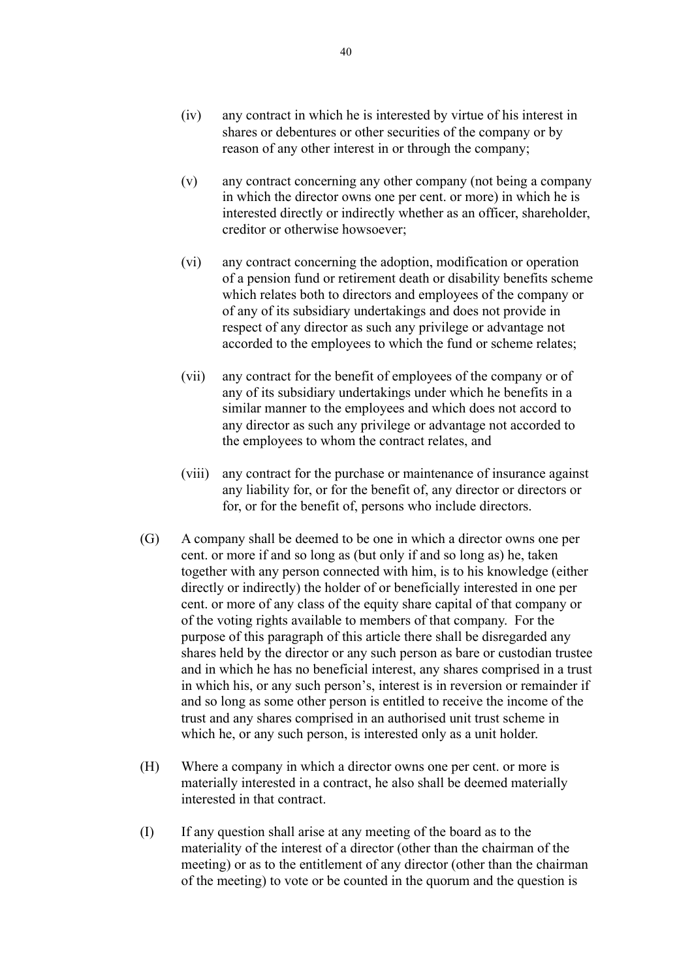- (iv) any contract in which he is interested by virtue of his interest in shares or debentures or other securities of the company or by reason of any other interest in or through the company;
- (v) any contract concerning any other company (not being a company in which the director owns one per cent. or more) in which he is interested directly or indirectly whether as an officer, shareholder, creditor or otherwise howsoever;
- (vi) any contract concerning the adoption, modification or operation of a pension fund or retirement death or disability benefits scheme which relates both to directors and employees of the company or of any of its subsidiary undertakings and does not provide in respect of any director as such any privilege or advantage not accorded to the employees to which the fund or scheme relates;
- (vii) any contract for the benefit of employees of the company or of any of its subsidiary undertakings under which he benefits in a similar manner to the employees and which does not accord to any director as such any privilege or advantage not accorded to the employees to whom the contract relates, and
- (viii) any contract for the purchase or maintenance of insurance against any liability for, or for the benefit of, any director or directors or for, or for the benefit of, persons who include directors.
- (G) A company shall be deemed to be one in which a director owns one per cent. or more if and so long as (but only if and so long as) he, taken together with any person connected with him, is to his knowledge (either directly or indirectly) the holder of or beneficially interested in one per cent. or more of any class of the equity share capital of that company or of the voting rights available to members of that company. For the purpose of this paragraph of this article there shall be disregarded any shares held by the director or any such person as bare or custodian trustee and in which he has no beneficial interest, any shares comprised in a trust in which his, or any such person's, interest is in reversion or remainder if and so long as some other person is entitled to receive the income of the trust and any shares comprised in an authorised unit trust scheme in which he, or any such person, is interested only as a unit holder.
- (H) Where a company in which a director owns one per cent. or more is materially interested in a contract, he also shall be deemed materially interested in that contract.
- (I) If any question shall arise at any meeting of the board as to the materiality of the interest of a director (other than the chairman of the meeting) or as to the entitlement of any director (other than the chairman of the meeting) to vote or be counted in the quorum and the question is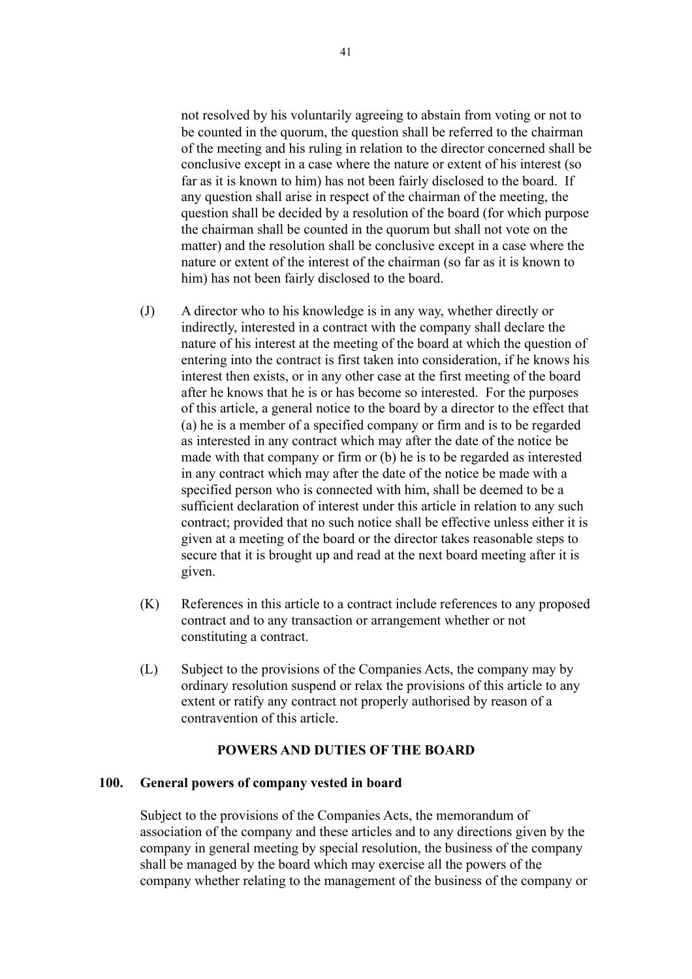not resolved by his voluntarily agreeing to abstain from voting or not to be counted in the quorum, the question shall be referred to the chairman of the meeting and his ruling in relation to the director concerned shall be conclusive except in a case where the nature or extent of his interest (so far as it is known to him) has not been fairly disclosed to the board. If any question shall arise in respect of the chairman of the meeting, the question shall be decided by a resolution of the board (for which purpose the chairman shall be counted in the quorum but shall not vote on the matter) and the resolution shall be conclusive except in a case where the nature or extent of the interest of the chairman (so far as it is known to him) has not been fairly disclosed to the board.

- (J) A director who to his knowledge is in any way, whether directly or indirectly, interested in a contract with the company shall declare the nature of his interest at the meeting of the board at which the question of entering into the contract is first taken into consideration, if he knows his interest then exists, or in any other case at the first meeting of the board after he knows that he is or has become so interested. For the purposes of this article, a general notice to the board by a director to the effect that (a) he is a member of a specified company or firm and is to be regarded as interested in any contract which may after the date of the notice be made with that company or firm or (b) he is to be regarded as interested in any contract which may after the date of the notice be made with a specified person who is connected with him, shall be deemed to be a sufficient declaration of interest under this article in relation to any such contract; provided that no such notice shall be effective unless either it is given at a meeting of the board or the director takes reasonable steps to secure that it is brought up and read at the next board meeting after it is given.
- (K) References in this article to a contract include references to any proposed contract and to any transaction or arrangement whether or not constituting a contract.
- (L) Subject to the provisions of the Companies Acts, the company may by ordinary resolution suspend or relax the provisions of this article to any extent or ratify any contract not properly authorised by reason of a contravention of this article.

#### **POWERS AND DUTIES OF THE BOARD**

#### **100. General powers of company vested in board**

Subject to the provisions of the Companies Acts, the memorandum of association of the company and these articles and to any directions given by the company in general meeting by special resolution, the business of the company shall be managed by the board which may exercise all the powers of the company whether relating to the management of the business of the company or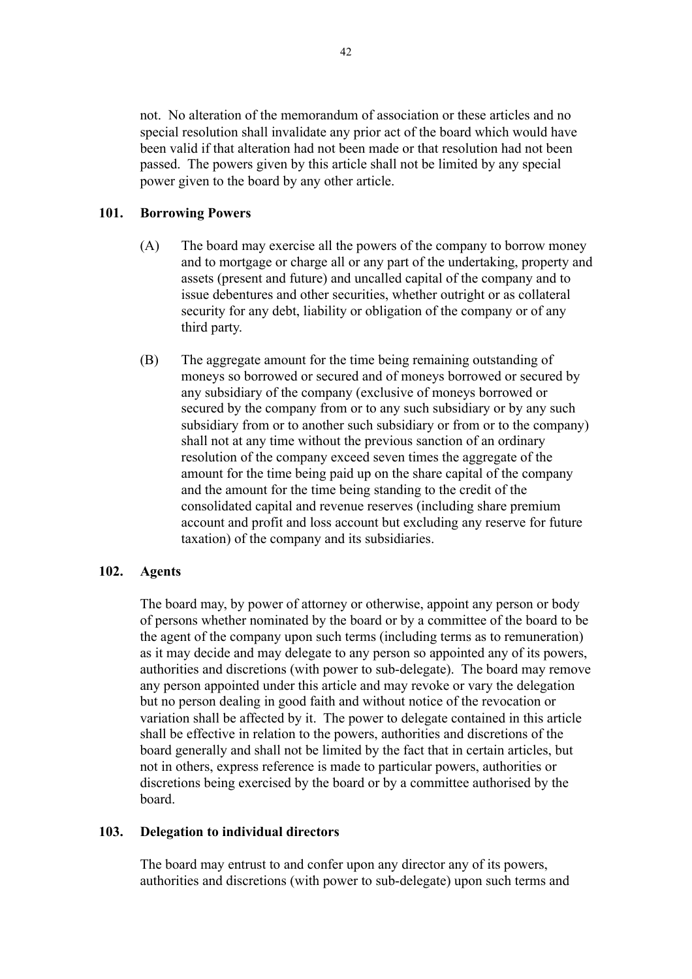not. No alteration of the memorandum of association or these articles and no special resolution shall invalidate any prior act of the board which would have been valid if that alteration had not been made or that resolution had not been passed. The powers given by this article shall not be limited by any special power given to the board by any other article.

## **101. Borrowing Powers**

- (A) The board may exercise all the powers of the company to borrow money and to mortgage or charge all or any part of the undertaking, property and assets (present and future) and uncalled capital of the company and to issue debentures and other securities, whether outright or as collateral security for any debt, liability or obligation of the company or of any third party.
- (B) The aggregate amount for the time being remaining outstanding of moneys so borrowed or secured and of moneys borrowed or secured by any subsidiary of the company (exclusive of moneys borrowed or secured by the company from or to any such subsidiary or by any such subsidiary from or to another such subsidiary or from or to the company) shall not at any time without the previous sanction of an ordinary resolution of the company exceed seven times the aggregate of the amount for the time being paid up on the share capital of the company and the amount for the time being standing to the credit of the consolidated capital and revenue reserves (including share premium account and profit and loss account but excluding any reserve for future taxation) of the company and its subsidiaries.

## **102. Agents**

The board may, by power of attorney or otherwise, appoint any person or body of persons whether nominated by the board or by a committee of the board to be the agent of the company upon such terms (including terms as to remuneration) as it may decide and may delegate to any person so appointed any of its powers, authorities and discretions (with power to sub-delegate). The board may remove any person appointed under this article and may revoke or vary the delegation but no person dealing in good faith and without notice of the revocation or variation shall be affected by it. The power to delegate contained in this article shall be effective in relation to the powers, authorities and discretions of the board generally and shall not be limited by the fact that in certain articles, but not in others, express reference is made to particular powers, authorities or discretions being exercised by the board or by a committee authorised by the board.

#### **103. Delegation to individual directors**

The board may entrust to and confer upon any director any of its powers, authorities and discretions (with power to sub-delegate) upon such terms and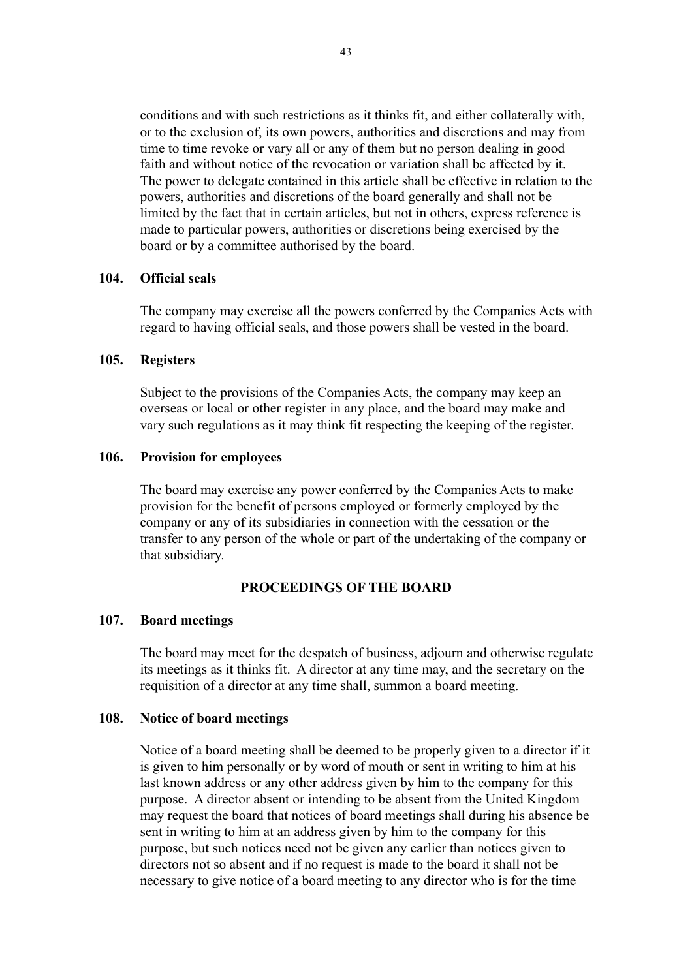conditions and with such restrictions as it thinks fit, and either collaterally with, or to the exclusion of, its own powers, authorities and discretions and may from time to time revoke or vary all or any of them but no person dealing in good faith and without notice of the revocation or variation shall be affected by it. The power to delegate contained in this article shall be effective in relation to the powers, authorities and discretions of the board generally and shall not be limited by the fact that in certain articles, but not in others, express reference is made to particular powers, authorities or discretions being exercised by the board or by a committee authorised by the board.

#### **104. Official seals**

The company may exercise all the powers conferred by the Companies Acts with regard to having official seals, and those powers shall be vested in the board.

#### **105. Registers**

Subject to the provisions of the Companies Acts, the company may keep an overseas or local or other register in any place, and the board may make and vary such regulations as it may think fit respecting the keeping of the register.

#### **106. Provision for employees**

The board may exercise any power conferred by the Companies Acts to make provision for the benefit of persons employed or formerly employed by the company or any of its subsidiaries in connection with the cessation or the transfer to any person of the whole or part of the undertaking of the company or that subsidiary.

#### **PROCEEDINGS OF THE BOARD**

#### **107. Board meetings**

The board may meet for the despatch of business, adjourn and otherwise regulate its meetings as it thinks fit. A director at any time may, and the secretary on the requisition of a director at any time shall, summon a board meeting.

#### **108. Notice of board meetings**

Notice of a board meeting shall be deemed to be properly given to a director if it is given to him personally or by word of mouth or sent in writing to him at his last known address or any other address given by him to the company for this purpose. A director absent or intending to be absent from the United Kingdom may request the board that notices of board meetings shall during his absence be sent in writing to him at an address given by him to the company for this purpose, but such notices need not be given any earlier than notices given to directors not so absent and if no request is made to the board it shall not be necessary to give notice of a board meeting to any director who is for the time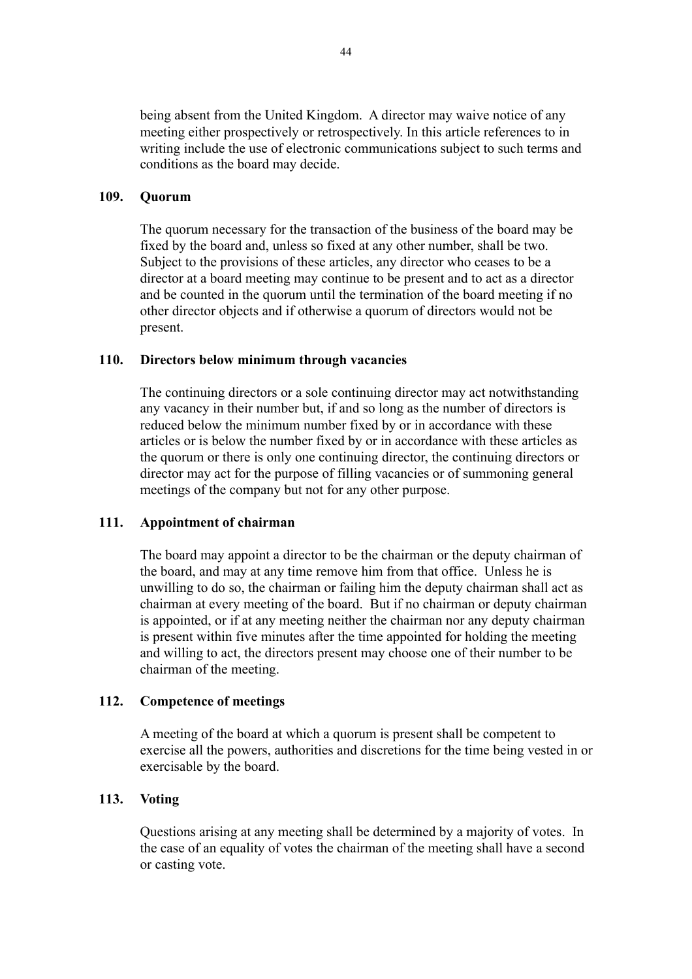being absent from the United Kingdom. A director may waive notice of any meeting either prospectively or retrospectively. In this article references to in writing include the use of electronic communications subject to such terms and conditions as the board may decide.

#### **109. Quorum**

The quorum necessary for the transaction of the business of the board may be fixed by the board and, unless so fixed at any other number, shall be two. Subject to the provisions of these articles, any director who ceases to be a director at a board meeting may continue to be present and to act as a director and be counted in the quorum until the termination of the board meeting if no other director objects and if otherwise a quorum of directors would not be present.

#### **110. Directors below minimum through vacancies**

The continuing directors or a sole continuing director may act notwithstanding any vacancy in their number but, if and so long as the number of directors is reduced below the minimum number fixed by or in accordance with these articles or is below the number fixed by or in accordance with these articles as the quorum or there is only one continuing director, the continuing directors or director may act for the purpose of filling vacancies or of summoning general meetings of the company but not for any other purpose.

#### **111. Appointment of chairman**

The board may appoint a director to be the chairman or the deputy chairman of the board, and may at any time remove him from that office. Unless he is unwilling to do so, the chairman or failing him the deputy chairman shall act as chairman at every meeting of the board. But if no chairman or deputy chairman is appointed, or if at any meeting neither the chairman nor any deputy chairman is present within five minutes after the time appointed for holding the meeting and willing to act, the directors present may choose one of their number to be chairman of the meeting.

#### **112. Competence of meetings**

A meeting of the board at which a quorum is present shall be competent to exercise all the powers, authorities and discretions for the time being vested in or exercisable by the board.

#### **113. Voting**

Questions arising at any meeting shall be determined by a majority of votes. In the case of an equality of votes the chairman of the meeting shall have a second or casting vote.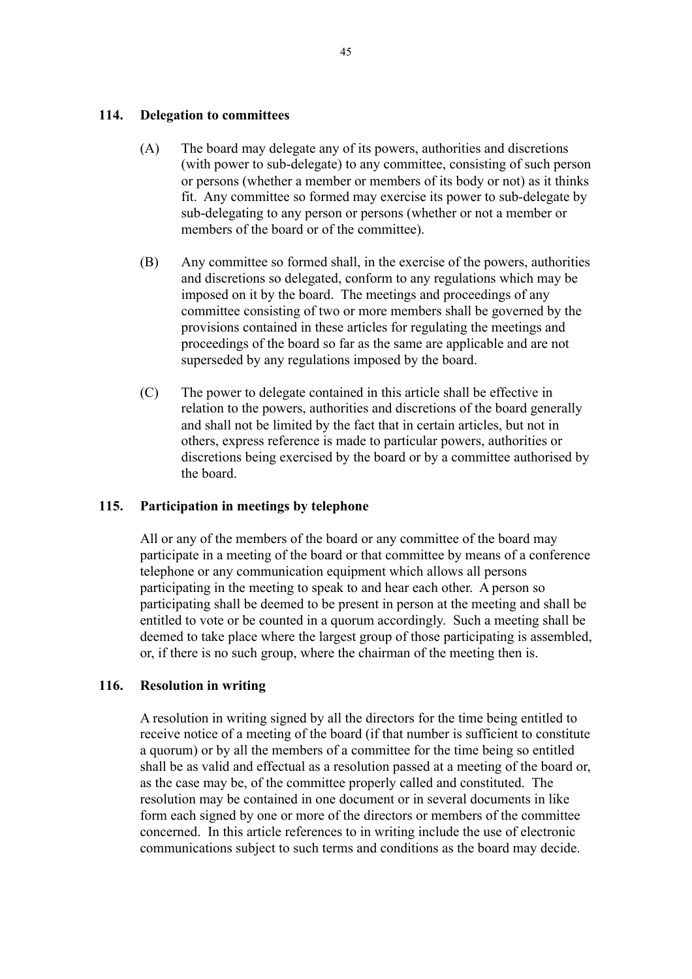## **114. Delegation to committees**

- (A) The board may delegate any of its powers, authorities and discretions (with power to sub-delegate) to any committee, consisting of such person or persons (whether a member or members of its body or not) as it thinks fit. Any committee so formed may exercise its power to sub-delegate by sub-delegating to any person or persons (whether or not a member or members of the board or of the committee).
- (B) Any committee so formed shall, in the exercise of the powers, authorities and discretions so delegated, conform to any regulations which may be imposed on it by the board. The meetings and proceedings of any committee consisting of two or more members shall be governed by the provisions contained in these articles for regulating the meetings and proceedings of the board so far as the same are applicable and are not superseded by any regulations imposed by the board.
- (C) The power to delegate contained in this article shall be effective in relation to the powers, authorities and discretions of the board generally and shall not be limited by the fact that in certain articles, but not in others, express reference is made to particular powers, authorities or discretions being exercised by the board or by a committee authorised by the board.

## **115. Participation in meetings by telephone**

All or any of the members of the board or any committee of the board may participate in a meeting of the board or that committee by means of a conference telephone or any communication equipment which allows all persons participating in the meeting to speak to and hear each other. A person so participating shall be deemed to be present in person at the meeting and shall be entitled to vote or be counted in a quorum accordingly. Such a meeting shall be deemed to take place where the largest group of those participating is assembled, or, if there is no such group, where the chairman of the meeting then is.

## **116. Resolution in writing**

A resolution in writing signed by all the directors for the time being entitled to receive notice of a meeting of the board (if that number is sufficient to constitute a quorum) or by all the members of a committee for the time being so entitled shall be as valid and effectual as a resolution passed at a meeting of the board or, as the case may be, of the committee properly called and constituted. The resolution may be contained in one document or in several documents in like form each signed by one or more of the directors or members of the committee concerned. In this article references to in writing include the use of electronic communications subject to such terms and conditions as the board may decide.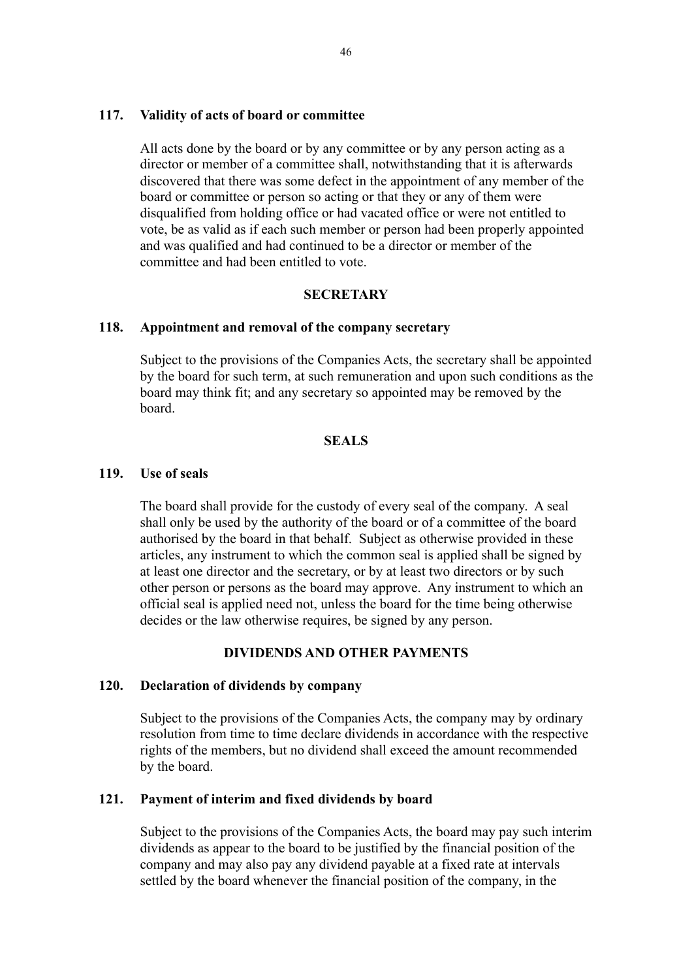#### **117. Validity of acts of board or committee**

All acts done by the board or by any committee or by any person acting as a director or member of a committee shall, notwithstanding that it is afterwards discovered that there was some defect in the appointment of any member of the board or committee or person so acting or that they or any of them were disqualified from holding office or had vacated office or were not entitled to vote, be as valid as if each such member or person had been properly appointed and was qualified and had continued to be a director or member of the committee and had been entitled to vote.

#### **SECRETARY**

#### **118. Appointment and removal of the company secretary**

Subject to the provisions of the Companies Acts, the secretary shall be appointed by the board for such term, at such remuneration and upon such conditions as the board may think fit; and any secretary so appointed may be removed by the board.

## **SEALS**

#### **119. Use of seals**

The board shall provide for the custody of every seal of the company. A seal shall only be used by the authority of the board or of a committee of the board authorised by the board in that behalf. Subject as otherwise provided in these articles, any instrument to which the common seal is applied shall be signed by at least one director and the secretary, or by at least two directors or by such other person or persons as the board may approve. Any instrument to which an official seal is applied need not, unless the board for the time being otherwise decides or the law otherwise requires, be signed by any person.

#### **DIVIDENDS AND OTHER PAYMENTS**

#### **120. Declaration of dividends by company**

Subject to the provisions of the Companies Acts, the company may by ordinary resolution from time to time declare dividends in accordance with the respective rights of the members, but no dividend shall exceed the amount recommended by the board.

#### **121. Payment of interim and fixed dividends by board**

Subject to the provisions of the Companies Acts, the board may pay such interim dividends as appear to the board to be justified by the financial position of the company and may also pay any dividend payable at a fixed rate at intervals settled by the board whenever the financial position of the company, in the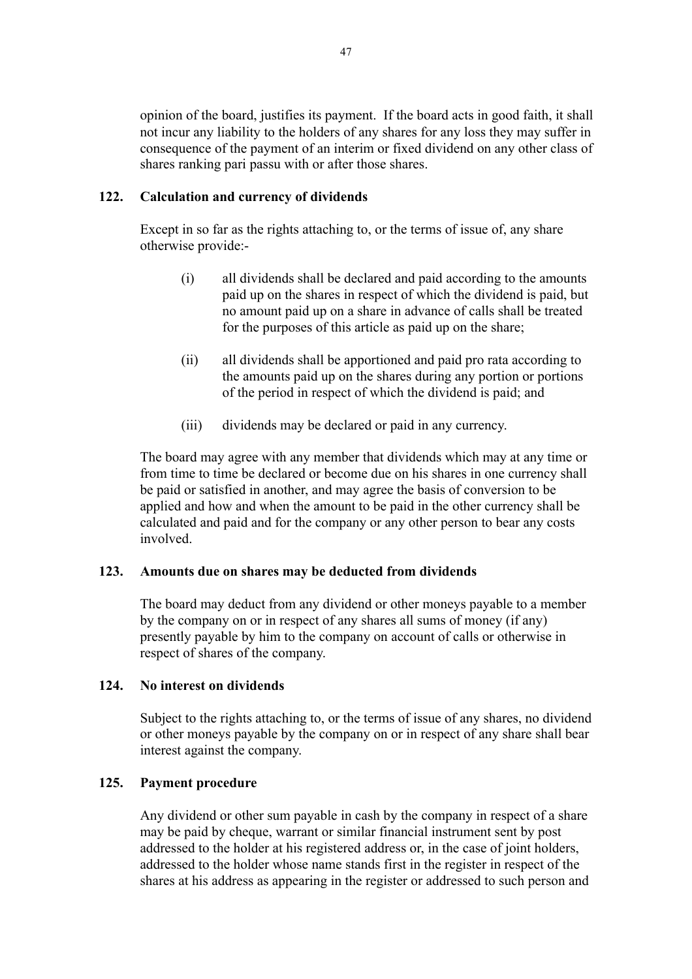opinion of the board, justifies its payment. If the board acts in good faith, it shall not incur any liability to the holders of any shares for any loss they may suffer in consequence of the payment of an interim or fixed dividend on any other class of shares ranking pari passu with or after those shares.

## **122. Calculation and currency of dividends**

Except in so far as the rights attaching to, or the terms of issue of, any share otherwise provide:-

- (i) all dividends shall be declared and paid according to the amounts paid up on the shares in respect of which the dividend is paid, but no amount paid up on a share in advance of calls shall be treated for the purposes of this article as paid up on the share;
- (ii) all dividends shall be apportioned and paid pro rata according to the amounts paid up on the shares during any portion or portions of the period in respect of which the dividend is paid; and
- (iii) dividends may be declared or paid in any currency.

The board may agree with any member that dividends which may at any time or from time to time be declared or become due on his shares in one currency shall be paid or satisfied in another, and may agree the basis of conversion to be applied and how and when the amount to be paid in the other currency shall be calculated and paid and for the company or any other person to bear any costs involved.

#### **123. Amounts due on shares may be deducted from dividends**

The board may deduct from any dividend or other moneys payable to a member by the company on or in respect of any shares all sums of money (if any) presently payable by him to the company on account of calls or otherwise in respect of shares of the company.

#### **124. No interest on dividends**

Subject to the rights attaching to, or the terms of issue of any shares, no dividend or other moneys payable by the company on or in respect of any share shall bear interest against the company.

## **125. Payment procedure**

Any dividend or other sum payable in cash by the company in respect of a share may be paid by cheque, warrant or similar financial instrument sent by post addressed to the holder at his registered address or, in the case of joint holders, addressed to the holder whose name stands first in the register in respect of the shares at his address as appearing in the register or addressed to such person and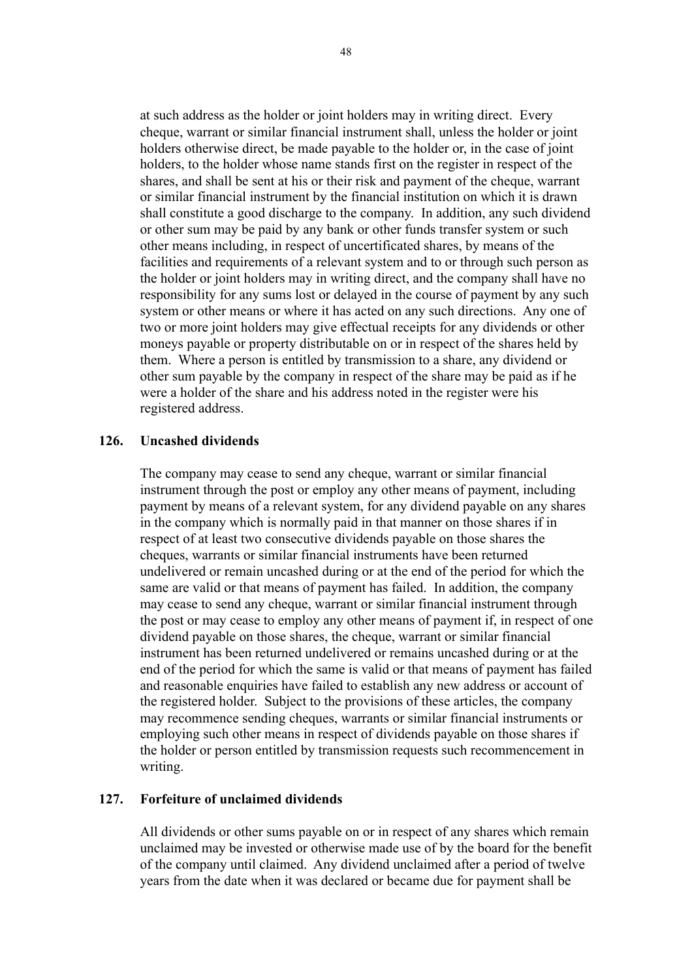at such address as the holder or joint holders may in writing direct. Every cheque, warrant or similar financial instrument shall, unless the holder or joint holders otherwise direct, be made payable to the holder or, in the case of joint holders, to the holder whose name stands first on the register in respect of the shares, and shall be sent at his or their risk and payment of the cheque, warrant or similar financial instrument by the financial institution on which it is drawn shall constitute a good discharge to the company. In addition, any such dividend or other sum may be paid by any bank or other funds transfer system or such other means including, in respect of uncertificated shares, by means of the facilities and requirements of a relevant system and to or through such person as the holder or joint holders may in writing direct, and the company shall have no responsibility for any sums lost or delayed in the course of payment by any such system or other means or where it has acted on any such directions. Any one of two or more joint holders may give effectual receipts for any dividends or other moneys payable or property distributable on or in respect of the shares held by them. Where a person is entitled by transmission to a share, any dividend or other sum payable by the company in respect of the share may be paid as if he were a holder of the share and his address noted in the register were his registered address.

#### **126. Uncashed dividends**

The company may cease to send any cheque, warrant or similar financial instrument through the post or employ any other means of payment, including payment by means of a relevant system, for any dividend payable on any shares in the company which is normally paid in that manner on those shares if in respect of at least two consecutive dividends payable on those shares the cheques, warrants or similar financial instruments have been returned undelivered or remain uncashed during or at the end of the period for which the same are valid or that means of payment has failed. In addition, the company may cease to send any cheque, warrant or similar financial instrument through the post or may cease to employ any other means of payment if, in respect of one dividend payable on those shares, the cheque, warrant or similar financial instrument has been returned undelivered or remains uncashed during or at the end of the period for which the same is valid or that means of payment has failed and reasonable enquiries have failed to establish any new address or account of the registered holder. Subject to the provisions of these articles, the company may recommence sending cheques, warrants or similar financial instruments or employing such other means in respect of dividends payable on those shares if the holder or person entitled by transmission requests such recommencement in writing.

#### **127. Forfeiture of unclaimed dividends**

All dividends or other sums payable on or in respect of any shares which remain unclaimed may be invested or otherwise made use of by the board for the benefit of the company until claimed. Any dividend unclaimed after a period of twelve years from the date when it was declared or became due for payment shall be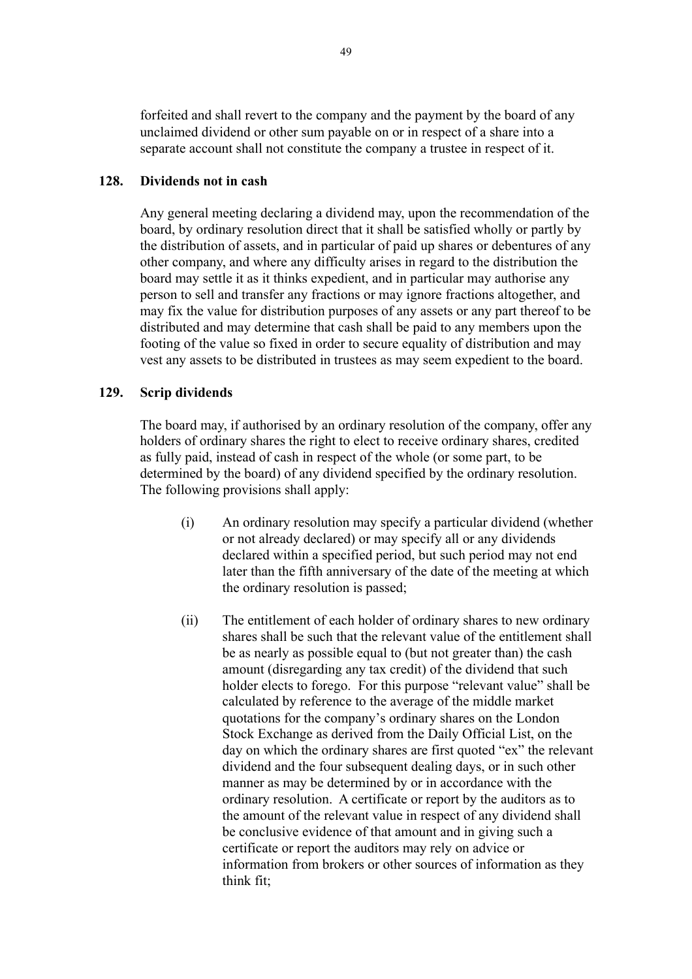forfeited and shall revert to the company and the payment by the board of any unclaimed dividend or other sum payable on or in respect of a share into a separate account shall not constitute the company a trustee in respect of it.

#### **128. Dividends not in cash**

Any general meeting declaring a dividend may, upon the recommendation of the board, by ordinary resolution direct that it shall be satisfied wholly or partly by the distribution of assets, and in particular of paid up shares or debentures of any other company, and where any difficulty arises in regard to the distribution the board may settle it as it thinks expedient, and in particular may authorise any person to sell and transfer any fractions or may ignore fractions altogether, and may fix the value for distribution purposes of any assets or any part thereof to be distributed and may determine that cash shall be paid to any members upon the footing of the value so fixed in order to secure equality of distribution and may vest any assets to be distributed in trustees as may seem expedient to the board.

#### **129. Scrip dividends**

The board may, if authorised by an ordinary resolution of the company, offer any holders of ordinary shares the right to elect to receive ordinary shares, credited as fully paid, instead of cash in respect of the whole (or some part, to be determined by the board) of any dividend specified by the ordinary resolution. The following provisions shall apply:

- (i) An ordinary resolution may specify a particular dividend (whether or not already declared) or may specify all or any dividends declared within a specified period, but such period may not end later than the fifth anniversary of the date of the meeting at which the ordinary resolution is passed;
- (ii) The entitlement of each holder of ordinary shares to new ordinary shares shall be such that the relevant value of the entitlement shall be as nearly as possible equal to (but not greater than) the cash amount (disregarding any tax credit) of the dividend that such holder elects to forego. For this purpose "relevant value" shall be calculated by reference to the average of the middle market quotations for the company's ordinary shares on the London Stock Exchange as derived from the Daily Official List, on the day on which the ordinary shares are first quoted "ex" the relevant dividend and the four subsequent dealing days, or in such other manner as may be determined by or in accordance with the ordinary resolution. A certificate or report by the auditors as to the amount of the relevant value in respect of any dividend shall be conclusive evidence of that amount and in giving such a certificate or report the auditors may rely on advice or information from brokers or other sources of information as they think fit;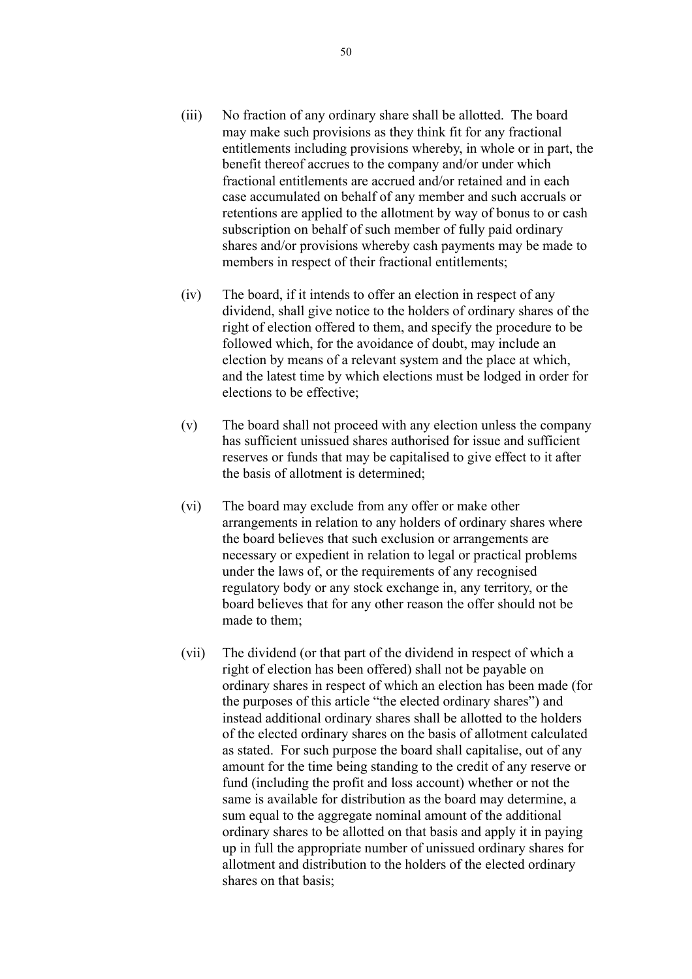- (iii) No fraction of any ordinary share shall be allotted. The board may make such provisions as they think fit for any fractional entitlements including provisions whereby, in whole or in part, the benefit thereof accrues to the company and/or under which fractional entitlements are accrued and/or retained and in each case accumulated on behalf of any member and such accruals or retentions are applied to the allotment by way of bonus to or cash subscription on behalf of such member of fully paid ordinary shares and/or provisions whereby cash payments may be made to members in respect of their fractional entitlements;
- (iv) The board, if it intends to offer an election in respect of any dividend, shall give notice to the holders of ordinary shares of the right of election offered to them, and specify the procedure to be followed which, for the avoidance of doubt, may include an election by means of a relevant system and the place at which, and the latest time by which elections must be lodged in order for elections to be effective;
- (v) The board shall not proceed with any election unless the company has sufficient unissued shares authorised for issue and sufficient reserves or funds that may be capitalised to give effect to it after the basis of allotment is determined;
- (vi) The board may exclude from any offer or make other arrangements in relation to any holders of ordinary shares where the board believes that such exclusion or arrangements are necessary or expedient in relation to legal or practical problems under the laws of, or the requirements of any recognised regulatory body or any stock exchange in, any territory, or the board believes that for any other reason the offer should not be made to them;
- (vii) The dividend (or that part of the dividend in respect of which a right of election has been offered) shall not be payable on ordinary shares in respect of which an election has been made (for the purposes of this article "the elected ordinary shares") and instead additional ordinary shares shall be allotted to the holders of the elected ordinary shares on the basis of allotment calculated as stated. For such purpose the board shall capitalise, out of any amount for the time being standing to the credit of any reserve or fund (including the profit and loss account) whether or not the same is available for distribution as the board may determine, a sum equal to the aggregate nominal amount of the additional ordinary shares to be allotted on that basis and apply it in paying up in full the appropriate number of unissued ordinary shares for allotment and distribution to the holders of the elected ordinary shares on that basis;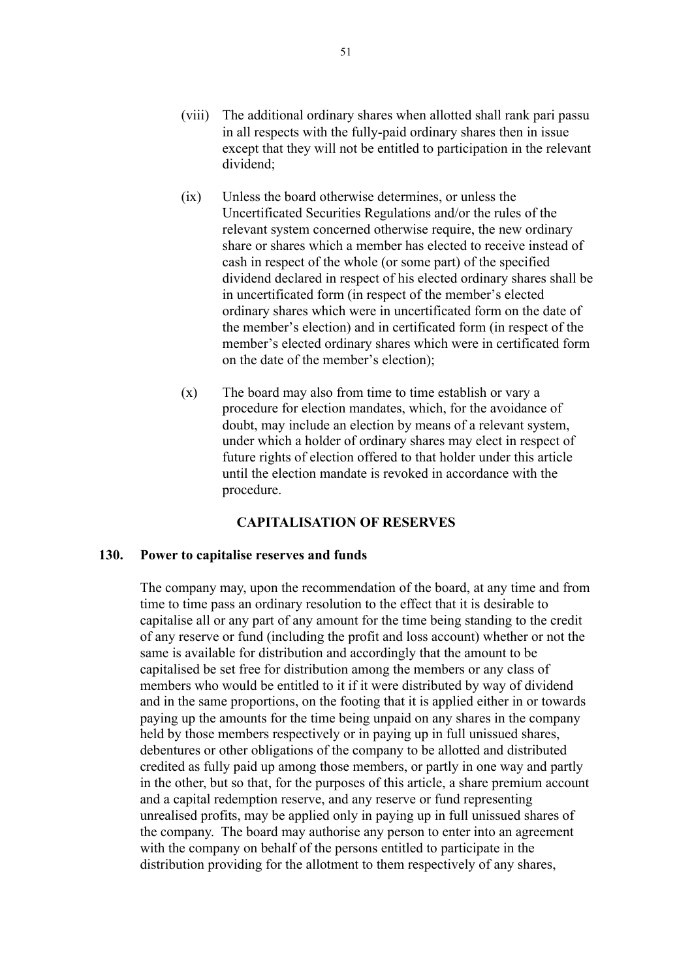- (ix) Unless the board otherwise determines, or unless the Uncertificated Securities Regulations and/or the rules of the relevant system concerned otherwise require, the new ordinary share or shares which a member has elected to receive instead of cash in respect of the whole (or some part) of the specified dividend declared in respect of his elected ordinary shares shall be in uncertificated form (in respect of the member's elected ordinary shares which were in uncertificated form on the date of the member's election) and in certificated form (in respect of the member's elected ordinary shares which were in certificated form on the date of the member's election);
- (x) The board may also from time to time establish or vary a procedure for election mandates, which, for the avoidance of doubt, may include an election by means of a relevant system, under which a holder of ordinary shares may elect in respect of future rights of election offered to that holder under this article until the election mandate is revoked in accordance with the procedure.

## **CAPITALISATION OF RESERVES**

#### **130. Power to capitalise reserves and funds**

The company may, upon the recommendation of the board, at any time and from time to time pass an ordinary resolution to the effect that it is desirable to capitalise all or any part of any amount for the time being standing to the credit of any reserve or fund (including the profit and loss account) whether or not the same is available for distribution and accordingly that the amount to be capitalised be set free for distribution among the members or any class of members who would be entitled to it if it were distributed by way of dividend and in the same proportions, on the footing that it is applied either in or towards paying up the amounts for the time being unpaid on any shares in the company held by those members respectively or in paying up in full unissued shares, debentures or other obligations of the company to be allotted and distributed credited as fully paid up among those members, or partly in one way and partly in the other, but so that, for the purposes of this article, a share premium account and a capital redemption reserve, and any reserve or fund representing unrealised profits, may be applied only in paying up in full unissued shares of the company. The board may authorise any person to enter into an agreement with the company on behalf of the persons entitled to participate in the distribution providing for the allotment to them respectively of any shares,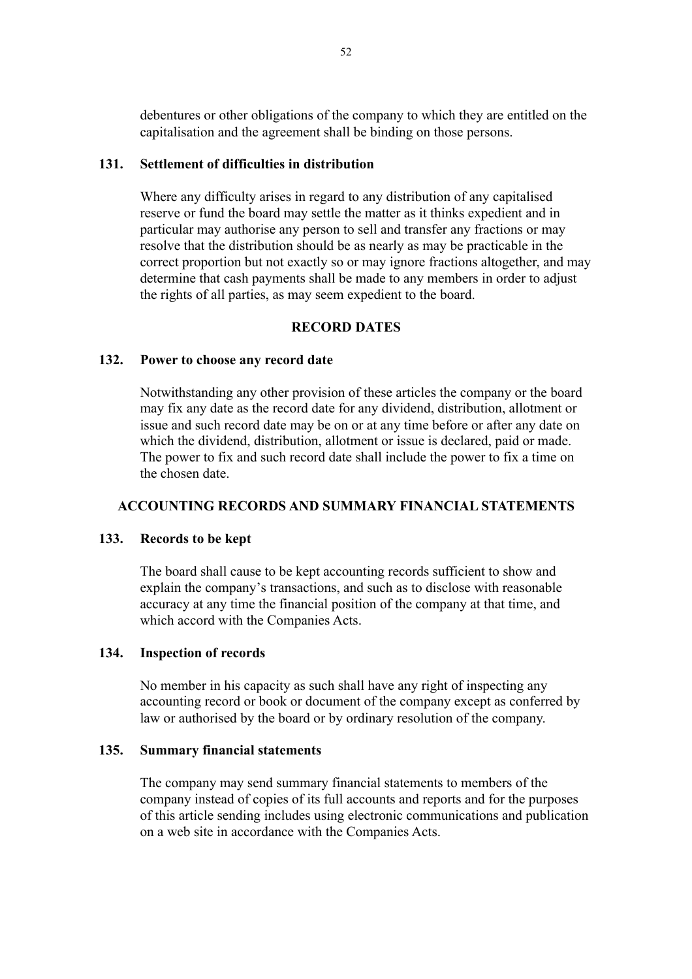debentures or other obligations of the company to which they are entitled on the capitalisation and the agreement shall be binding on those persons.

## **131. Settlement of difficulties in distribution**

Where any difficulty arises in regard to any distribution of any capitalised reserve or fund the board may settle the matter as it thinks expedient and in particular may authorise any person to sell and transfer any fractions or may resolve that the distribution should be as nearly as may be practicable in the correct proportion but not exactly so or may ignore fractions altogether, and may determine that cash payments shall be made to any members in order to adjust the rights of all parties, as may seem expedient to the board.

## **RECORD DATES**

#### **132. Power to choose any record date**

Notwithstanding any other provision of these articles the company or the board may fix any date as the record date for any dividend, distribution, allotment or issue and such record date may be on or at any time before or after any date on which the dividend, distribution, allotment or issue is declared, paid or made. The power to fix and such record date shall include the power to fix a time on the chosen date.

#### **ACCOUNTING RECORDS AND SUMMARY FINANCIAL STATEMENTS**

#### **133. Records to be kept**

The board shall cause to be kept accounting records sufficient to show and explain the company's transactions, and such as to disclose with reasonable accuracy at any time the financial position of the company at that time, and which accord with the Companies Acts.

#### **134. Inspection of records**

No member in his capacity as such shall have any right of inspecting any accounting record or book or document of the company except as conferred by law or authorised by the board or by ordinary resolution of the company.

#### **135. Summary financial statements**

The company may send summary financial statements to members of the company instead of copies of its full accounts and reports and for the purposes of this article sending includes using electronic communications and publication on a web site in accordance with the Companies Acts.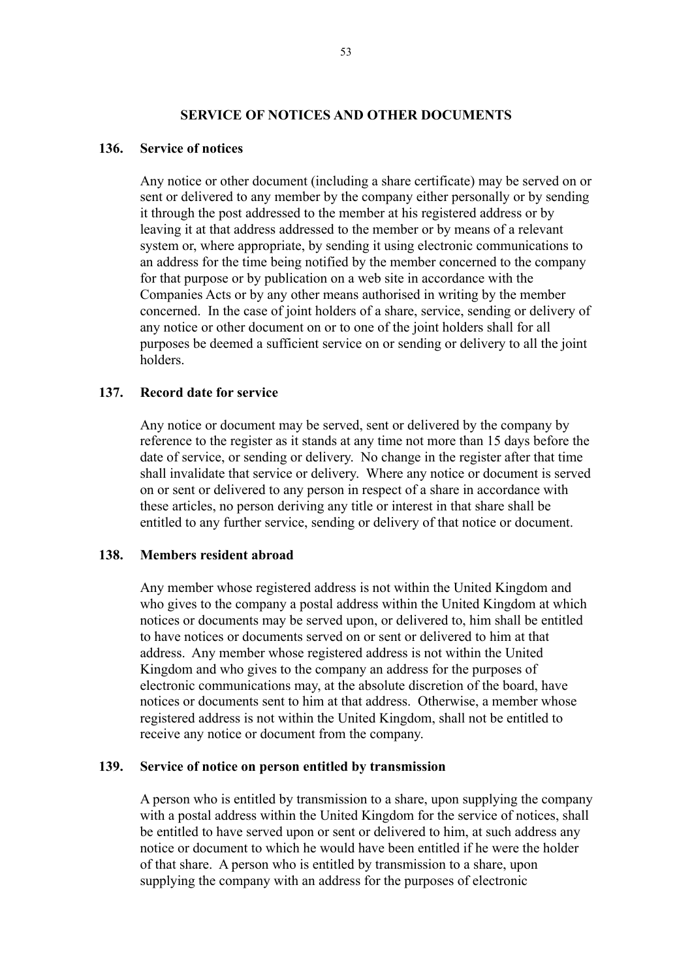#### **SERVICE OF NOTICES AND OTHER DOCUMENTS**

#### **136. Service of notices**

Any notice or other document (including a share certificate) may be served on or sent or delivered to any member by the company either personally or by sending it through the post addressed to the member at his registered address or by leaving it at that address addressed to the member or by means of a relevant system or, where appropriate, by sending it using electronic communications to an address for the time being notified by the member concerned to the company for that purpose or by publication on a web site in accordance with the Companies Acts or by any other means authorised in writing by the member concerned. In the case of joint holders of a share, service, sending or delivery of any notice or other document on or to one of the joint holders shall for all purposes be deemed a sufficient service on or sending or delivery to all the joint holders.

#### **137. Record date for service**

Any notice or document may be served, sent or delivered by the company by reference to the register as it stands at any time not more than 15 days before the date of service, or sending or delivery. No change in the register after that time shall invalidate that service or delivery. Where any notice or document is served on or sent or delivered to any person in respect of a share in accordance with these articles, no person deriving any title or interest in that share shall be entitled to any further service, sending or delivery of that notice or document.

#### **138. Members resident abroad**

Any member whose registered address is not within the United Kingdom and who gives to the company a postal address within the United Kingdom at which notices or documents may be served upon, or delivered to, him shall be entitled to have notices or documents served on or sent or delivered to him at that address. Any member whose registered address is not within the United Kingdom and who gives to the company an address for the purposes of electronic communications may, at the absolute discretion of the board, have notices or documents sent to him at that address. Otherwise, a member whose registered address is not within the United Kingdom, shall not be entitled to receive any notice or document from the company.

#### **139. Service of notice on person entitled by transmission**

A person who is entitled by transmission to a share, upon supplying the company with a postal address within the United Kingdom for the service of notices, shall be entitled to have served upon or sent or delivered to him, at such address any notice or document to which he would have been entitled if he were the holder of that share. A person who is entitled by transmission to a share, upon supplying the company with an address for the purposes of electronic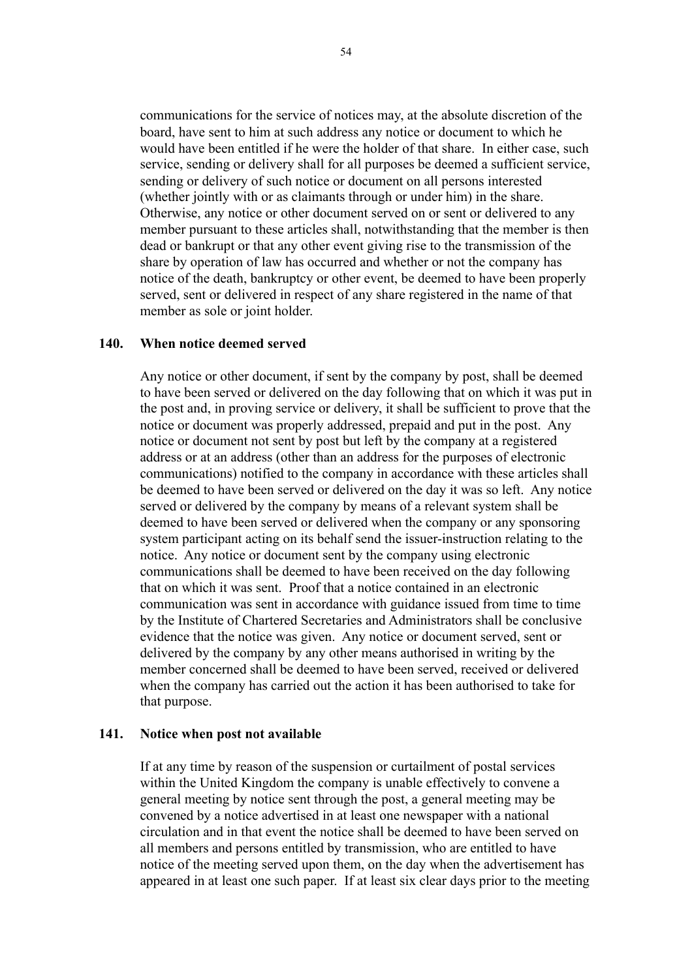communications for the service of notices may, at the absolute discretion of the board, have sent to him at such address any notice or document to which he would have been entitled if he were the holder of that share. In either case, such service, sending or delivery shall for all purposes be deemed a sufficient service, sending or delivery of such notice or document on all persons interested (whether jointly with or as claimants through or under him) in the share. Otherwise, any notice or other document served on or sent or delivered to any member pursuant to these articles shall, notwithstanding that the member is then dead or bankrupt or that any other event giving rise to the transmission of the share by operation of law has occurred and whether or not the company has notice of the death, bankruptcy or other event, be deemed to have been properly served, sent or delivered in respect of any share registered in the name of that member as sole or joint holder.

#### **140. When notice deemed served**

Any notice or other document, if sent by the company by post, shall be deemed to have been served or delivered on the day following that on which it was put in the post and, in proving service or delivery, it shall be sufficient to prove that the notice or document was properly addressed, prepaid and put in the post. Any notice or document not sent by post but left by the company at a registered address or at an address (other than an address for the purposes of electronic communications) notified to the company in accordance with these articles shall be deemed to have been served or delivered on the day it was so left. Any notice served or delivered by the company by means of a relevant system shall be deemed to have been served or delivered when the company or any sponsoring system participant acting on its behalf send the issuer-instruction relating to the notice. Any notice or document sent by the company using electronic communications shall be deemed to have been received on the day following that on which it was sent. Proof that a notice contained in an electronic communication was sent in accordance with guidance issued from time to time by the Institute of Chartered Secretaries and Administrators shall be conclusive evidence that the notice was given. Any notice or document served, sent or delivered by the company by any other means authorised in writing by the member concerned shall be deemed to have been served, received or delivered when the company has carried out the action it has been authorised to take for that purpose.

#### **141. Notice when post not available**

If at any time by reason of the suspension or curtailment of postal services within the United Kingdom the company is unable effectively to convene a general meeting by notice sent through the post, a general meeting may be convened by a notice advertised in at least one newspaper with a national circulation and in that event the notice shall be deemed to have been served on all members and persons entitled by transmission, who are entitled to have notice of the meeting served upon them, on the day when the advertisement has appeared in at least one such paper. If at least six clear days prior to the meeting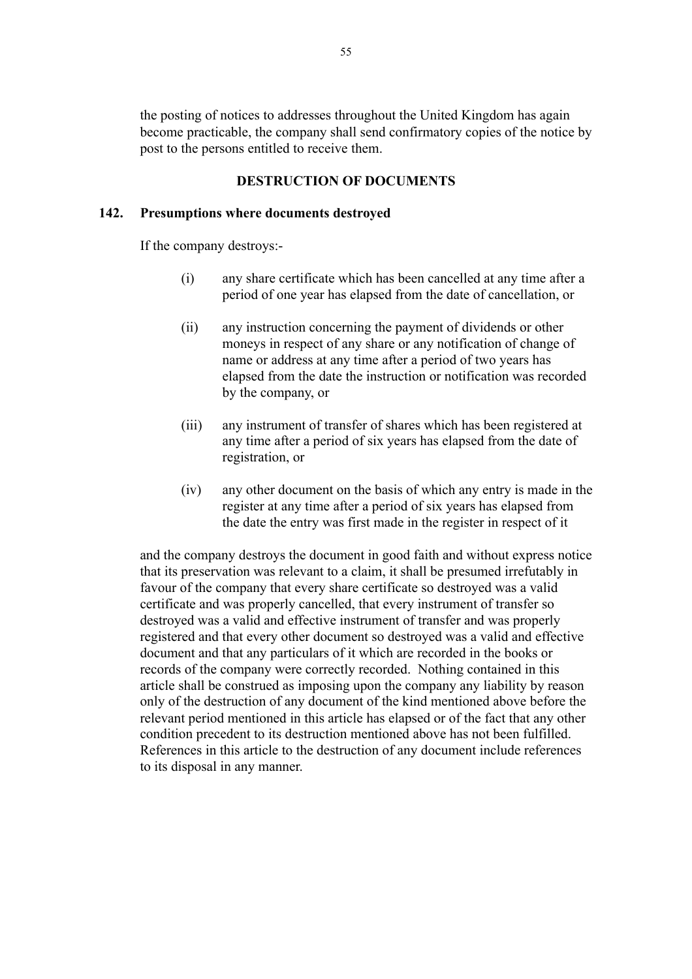the posting of notices to addresses throughout the United Kingdom has again become practicable, the company shall send confirmatory copies of the notice by post to the persons entitled to receive them.

## **DESTRUCTION OF DOCUMENTS**

#### **142. Presumptions where documents destroyed**

If the company destroys:-

- (i) any share certificate which has been cancelled at any time after a period of one year has elapsed from the date of cancellation, or
- (ii) any instruction concerning the payment of dividends or other moneys in respect of any share or any notification of change of name or address at any time after a period of two years has elapsed from the date the instruction or notification was recorded by the company, or
- (iii) any instrument of transfer of shares which has been registered at any time after a period of six years has elapsed from the date of registration, or
- (iv) any other document on the basis of which any entry is made in the register at any time after a period of six years has elapsed from the date the entry was first made in the register in respect of it

and the company destroys the document in good faith and without express notice that its preservation was relevant to a claim, it shall be presumed irrefutably in favour of the company that every share certificate so destroyed was a valid certificate and was properly cancelled, that every instrument of transfer so destroyed was a valid and effective instrument of transfer and was properly registered and that every other document so destroyed was a valid and effective document and that any particulars of it which are recorded in the books or records of the company were correctly recorded. Nothing contained in this article shall be construed as imposing upon the company any liability by reason only of the destruction of any document of the kind mentioned above before the relevant period mentioned in this article has elapsed or of the fact that any other condition precedent to its destruction mentioned above has not been fulfilled. References in this article to the destruction of any document include references to its disposal in any manner.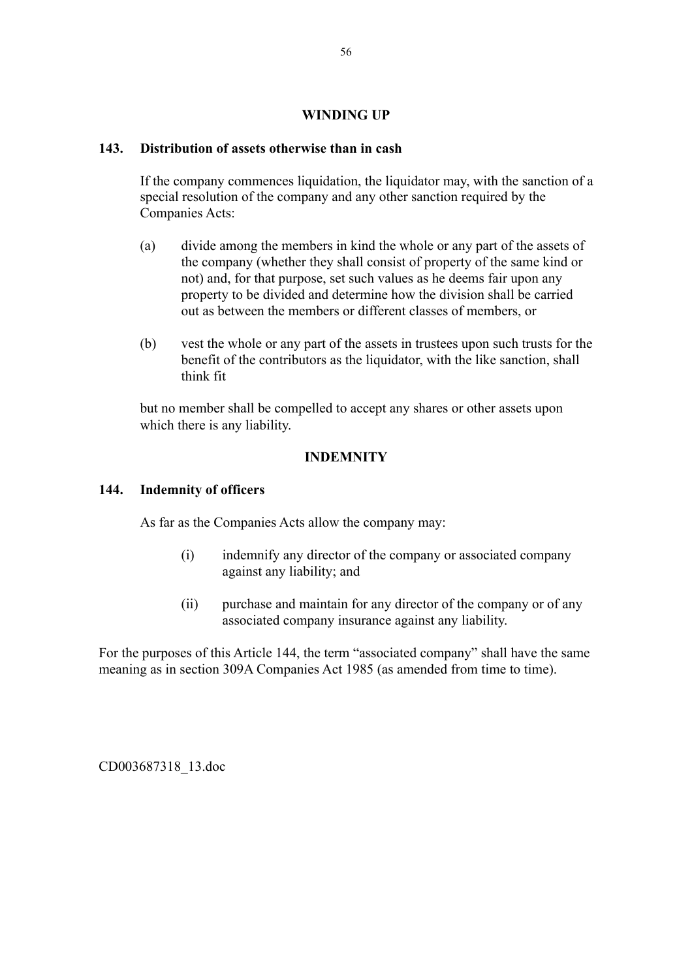## **WINDING UP**

## **143. Distribution of assets otherwise than in cash**

If the company commences liquidation, the liquidator may, with the sanction of a special resolution of the company and any other sanction required by the Companies Acts:

- (a) divide among the members in kind the whole or any part of the assets of the company (whether they shall consist of property of the same kind or not) and, for that purpose, set such values as he deems fair upon any property to be divided and determine how the division shall be carried out as between the members or different classes of members, or
- (b) vest the whole or any part of the assets in trustees upon such trusts for the benefit of the contributors as the liquidator, with the like sanction, shall think fit

but no member shall be compelled to accept any shares or other assets upon which there is any liability.

## **INDEMNITY**

## **144. Indemnity of officers**

As far as the Companies Acts allow the company may:

- (i) indemnify any director of the company or associated company against any liability; and
- (ii) purchase and maintain for any director of the company or of any associated company insurance against any liability.

For the purposes of this Article 144, the term "associated company" shall have the same meaning as in section 309A Companies Act 1985 (as amended from time to time).

CD003687318\_13.doc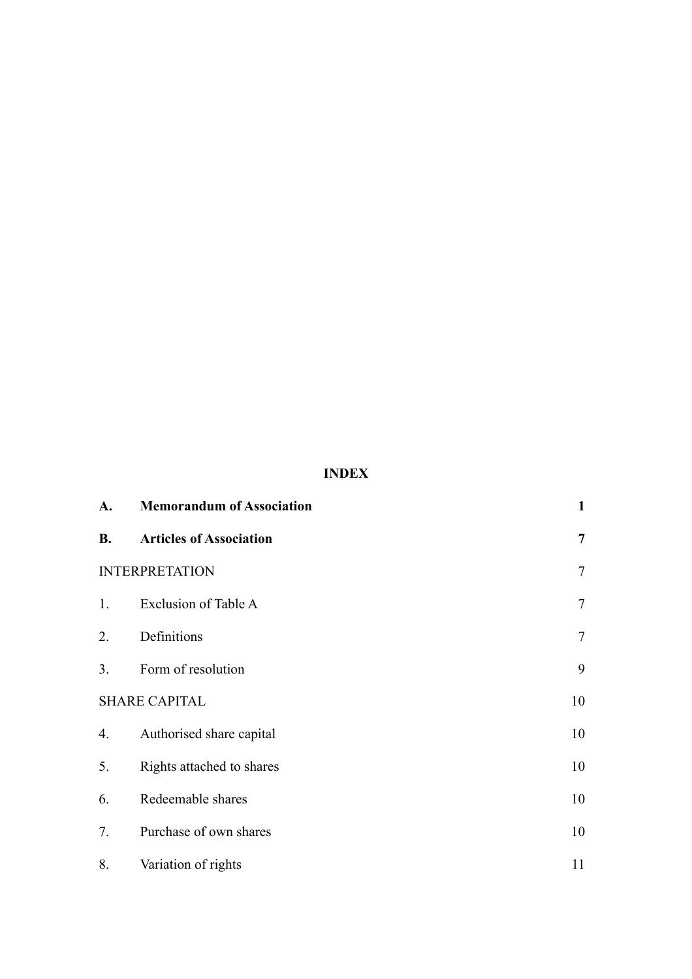## **INDEX**

| A.                    | <b>Memorandum of Association</b> | $\mathbf{1}$   |
|-----------------------|----------------------------------|----------------|
| <b>B.</b>             | <b>Articles of Association</b>   | $\overline{7}$ |
| <b>INTERPRETATION</b> |                                  | $\overline{7}$ |
| 1.                    | Exclusion of Table A             | $\overline{7}$ |
| 2.                    | Definitions                      | $\tau$         |
| 3.                    | Form of resolution               | 9              |
| <b>SHARE CAPITAL</b>  |                                  | 10             |
| 4.                    | Authorised share capital         | 10             |
| 5.                    | Rights attached to shares        | 10             |
| 6.                    | Redeemable shares                | 10             |
| 7.                    | Purchase of own shares           | 10             |
| 8.                    | Variation of rights              | 11             |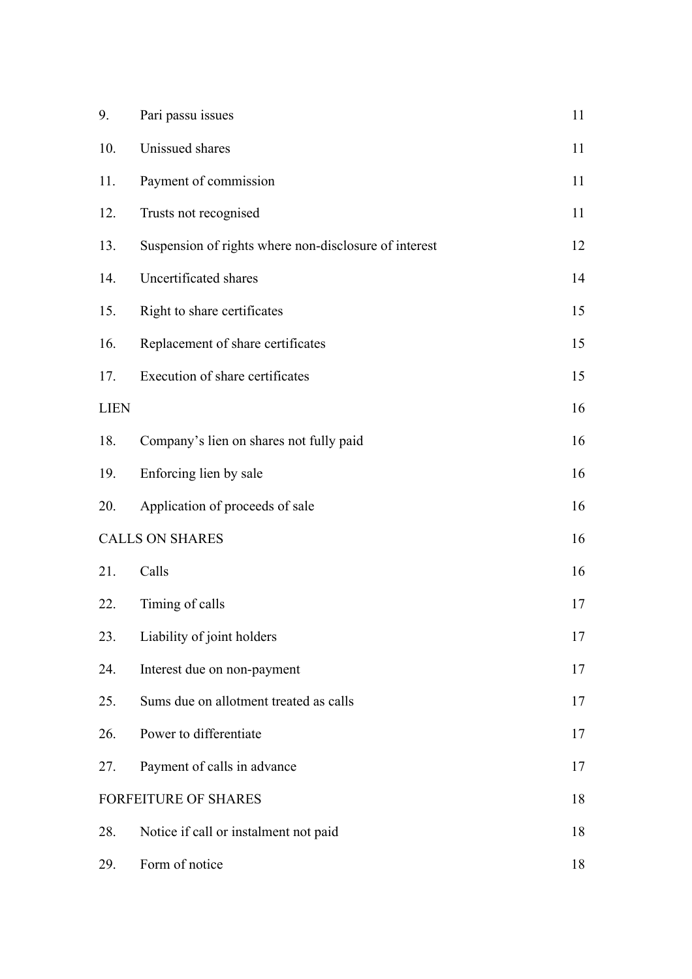| 9.          | Pari passu issues                                     | 11 |
|-------------|-------------------------------------------------------|----|
| 10.         | Unissued shares                                       | 11 |
| 11.         | Payment of commission                                 | 11 |
| 12.         | Trusts not recognised                                 | 11 |
| 13.         | Suspension of rights where non-disclosure of interest | 12 |
| 14.         | Uncertificated shares                                 | 14 |
| 15.         | Right to share certificates                           | 15 |
| 16.         | Replacement of share certificates                     | 15 |
| 17.         | Execution of share certificates                       | 15 |
| <b>LIEN</b> |                                                       | 16 |
| 18.         | Company's lien on shares not fully paid               | 16 |
| 19.         | Enforcing lien by sale                                | 16 |
| 20.         | Application of proceeds of sale                       | 16 |
|             | <b>CALLS ON SHARES</b>                                | 16 |
| 21.         | Calls                                                 | 16 |
| 22.         | Timing of calls                                       | 17 |
| 23.         | Liability of joint holders                            | 17 |
| 24.         | Interest due on non-payment                           | 17 |
| 25.         | Sums due on allotment treated as calls                | 17 |
| 26.         | Power to differentiate                                | 17 |
| 27.         | Payment of calls in advance                           | 17 |
|             | <b>FORFEITURE OF SHARES</b>                           | 18 |
| 28.         | Notice if call or instalment not paid                 | 18 |
| 29.         | Form of notice                                        | 18 |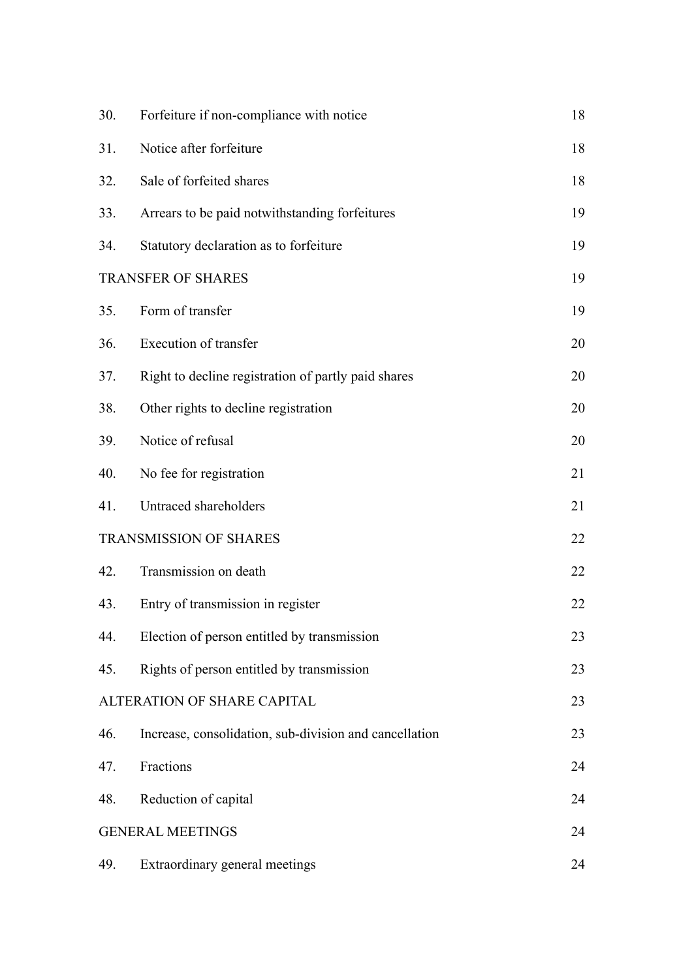| 30.                       | Forfeiture if non-compliance with notice               | 18 |
|---------------------------|--------------------------------------------------------|----|
| 31.                       | Notice after forfeiture                                | 18 |
| 32.                       | Sale of forfeited shares                               | 18 |
| 33.                       | Arrears to be paid notwithstanding forfeitures         | 19 |
| 34.                       | Statutory declaration as to forfeiture                 | 19 |
| <b>TRANSFER OF SHARES</b> |                                                        | 19 |
| 35.                       | Form of transfer                                       | 19 |
| 36.                       | Execution of transfer                                  | 20 |
| 37.                       | Right to decline registration of partly paid shares    | 20 |
| 38.                       | Other rights to decline registration                   | 20 |
| 39.                       | Notice of refusal                                      | 20 |
| 40.                       | No fee for registration                                | 21 |
| 41.                       | Untraced shareholders                                  | 21 |
|                           | <b>TRANSMISSION OF SHARES</b>                          | 22 |
| 42.                       | Transmission on death                                  | 22 |
| 43.                       | Entry of transmission in register                      | 22 |
| 44.                       | Election of person entitled by transmission            | 23 |
| 45.                       | Rights of person entitled by transmission              | 23 |
|                           | ALTERATION OF SHARE CAPITAL                            | 23 |
| 46.                       | Increase, consolidation, sub-division and cancellation | 23 |
| 47.                       | Fractions                                              | 24 |
| 48.                       | Reduction of capital                                   | 24 |
|                           | <b>GENERAL MEETINGS</b>                                | 24 |
| 49.                       | Extraordinary general meetings                         | 24 |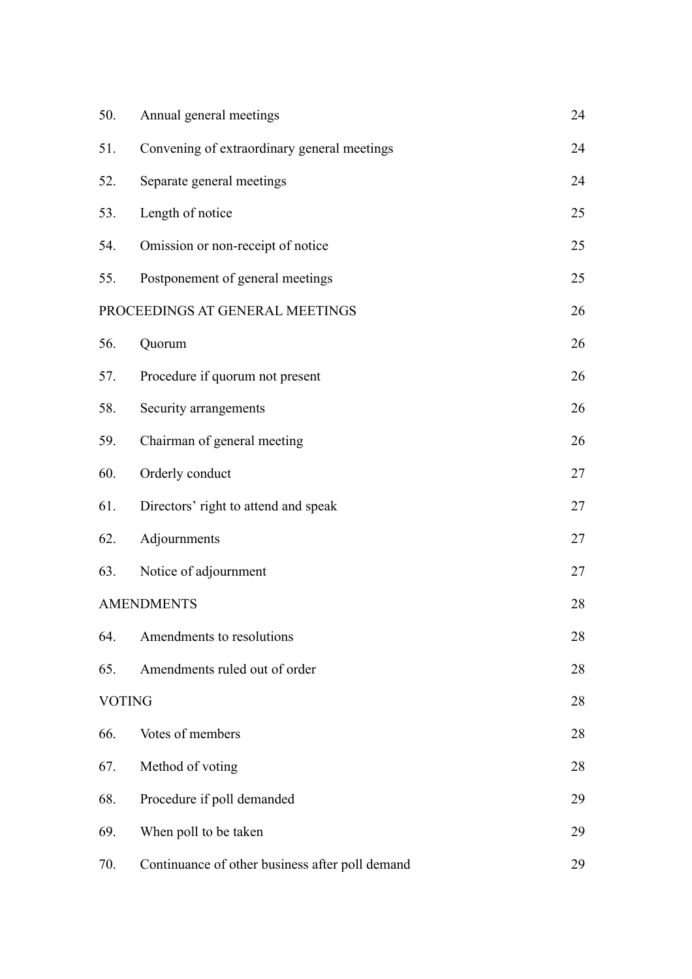| 50.           | Annual general meetings                         | 24 |
|---------------|-------------------------------------------------|----|
| 51.           | Convening of extraordinary general meetings     | 24 |
| 52.           | Separate general meetings                       | 24 |
| 53.           | Length of notice                                | 25 |
| 54.           | Omission or non-receipt of notice               | 25 |
| 55.           | Postponement of general meetings                | 25 |
|               | PROCEEDINGS AT GENERAL MEETINGS                 | 26 |
| 56.           | Quorum                                          | 26 |
| 57.           | Procedure if quorum not present                 | 26 |
| 58.           | Security arrangements                           | 26 |
| 59.           | Chairman of general meeting                     | 26 |
| 60.           | Orderly conduct                                 | 27 |
| 61.           | Directors' right to attend and speak            | 27 |
| 62.           | Adjournments                                    | 27 |
| 63.           | Notice of adjournment                           | 27 |
|               | <b>AMENDMENTS</b>                               | 28 |
| 64.           | Amendments to resolutions                       | 28 |
| 65.           | Amendments ruled out of order                   | 28 |
| <b>VOTING</b> |                                                 | 28 |
| 66.           | Votes of members                                | 28 |
| 67.           | Method of voting                                | 28 |
| 68.           | Procedure if poll demanded                      | 29 |
| 69.           | When poll to be taken                           | 29 |
| 70.           | Continuance of other business after poll demand | 29 |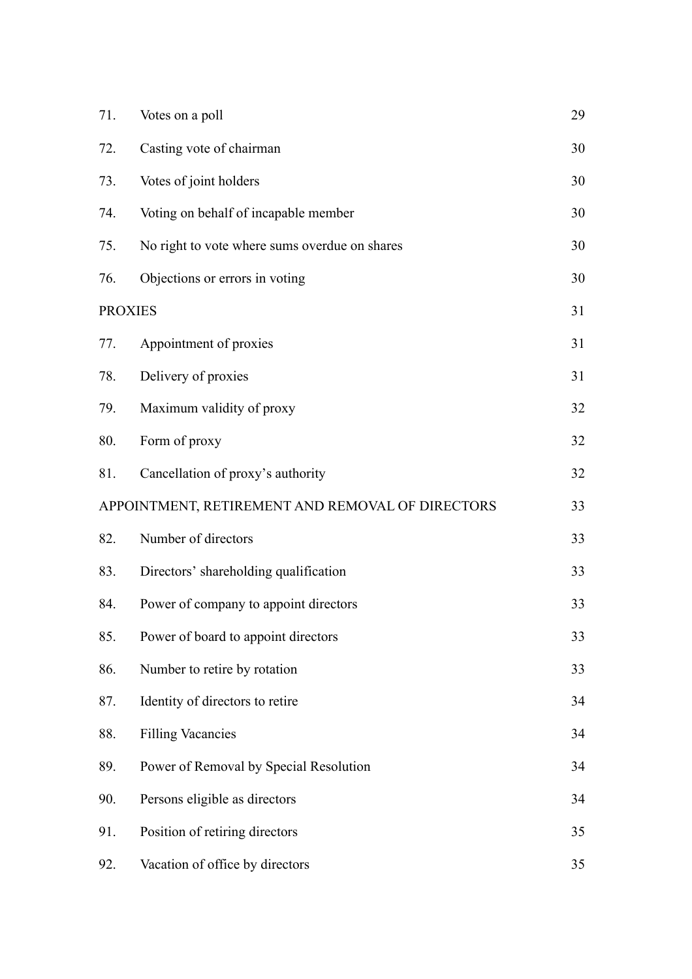| 71.            | Votes on a poll                                  | 29 |
|----------------|--------------------------------------------------|----|
| 72.            | Casting vote of chairman                         | 30 |
| 73.            | Votes of joint holders                           | 30 |
| 74.            | Voting on behalf of incapable member             | 30 |
| 75.            | No right to vote where sums overdue on shares    | 30 |
| 76.            | Objections or errors in voting                   | 30 |
| <b>PROXIES</b> |                                                  | 31 |
| 77.            | Appointment of proxies                           | 31 |
| 78.            | Delivery of proxies                              | 31 |
| 79.            | Maximum validity of proxy                        | 32 |
| 80.            | Form of proxy                                    | 32 |
| 81.            | Cancellation of proxy's authority                | 32 |
|                | APPOINTMENT, RETIREMENT AND REMOVAL OF DIRECTORS | 33 |
| 82.            | Number of directors                              | 33 |
| 83.            | Directors' shareholding qualification            | 33 |
| 84.            | Power of company to appoint directors            | 33 |
| 85.            | Power of board to appoint directors              | 33 |
| 86.            | Number to retire by rotation                     | 33 |
| 87.            | Identity of directors to retire                  | 34 |
| 88.            | <b>Filling Vacancies</b>                         | 34 |
| 89.            | Power of Removal by Special Resolution           | 34 |
| 90.            | Persons eligible as directors                    | 34 |
| 91.            | Position of retiring directors                   | 35 |
| 92.            | Vacation of office by directors                  | 35 |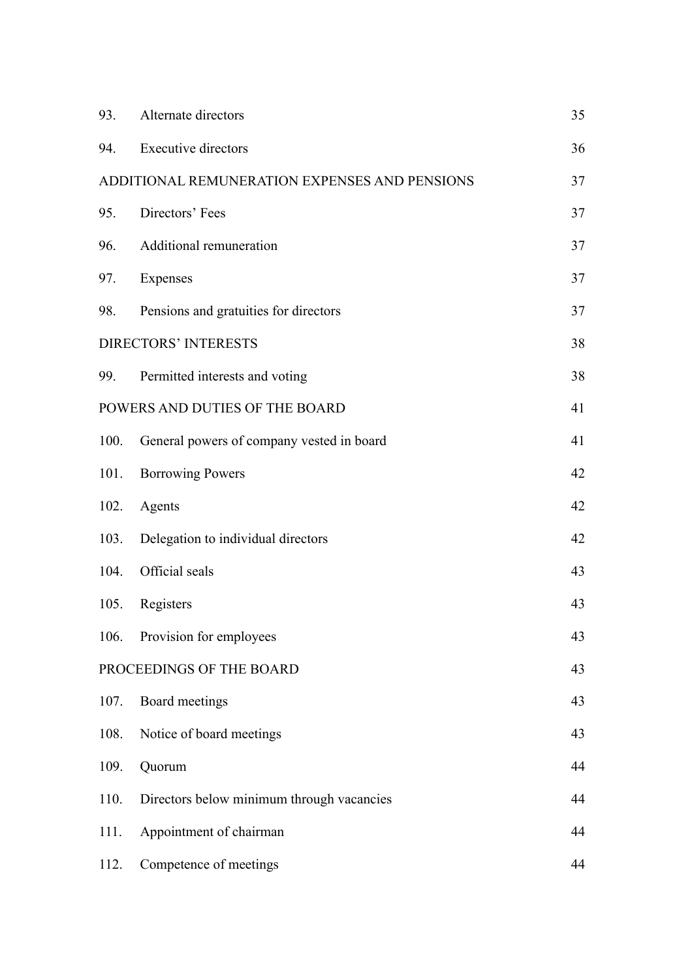| 93.  | Alternate directors                           | 35 |
|------|-----------------------------------------------|----|
| 94.  | <b>Executive directors</b>                    | 36 |
|      | ADDITIONAL REMUNERATION EXPENSES AND PENSIONS | 37 |
| 95.  | Directors' Fees                               | 37 |
| 96.  | Additional remuneration                       | 37 |
| 97.  | Expenses                                      | 37 |
| 98.  | Pensions and gratuities for directors         | 37 |
|      | <b>DIRECTORS' INTERESTS</b>                   | 38 |
|      | 99. Permitted interests and voting            | 38 |
|      | POWERS AND DUTIES OF THE BOARD                | 41 |
| 100. | General powers of company vested in board     | 41 |
| 101. | <b>Borrowing Powers</b>                       | 42 |
| 102. | Agents                                        | 42 |
| 103. | Delegation to individual directors            | 42 |
|      | 104. Official seals                           | 43 |
| 105. | Registers                                     | 43 |
| 106. | Provision for employees                       | 43 |
|      | PROCEEDINGS OF THE BOARD                      | 43 |
| 107. | Board meetings                                | 43 |
| 108. | Notice of board meetings                      | 43 |
| 109. | Quorum                                        | 44 |
| 110. | Directors below minimum through vacancies     | 44 |
| 111. | Appointment of chairman                       | 44 |
| 112. | Competence of meetings                        | 44 |
|      |                                               |    |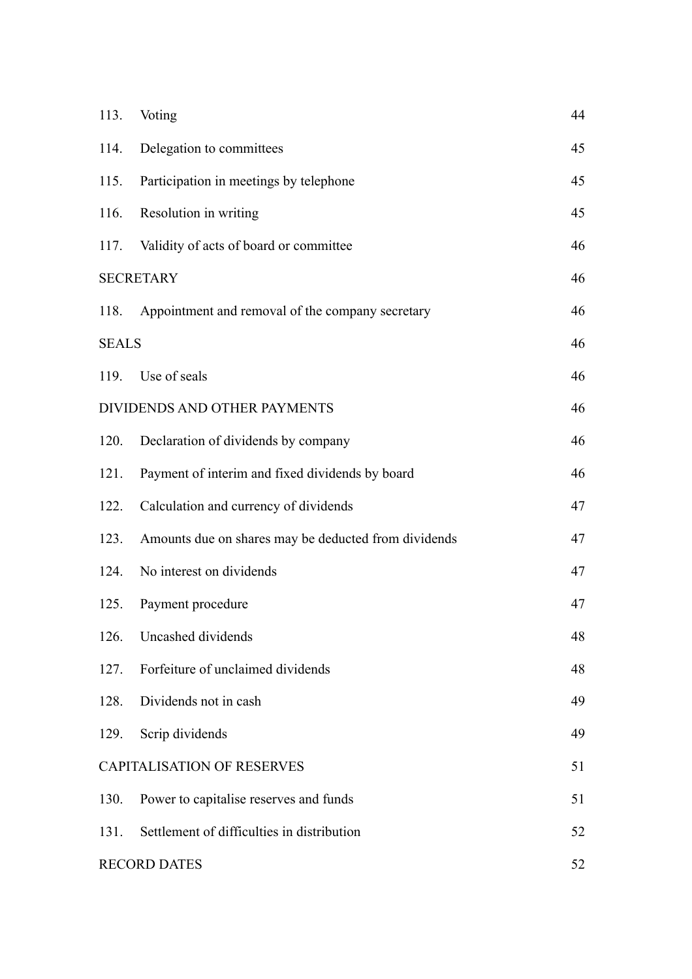| 113.                | Voting                                               | 44 |
|---------------------|------------------------------------------------------|----|
| 114.                | Delegation to committees                             | 45 |
| 115.                | Participation in meetings by telephone               | 45 |
| 116.                | Resolution in writing                                | 45 |
| 117.                | Validity of acts of board or committee               | 46 |
| <b>SECRETARY</b>    |                                                      | 46 |
| 118.                | Appointment and removal of the company secretary     | 46 |
| <b>SEALS</b>        |                                                      | 46 |
|                     | 119. Use of seals                                    | 46 |
|                     | DIVIDENDS AND OTHER PAYMENTS                         | 46 |
| 120.                | Declaration of dividends by company                  | 46 |
| 121.                | Payment of interim and fixed dividends by board      | 46 |
| 122.                | Calculation and currency of dividends                | 47 |
| 123.                | Amounts due on shares may be deducted from dividends | 47 |
| 124.                | No interest on dividends                             | 47 |
| 125.                | Payment procedure                                    | 47 |
| 126.                | Uncashed dividends                                   | 48 |
| 127.                | Forfeiture of unclaimed dividends                    | 48 |
| 128.                | Dividends not in cash                                | 49 |
| 129.                | Scrip dividends                                      | 49 |
|                     | <b>CAPITALISATION OF RESERVES</b>                    | 51 |
| 130.                | Power to capitalise reserves and funds               | 51 |
| 131.                | Settlement of difficulties in distribution           | 52 |
| <b>RECORD DATES</b> |                                                      | 52 |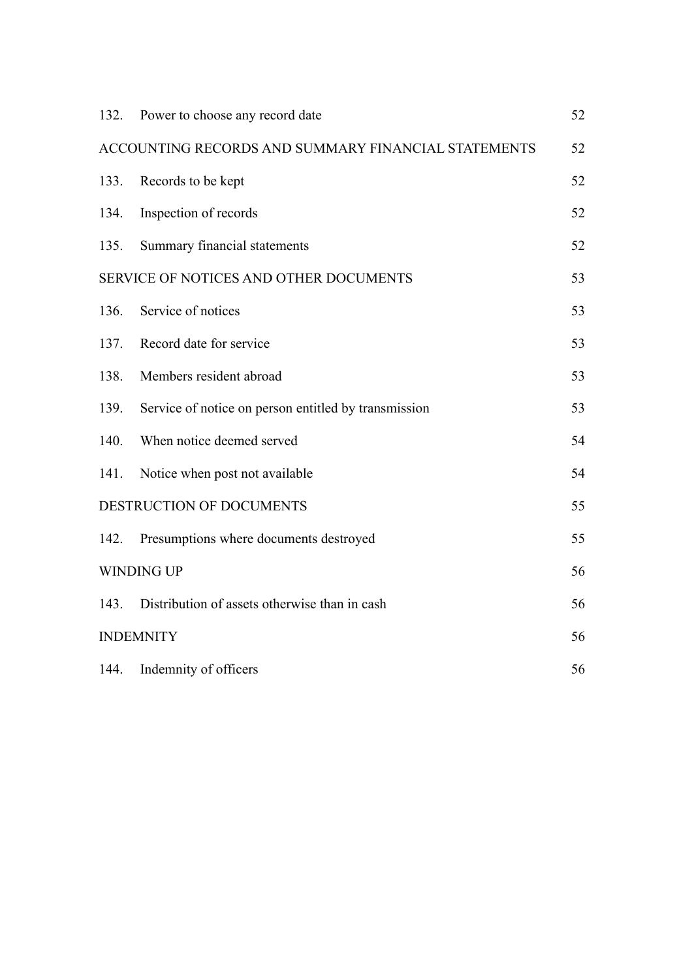| 132. | Power to choose any record date                      | 52 |
|------|------------------------------------------------------|----|
|      | ACCOUNTING RECORDS AND SUMMARY FINANCIAL STATEMENTS  | 52 |
| 133. | Records to be kept                                   | 52 |
| 134. | Inspection of records                                | 52 |
| 135. | Summary financial statements                         | 52 |
|      | SERVICE OF NOTICES AND OTHER DOCUMENTS               | 53 |
| 136. | Service of notices                                   | 53 |
| 137. | Record date for service                              | 53 |
| 138. | Members resident abroad                              | 53 |
| 139. | Service of notice on person entitled by transmission | 53 |
| 140. | When notice deemed served                            | 54 |
| 141. | Notice when post not available                       | 54 |
|      | DESTRUCTION OF DOCUMENTS                             | 55 |
| 142. | Presumptions where documents destroyed               | 55 |
|      | <b>WINDING UP</b>                                    | 56 |
| 143. | Distribution of assets otherwise than in cash        | 56 |
|      | <b>INDEMNITY</b>                                     |    |
| 144. | Indemnity of officers                                | 56 |